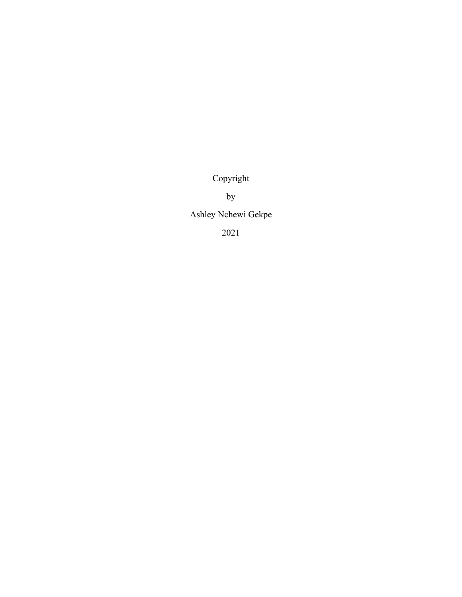Copyright

by

Ashley Nchewi Gekpe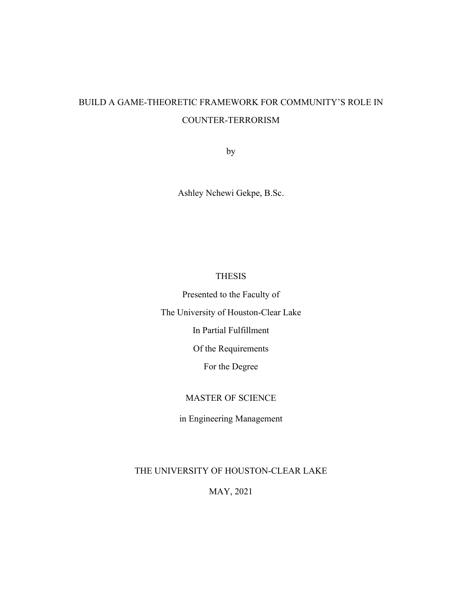# BUILD A GAME-THEORETIC FRAMEWORK FOR COMMUNITY'S ROLE IN COUNTER-TERRORISM

by

Ashley Nchewi Gekpe, B.Sc.

## THESIS

Presented to the Faculty of

The University of Houston-Clear Lake

In Partial Fulfillment

Of the Requirements

For the Degree

## MASTER OF SCIENCE

in Engineering Management

THE UNIVERSITY OF HOUSTON-CLEAR LAKE

MAY, 2021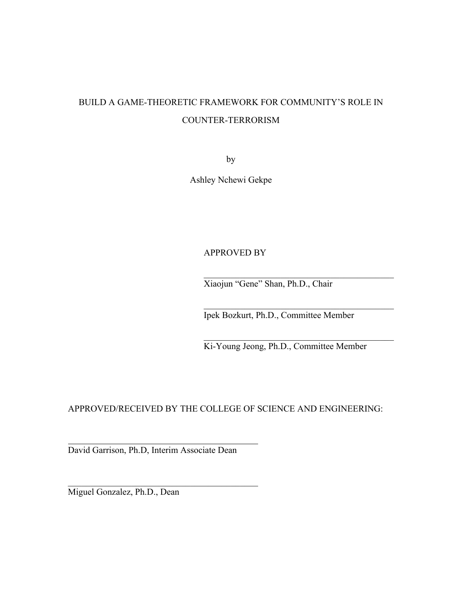# BUILD A GAME-THEORETIC FRAMEWORK FOR COMMUNITY'S ROLE IN COUNTER-TERRORISM

by

Ashley Nchewi Gekpe

## APPROVED BY

Xiaojun "Gene" Shan, Ph.D., Chair

Ipek Bozkurt, Ph.D., Committee Member

Ki-Young Jeong, Ph.D., Committee Member

 $\mathcal{L}_\text{max}$  and  $\mathcal{L}_\text{max}$  and  $\mathcal{L}_\text{max}$  and  $\mathcal{L}_\text{max}$ 

APPROVED/RECEIVED BY THE COLLEGE OF SCIENCE AND ENGINEERING:

David Garrison, Ph.D, Interim Associate Dean

Miguel Gonzalez, Ph.D., Dean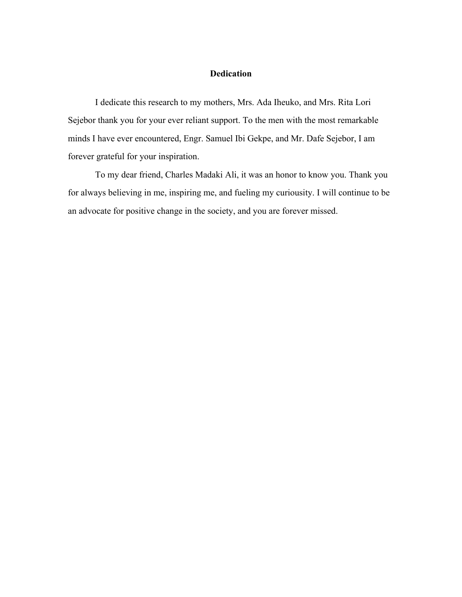### **Dedication**

I dedicate this research to my mothers, Mrs. Ada Iheuko, and Mrs. Rita Lori Sejebor thank you for your ever reliant support. To the men with the most remarkable minds I have ever encountered, Engr. Samuel Ibi Gekpe, and Mr. Dafe Sejebor, I am forever grateful for your inspiration.

To my dear friend, Charles Madaki Ali, it was an honor to know you. Thank you for always believing in me, inspiring me, and fueling my curiousity. I will continue to be an advocate for positive change in the society, and you are forever missed.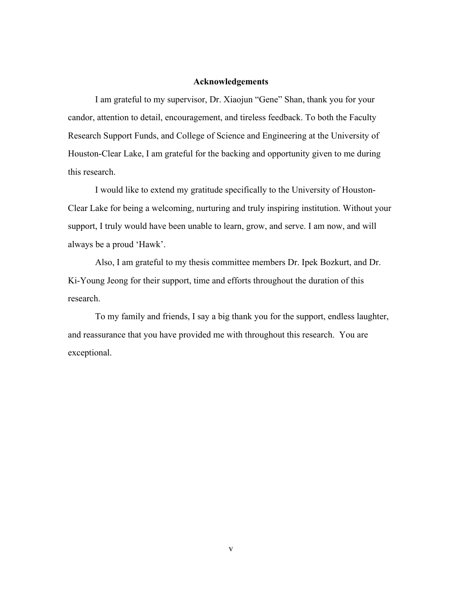#### **Acknowledgements**

I am grateful to my supervisor, Dr. Xiaojun "Gene" Shan, thank you for your candor, attention to detail, encouragement, and tireless feedback. To both the Faculty Research Support Funds, and College of Science and Engineering at the University of Houston-Clear Lake, I am grateful for the backing and opportunity given to me during this research.

I would like to extend my gratitude specifically to the University of Houston-Clear Lake for being a welcoming, nurturing and truly inspiring institution. Without your support, I truly would have been unable to learn, grow, and serve. I am now, and will always be a proud 'Hawk'.

Also, I am grateful to my thesis committee members Dr. Ipek Bozkurt, and Dr. Ki-Young Jeong for their support, time and efforts throughout the duration of this research.

To my family and friends, I say a big thank you for the support, endless laughter, and reassurance that you have provided me with throughout this research. You are exceptional.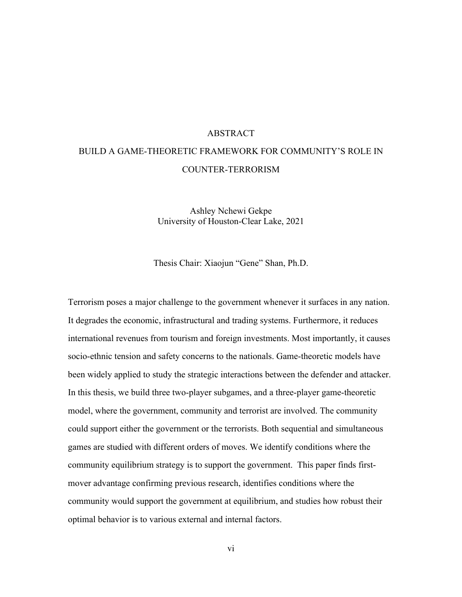#### ABSTRACT

# BUILD A GAME-THEORETIC FRAMEWORK FOR COMMUNITY'S ROLE IN COUNTER-TERRORISM

Ashley Nchewi Gekpe University of Houston-Clear Lake, 2021

Thesis Chair: Xiaojun "Gene" Shan, Ph.D.

Terrorism poses a major challenge to the government whenever it surfaces in any nation. It degrades the economic, infrastructural and trading systems. Furthermore, it reduces international revenues from tourism and foreign investments. Most importantly, it causes socio-ethnic tension and safety concerns to the nationals. Game-theoretic models have been widely applied to study the strategic interactions between the defender and attacker. In this thesis, we build three two-player subgames, and a three-player game-theoretic model, where the government, community and terrorist are involved. The community could support either the government or the terrorists. Both sequential and simultaneous games are studied with different orders of moves. We identify conditions where the community equilibrium strategy is to support the government. This paper finds firstmover advantage confirming previous research, identifies conditions where the community would support the government at equilibrium, and studies how robust their optimal behavior is to various external and internal factors.

vi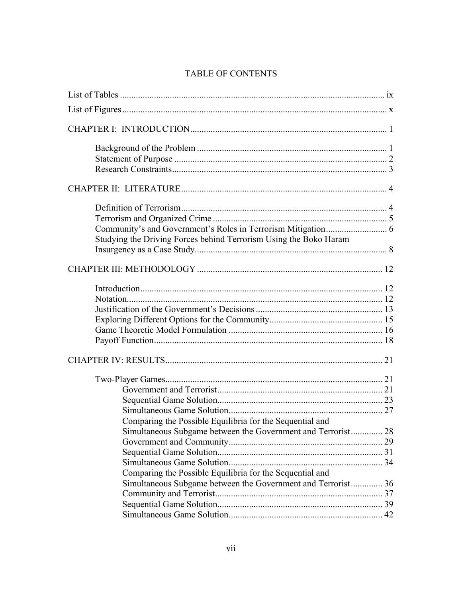# TABLE OF CONTENTS

| Studying the Driving Forces behind Terrorism Using the Boko Haram |  |
|-------------------------------------------------------------------|--|
|                                                                   |  |
|                                                                   |  |
|                                                                   |  |
|                                                                   |  |
|                                                                   |  |
|                                                                   |  |
|                                                                   |  |
|                                                                   |  |
|                                                                   |  |
|                                                                   |  |
|                                                                   |  |
|                                                                   |  |
|                                                                   |  |
|                                                                   |  |
| Comparing the Possible Equilibria for the Sequential and          |  |
| Simultaneous Subgame between the Government and Terrorist 28      |  |
|                                                                   |  |
|                                                                   |  |
|                                                                   |  |
| Comparing the Possible Equilibria for the Sequential and          |  |
| Simultaneous Subgame between the Government and Terrorist 36      |  |
|                                                                   |  |
|                                                                   |  |
|                                                                   |  |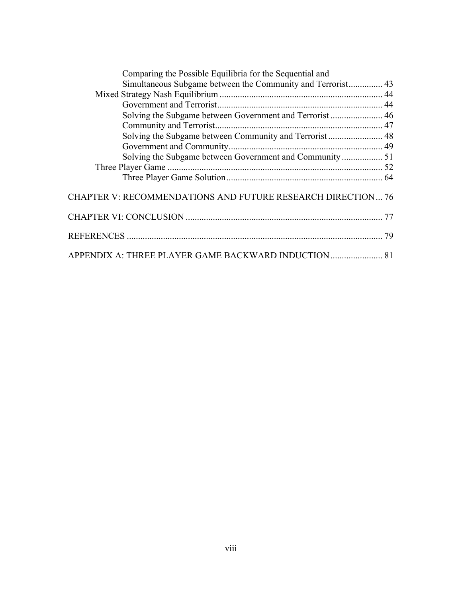| Comparing the Possible Equilibria for the Sequential and    |  |
|-------------------------------------------------------------|--|
| Simultaneous Subgame between the Community and Terrorist 43 |  |
|                                                             |  |
|                                                             |  |
| Solving the Subgame between Government and Terrorist  46    |  |
|                                                             |  |
|                                                             |  |
|                                                             |  |
|                                                             |  |
|                                                             |  |
|                                                             |  |
| CHAPTER V: RECOMMENDATIONS AND FUTURE RESEARCH DIRECTION 76 |  |
|                                                             |  |
|                                                             |  |
|                                                             |  |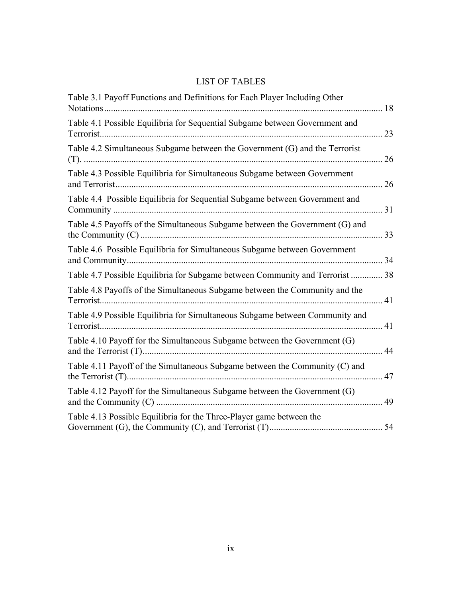# LIST OF TABLES

| 23                                                                            |
|-------------------------------------------------------------------------------|
| 26                                                                            |
| 26                                                                            |
|                                                                               |
|                                                                               |
|                                                                               |
| Table 4.7 Possible Equilibria for Subgame between Community and Terrorist  38 |
|                                                                               |
|                                                                               |
| 44                                                                            |
|                                                                               |
|                                                                               |
|                                                                               |
|                                                                               |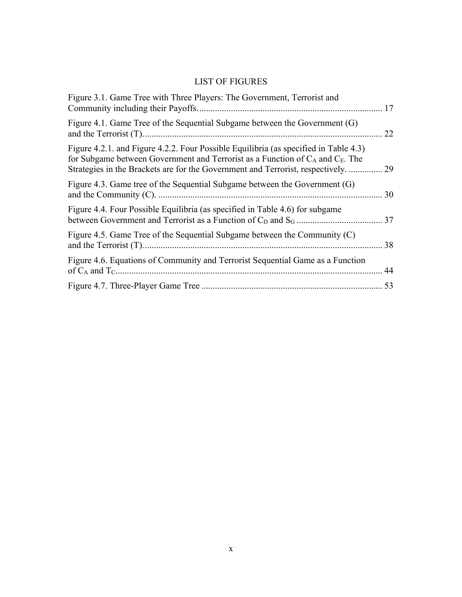# LIST OF FIGURES

| Figure 3.1. Game Tree with Three Players: The Government, Terrorist and                                                                                                                                                                                           |    |
|-------------------------------------------------------------------------------------------------------------------------------------------------------------------------------------------------------------------------------------------------------------------|----|
| Figure 4.1. Game Tree of the Sequential Subgame between the Government (G)                                                                                                                                                                                        | 22 |
| Figure 4.2.1. and Figure 4.2.2. Four Possible Equilibria (as specified in Table 4.3)<br>for Subgame between Government and Terrorist as a Function of $C_A$ and $C_E$ . The<br>Strategies in the Brackets are for the Government and Terrorist, respectively.  29 |    |
| Figure 4.3. Game tree of the Sequential Subgame between the Government (G)                                                                                                                                                                                        | 30 |
| Figure 4.4. Four Possible Equilibria (as specified in Table 4.6) for subgame                                                                                                                                                                                      |    |
| Figure 4.5. Game Tree of the Sequential Subgame between the Community (C)                                                                                                                                                                                         |    |
| Figure 4.6. Equations of Community and Terrorist Sequential Game as a Function                                                                                                                                                                                    |    |
|                                                                                                                                                                                                                                                                   |    |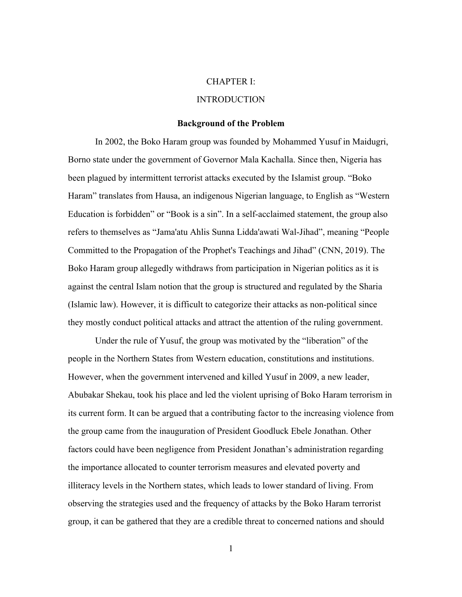#### CHAPTER I:

#### INTRODUCTION

#### **Background of the Problem**

In 2002, the Boko Haram group was founded by Mohammed Yusuf in Maidugri, Borno state under the government of Governor Mala Kachalla. Since then, Nigeria has been plagued by intermittent terrorist attacks executed by the Islamist group. "Boko Haram" translates from Hausa, an indigenous Nigerian language, to English as "Western Education is forbidden" or "Book is a sin". In a self-acclaimed statement, the group also refers to themselves as "Jama'atu Ahlis Sunna Lidda'awati Wal-Jihad", meaning "People Committed to the Propagation of the Prophet's Teachings and Jihad" (CNN, 2019). The Boko Haram group allegedly withdraws from participation in Nigerian politics as it is against the central Islam notion that the group is structured and regulated by the Sharia (Islamic law). However, it is difficult to categorize their attacks as non-political since they mostly conduct political attacks and attract the attention of the ruling government.

Under the rule of Yusuf, the group was motivated by the "liberation" of the people in the Northern States from Western education, constitutions and institutions. However, when the government intervened and killed Yusuf in 2009, a new leader, Abubakar Shekau, took his place and led the violent uprising of Boko Haram terrorism in its current form. It can be argued that a contributing factor to the increasing violence from the group came from the inauguration of President Goodluck Ebele Jonathan. Other factors could have been negligence from President Jonathan's administration regarding the importance allocated to counter terrorism measures and elevated poverty and illiteracy levels in the Northern states, which leads to lower standard of living. From observing the strategies used and the frequency of attacks by the Boko Haram terrorist group, it can be gathered that they are a credible threat to concerned nations and should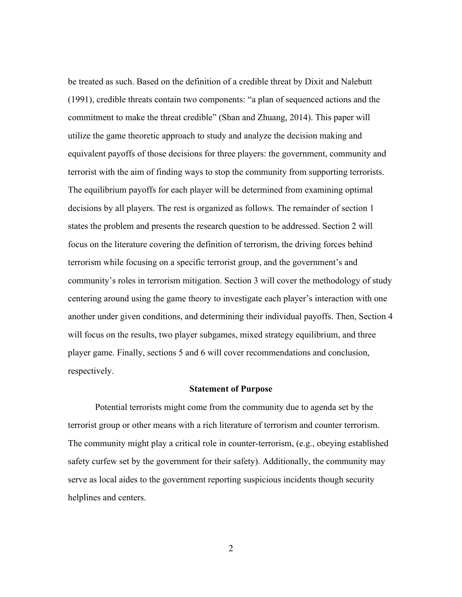be treated as such. Based on the definition of a credible threat by Dixit and Nalebutt (1991), credible threats contain two components: "a plan of sequenced actions and the commitment to make the threat credible" (Shan and Zhuang, 2014). This paper will utilize the game theoretic approach to study and analyze the decision making and equivalent payoffs of those decisions for three players: the government, community and terrorist with the aim of finding ways to stop the community from supporting terrorists. The equilibrium payoffs for each player will be determined from examining optimal decisions by all players. The rest is organized as follows. The remainder of section 1 states the problem and presents the research question to be addressed. Section 2 will focus on the literature covering the definition of terrorism, the driving forces behind terrorism while focusing on a specific terrorist group, and the government's and community's roles in terrorism mitigation. Section 3 will cover the methodology of study centering around using the game theory to investigate each player's interaction with one another under given conditions, and determining their individual payoffs. Then, Section 4 will focus on the results, two player subgames, mixed strategy equilibrium, and three player game. Finally, sections 5 and 6 will cover recommendations and conclusion, respectively.

#### **Statement of Purpose**

Potential terrorists might come from the community due to agenda set by the terrorist group or other means with a rich literature of terrorism and counter terrorism. The community might play a critical role in counter-terrorism, (e.g., obeying established safety curfew set by the government for their safety). Additionally, the community may serve as local aides to the government reporting suspicious incidents though security helplines and centers.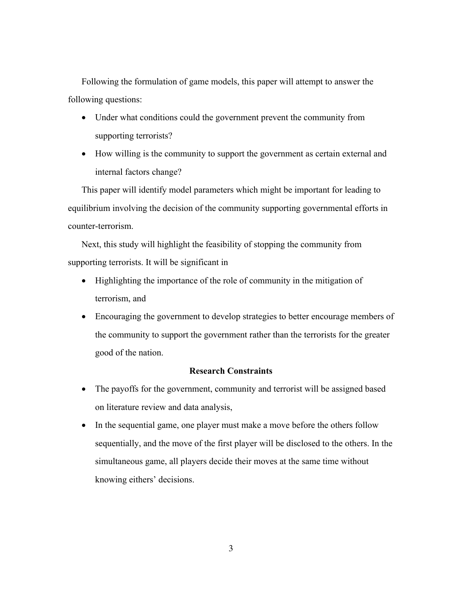Following the formulation of game models, this paper will attempt to answer the following questions:

- Under what conditions could the government prevent the community from supporting terrorists?
- How willing is the community to support the government as certain external and internal factors change?

This paper will identify model parameters which might be important for leading to equilibrium involving the decision of the community supporting governmental efforts in counter-terrorism.

Next, this study will highlight the feasibility of stopping the community from supporting terrorists. It will be significant in

- Highlighting the importance of the role of community in the mitigation of terrorism, and
- Encouraging the government to develop strategies to better encourage members of the community to support the government rather than the terrorists for the greater good of the nation.

## **Research Constraints**

- The payoffs for the government, community and terrorist will be assigned based on literature review and data analysis,
- In the sequential game, one player must make a move before the others follow sequentially, and the move of the first player will be disclosed to the others. In the simultaneous game, all players decide their moves at the same time without knowing eithers' decisions.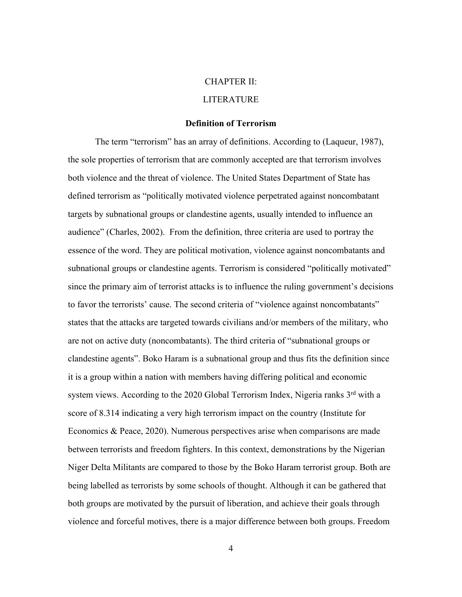#### CHAPTER II:

#### LITERATURE

#### **Definition of Terrorism**

The term "terrorism" has an array of definitions. According to (Laqueur, 1987), the sole properties of terrorism that are commonly accepted are that terrorism involves both violence and the threat of violence. The United States Department of State has defined terrorism as "politically motivated violence perpetrated against noncombatant targets by subnational groups or clandestine agents, usually intended to influence an audience" (Charles, 2002). From the definition, three criteria are used to portray the essence of the word. They are political motivation, violence against noncombatants and subnational groups or clandestine agents. Terrorism is considered "politically motivated" since the primary aim of terrorist attacks is to influence the ruling government's decisions to favor the terrorists' cause. The second criteria of "violence against noncombatants" states that the attacks are targeted towards civilians and/or members of the military, who are not on active duty (noncombatants). The third criteria of "subnational groups or clandestine agents". Boko Haram is a subnational group and thus fits the definition since it is a group within a nation with members having differing political and economic system views. According to the 2020 Global Terrorism Index, Nigeria ranks 3<sup>rd</sup> with a score of 8.314 indicating a very high terrorism impact on the country (Institute for Economics & Peace, 2020). Numerous perspectives arise when comparisons are made between terrorists and freedom fighters. In this context, demonstrations by the Nigerian Niger Delta Militants are compared to those by the Boko Haram terrorist group. Both are being labelled as terrorists by some schools of thought. Although it can be gathered that both groups are motivated by the pursuit of liberation, and achieve their goals through violence and forceful motives, there is a major difference between both groups. Freedom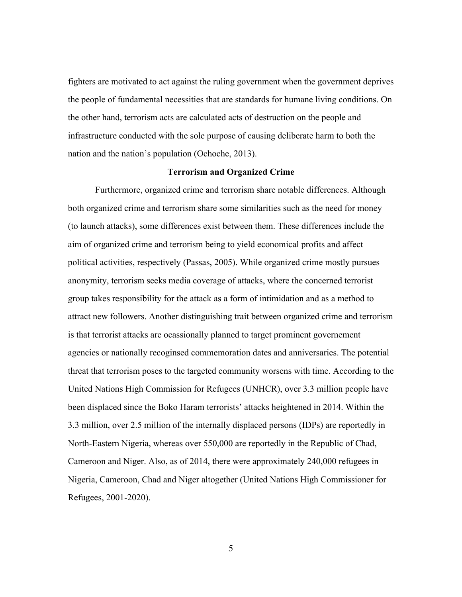fighters are motivated to act against the ruling government when the government deprives the people of fundamental necessities that are standards for humane living conditions. On the other hand, terrorism acts are calculated acts of destruction on the people and infrastructure conducted with the sole purpose of causing deliberate harm to both the nation and the nation's population (Ochoche, 2013).

#### **Terrorism and Organized Crime**

Furthermore, organized crime and terrorism share notable differences. Although both organized crime and terrorism share some similarities such as the need for money (to launch attacks), some differences exist between them. These differences include the aim of organized crime and terrorism being to yield economical profits and affect political activities, respectively (Passas, 2005). While organized crime mostly pursues anonymity, terrorism seeks media coverage of attacks, where the concerned terrorist group takes responsibility for the attack as a form of intimidation and as a method to attract new followers. Another distinguishing trait between organized crime and terrorism is that terrorist attacks are ocassionally planned to target prominent governement agencies or nationally recoginsed commemoration dates and anniversaries. The potential threat that terrorism poses to the targeted community worsens with time. According to the United Nations High Commission for Refugees (UNHCR), over 3.3 million people have been displaced since the Boko Haram terrorists' attacks heightened in 2014. Within the 3.3 million, over 2.5 million of the internally displaced persons (IDPs) are reportedly in North-Eastern Nigeria, whereas over 550,000 are reportedly in the Republic of Chad, Cameroon and Niger. Also, as of 2014, there were approximately 240,000 refugees in Nigeria, Cameroon, Chad and Niger altogether (United Nations High Commissioner for Refugees, 2001-2020).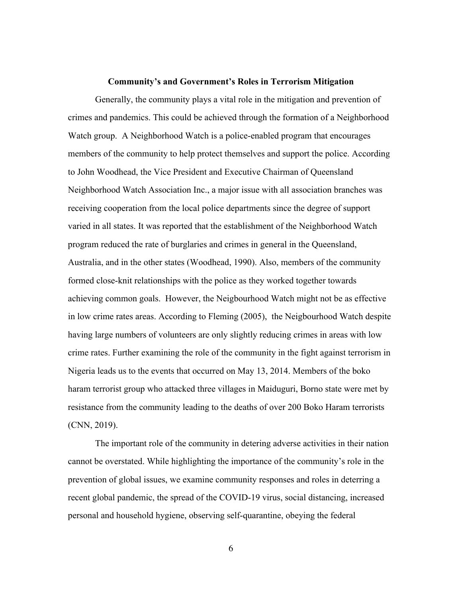#### **Community's and Government's Roles in Terrorism Mitigation**

Generally, the community plays a vital role in the mitigation and prevention of crimes and pandemics. This could be achieved through the formation of a Neighborhood Watch group. A Neighborhood Watch is a police-enabled program that encourages members of the community to help protect themselves and support the police. According to John Woodhead, the Vice President and Executive Chairman of Queensland Neighborhood Watch Association Inc., a major issue with all association branches was receiving cooperation from the local police departments since the degree of support varied in all states. It was reported that the establishment of the Neighborhood Watch program reduced the rate of burglaries and crimes in general in the Queensland, Australia, and in the other states (Woodhead, 1990). Also, members of the community formed close-knit relationships with the police as they worked together towards achieving common goals. However, the Neigbourhood Watch might not be as effective in low crime rates areas. According to Fleming (2005), the Neigbourhood Watch despite having large numbers of volunteers are only slightly reducing crimes in areas with low crime rates. Further examining the role of the community in the fight against terrorism in Nigeria leads us to the events that occurred on May 13, 2014. Members of the boko haram terrorist group who attacked three villages in Maiduguri, Borno state were met by resistance from the community leading to the deaths of over 200 Boko Haram terrorists (CNN, 2019).

The important role of the community in detering adverse activities in their nation cannot be overstated. While highlighting the importance of the community's role in the prevention of global issues, we examine community responses and roles in deterring a recent global pandemic, the spread of the COVID-19 virus, social distancing, increased personal and household hygiene, observing self-quarantine, obeying the federal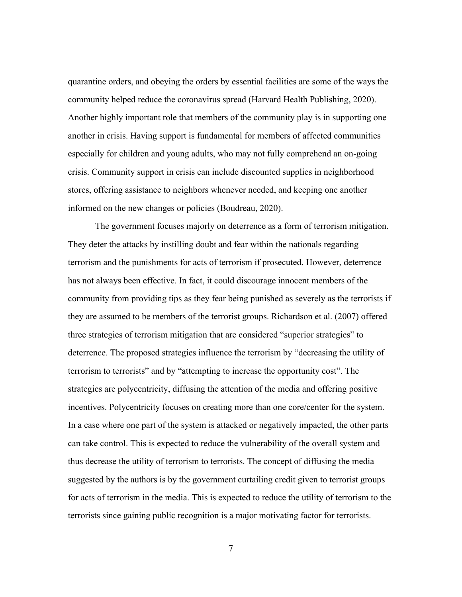quarantine orders, and obeying the orders by essential facilities are some of the ways the community helped reduce the coronavirus spread (Harvard Health Publishing, 2020). Another highly important role that members of the community play is in supporting one another in crisis. Having support is fundamental for members of affected communities especially for children and young adults, who may not fully comprehend an on-going crisis. Community support in crisis can include discounted supplies in neighborhood stores, offering assistance to neighbors whenever needed, and keeping one another informed on the new changes or policies (Boudreau, 2020).

The government focuses majorly on deterrence as a form of terrorism mitigation. They deter the attacks by instilling doubt and fear within the nationals regarding terrorism and the punishments for acts of terrorism if prosecuted. However, deterrence has not always been effective. In fact, it could discourage innocent members of the community from providing tips as they fear being punished as severely as the terrorists if they are assumed to be members of the terrorist groups. Richardson et al. (2007) offered three strategies of terrorism mitigation that are considered "superior strategies" to deterrence. The proposed strategies influence the terrorism by "decreasing the utility of terrorism to terrorists" and by "attempting to increase the opportunity cost". The strategies are polycentricity, diffusing the attention of the media and offering positive incentives. Polycentricity focuses on creating more than one core/center for the system. In a case where one part of the system is attacked or negatively impacted, the other parts can take control. This is expected to reduce the vulnerability of the overall system and thus decrease the utility of terrorism to terrorists. The concept of diffusing the media suggested by the authors is by the government curtailing credit given to terrorist groups for acts of terrorism in the media. This is expected to reduce the utility of terrorism to the terrorists since gaining public recognition is a major motivating factor for terrorists.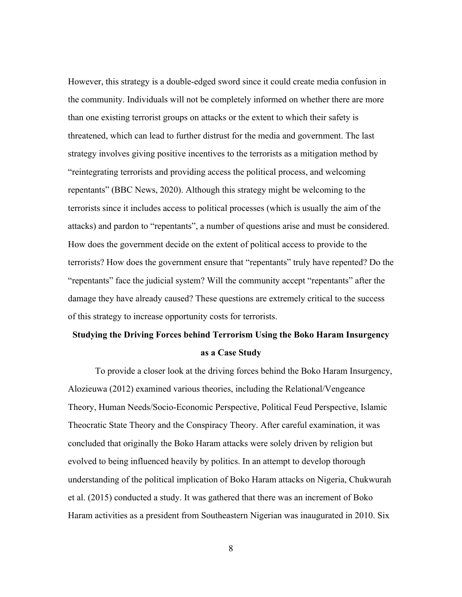However, this strategy is a double-edged sword since it could create media confusion in the community. Individuals will not be completely informed on whether there are more than one existing terrorist groups on attacks or the extent to which their safety is threatened, which can lead to further distrust for the media and government. The last strategy involves giving positive incentives to the terrorists as a mitigation method by "reintegrating terrorists and providing access the political process, and welcoming repentants" (BBC News, 2020). Although this strategy might be welcoming to the terrorists since it includes access to political processes (which is usually the aim of the attacks) and pardon to "repentants", a number of questions arise and must be considered. How does the government decide on the extent of political access to provide to the terrorists? How does the government ensure that "repentants" truly have repented? Do the "repentants" face the judicial system? Will the community accept "repentants" after the damage they have already caused? These questions are extremely critical to the success of this strategy to increase opportunity costs for terrorists.

# **Studying the Driving Forces behind Terrorism Using the Boko Haram Insurgency as a Case Study**

To provide a closer look at the driving forces behind the Boko Haram Insurgency, Alozieuwa (2012) examined various theories, including the Relational/Vengeance Theory, Human Needs/Socio-Economic Perspective, Political Feud Perspective, Islamic Theocratic State Theory and the Conspiracy Theory. After careful examination, it was concluded that originally the Boko Haram attacks were solely driven by religion but evolved to being influenced heavily by politics. In an attempt to develop thorough understanding of the political implication of Boko Haram attacks on Nigeria, Chukwurah et al. (2015) conducted a study. It was gathered that there was an increment of Boko Haram activities as a president from Southeastern Nigerian was inaugurated in 2010. Six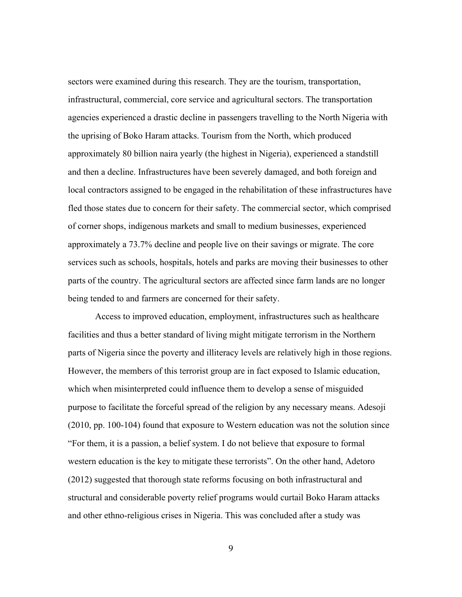sectors were examined during this research. They are the tourism, transportation, infrastructural, commercial, core service and agricultural sectors. The transportation agencies experienced a drastic decline in passengers travelling to the North Nigeria with the uprising of Boko Haram attacks. Tourism from the North, which produced approximately 80 billion naira yearly (the highest in Nigeria), experienced a standstill and then a decline. Infrastructures have been severely damaged, and both foreign and local contractors assigned to be engaged in the rehabilitation of these infrastructures have fled those states due to concern for their safety. The commercial sector, which comprised of corner shops, indigenous markets and small to medium businesses, experienced approximately a 73.7% decline and people live on their savings or migrate. The core services such as schools, hospitals, hotels and parks are moving their businesses to other parts of the country. The agricultural sectors are affected since farm lands are no longer being tended to and farmers are concerned for their safety.

Access to improved education, employment, infrastructures such as healthcare facilities and thus a better standard of living might mitigate terrorism in the Northern parts of Nigeria since the poverty and illiteracy levels are relatively high in those regions. However, the members of this terrorist group are in fact exposed to Islamic education, which when misinterpreted could influence them to develop a sense of misguided purpose to facilitate the forceful spread of the religion by any necessary means. Adesoji (2010, pp. 100-104) found that exposure to Western education was not the solution since "For them, it is a passion, a belief system. I do not believe that exposure to formal western education is the key to mitigate these terrorists". On the other hand, Adetoro (2012) suggested that thorough state reforms focusing on both infrastructural and structural and considerable poverty relief programs would curtail Boko Haram attacks and other ethno-religious crises in Nigeria. This was concluded after a study was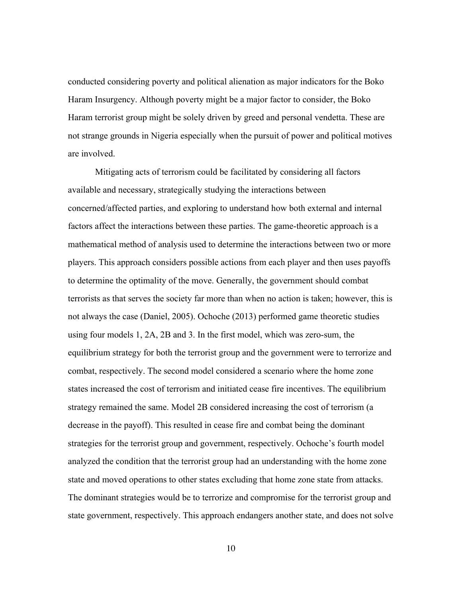conducted considering poverty and political alienation as major indicators for the Boko Haram Insurgency. Although poverty might be a major factor to consider, the Boko Haram terrorist group might be solely driven by greed and personal vendetta. These are not strange grounds in Nigeria especially when the pursuit of power and political motives are involved.

Mitigating acts of terrorism could be facilitated by considering all factors available and necessary, strategically studying the interactions between concerned/affected parties, and exploring to understand how both external and internal factors affect the interactions between these parties. The game-theoretic approach is a mathematical method of analysis used to determine the interactions between two or more players. This approach considers possible actions from each player and then uses payoffs to determine the optimality of the move. Generally, the government should combat terrorists as that serves the society far more than when no action is taken; however, this is not always the case (Daniel, 2005). Ochoche (2013) performed game theoretic studies using four models 1, 2A, 2B and 3. In the first model, which was zero-sum, the equilibrium strategy for both the terrorist group and the government were to terrorize and combat, respectively. The second model considered a scenario where the home zone states increased the cost of terrorism and initiated cease fire incentives. The equilibrium strategy remained the same. Model 2B considered increasing the cost of terrorism (a decrease in the payoff). This resulted in cease fire and combat being the dominant strategies for the terrorist group and government, respectively. Ochoche's fourth model analyzed the condition that the terrorist group had an understanding with the home zone state and moved operations to other states excluding that home zone state from attacks. The dominant strategies would be to terrorize and compromise for the terrorist group and state government, respectively. This approach endangers another state, and does not solve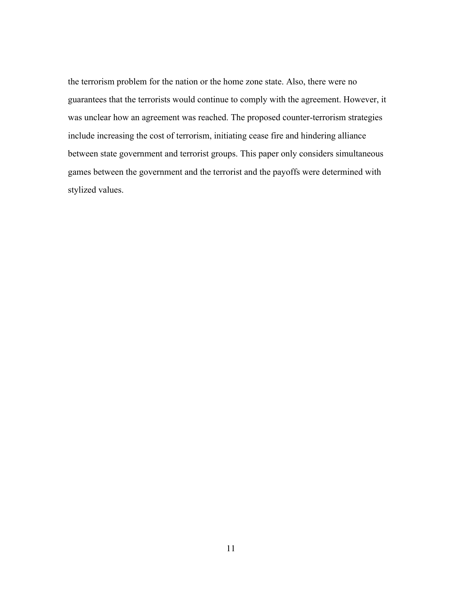the terrorism problem for the nation or the home zone state. Also, there were no guarantees that the terrorists would continue to comply with the agreement. However, it was unclear how an agreement was reached. The proposed counter-terrorism strategies include increasing the cost of terrorism, initiating cease fire and hindering alliance between state government and terrorist groups. This paper only considers simultaneous games between the government and the terrorist and the payoffs were determined with stylized values.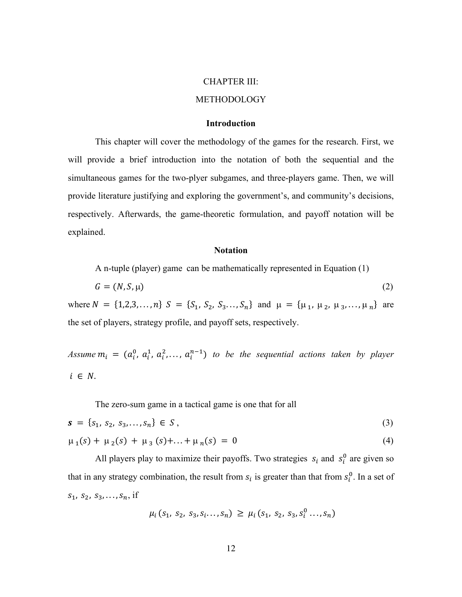#### CHAPTER III:

#### METHODOLOGY

#### **Introduction**

This chapter will cover the methodology of the games for the research. First, we will provide a brief introduction into the notation of both the sequential and the simultaneous games for the two-plyer subgames, and three-players game. Then, we will provide literature justifying and exploring the government's, and community's decisions, respectively. Afterwards, the game-theoretic formulation, and payoff notation will be explained.

#### **Notation**

A n-tuple (player) game can be mathematically represented in Equation (1)

$$
G = (N, S, \mu) \tag{2}
$$

where  $N = \{1, 2, 3, ..., n\}$   $S = \{S_1, S_2, S_3, ..., S_n\}$  and  $\mu = \{\mu_1, \mu_2, \mu_3, ..., \mu_n\}$  are the set of players, strategy profile, and payoff sets, respectively.

Assume  $m_i = (a_i^0, a_i^1, a_i^2, \ldots, a_i^{n-1})$  to be the sequential actions taken by player  $i \in N$ .

The zero-sum game in a tactical game is one that for all

$$
s = \{s_1, s_2, s_3, \dots, s_n\} \in S \tag{3}
$$

$$
\mu_1(s) + \mu_2(s) + \mu_3(s) + \ldots + \mu_n(s) = 0 \tag{4}
$$

All players play to maximize their payoffs. Two strategies  $s_i$  and  $s_i^0$  are given so that in any strategy combination, the result from  $s_i$  is greater than that from  $s_i^0$ . In a set of  $s_1, s_2, s_3, \ldots, s_n$ , if

$$
\mu_i(s_1, s_2, s_3, s_i \ldots, s_n) \ge \mu_i(s_1, s_2, s_3, s_i^0 \ldots, s_n)
$$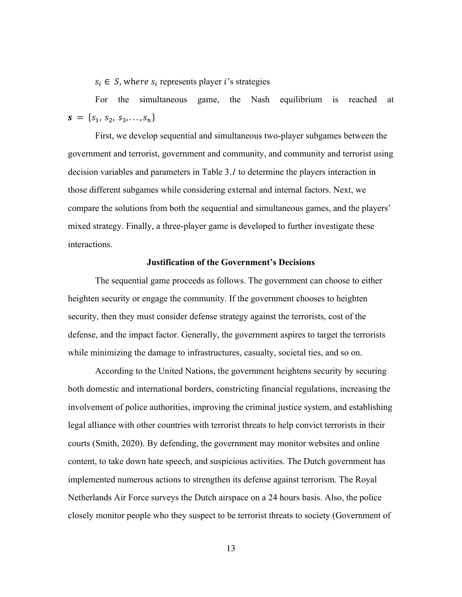$s_i \in S$ , where  $s_i$  represents player *i*'s strategies

For the simultaneous game, the Nash equilibrium is reached at  $\mathbf{s} = \{s_1, s_2, s_3, \ldots, s_n\}$ 

First, we develop sequential and simultaneous two-player subgames between the government and terrorist, government and community, and community and terrorist using decision variables and parameters in Table 3.*1* to determine the players interaction in those different subgames while considering external and internal factors. Next, we compare the solutions from both the sequential and simultaneous games, and the players' mixed strategy. Finally, a three-player game is developed to further investigate these interactions.

### **Justification of the Government's Decisions**

The sequential game proceeds as follows. The government can choose to either heighten security or engage the community. If the government chooses to heighten security, then they must consider defense strategy against the terrorists, cost of the defense, and the impact factor. Generally, the government aspires to target the terrorists while minimizing the damage to infrastructures, casualty, societal ties, and so on.

According to the United Nations, the government heightens security by securing both domestic and international borders, constricting financial regulations, increasing the involvement of police authorities, improving the criminal justice system, and establishing legal alliance with other countries with terrorist threats to help convict terrorists in their courts (Smith, 2020). By defending, the government may monitor websites and online content, to take down hate speech, and suspicious activities. The Dutch government has implemented numerous actions to strengthen its defense against terrorism. The Royal Netherlands Air Force surveys the Dutch airspace on a 24 hours basis. Also, the police closely monitor people who they suspect to be terrorist threats to society (Government of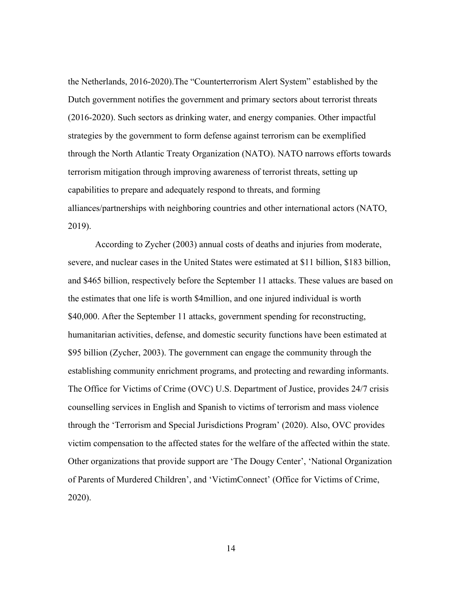the Netherlands, 2016-2020).The "Counterterrorism Alert System" established by the Dutch government notifies the government and primary sectors about terrorist threats (2016-2020). Such sectors as drinking water, and energy companies. Other impactful strategies by the government to form defense against terrorism can be exemplified through the North Atlantic Treaty Organization (NATO). NATO narrows efforts towards terrorism mitigation through improving awareness of terrorist threats, setting up capabilities to prepare and adequately respond to threats, and forming alliances/partnerships with neighboring countries and other international actors (NATO, 2019).

According to Zycher (2003) annual costs of deaths and injuries from moderate, severe, and nuclear cases in the United States were estimated at \$11 billion, \$183 billion, and \$465 billion, respectively before the September 11 attacks. These values are based on the estimates that one life is worth \$4million, and one injured individual is worth \$40,000. After the September 11 attacks, government spending for reconstructing, humanitarian activities, defense, and domestic security functions have been estimated at \$95 billion (Zycher, 2003). The government can engage the community through the establishing community enrichment programs, and protecting and rewarding informants. The Office for Victims of Crime (OVC) U.S. Department of Justice, provides 24/7 crisis counselling services in English and Spanish to victims of terrorism and mass violence through the 'Terrorism and Special Jurisdictions Program' (2020). Also, OVC provides victim compensation to the affected states for the welfare of the affected within the state. Other organizations that provide support are 'The Dougy Center', 'National Organization of Parents of Murdered Children', and 'VictimConnect' (Office for Victims of Crime, 2020).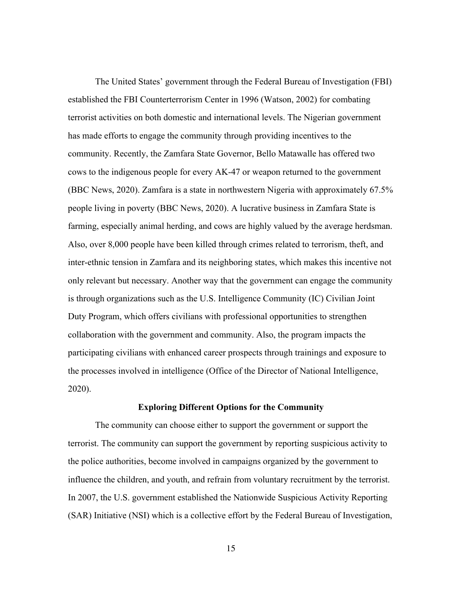The United States' government through the Federal Bureau of Investigation (FBI) established the FBI Counterterrorism Center in 1996 (Watson, 2002) for combating terrorist activities on both domestic and international levels. The Nigerian government has made efforts to engage the community through providing incentives to the community. Recently, the Zamfara State Governor, Bello Matawalle has offered two cows to the indigenous people for every AK-47 or weapon returned to the government (BBC News, 2020). Zamfara is a state in northwestern Nigeria with approximately 67.5% people living in poverty (BBC News, 2020). A lucrative business in Zamfara State is farming, especially animal herding, and cows are highly valued by the average herdsman. Also, over 8,000 people have been killed through crimes related to terrorism, theft, and inter-ethnic tension in Zamfara and its neighboring states, which makes this incentive not only relevant but necessary. Another way that the government can engage the community is through organizations such as the U.S. Intelligence Community (IC) Civilian Joint Duty Program, which offers civilians with professional opportunities to strengthen collaboration with the government and community. Also, the program impacts the participating civilians with enhanced career prospects through trainings and exposure to the processes involved in intelligence (Office of the Director of National Intelligence, 2020).

#### **Exploring Different Options for the Community**

The community can choose either to support the government or support the terrorist. The community can support the government by reporting suspicious activity to the police authorities, become involved in campaigns organized by the government to influence the children, and youth, and refrain from voluntary recruitment by the terrorist. In 2007, the U.S. government established the Nationwide Suspicious Activity Reporting (SAR) Initiative (NSI) which is a collective effort by the Federal Bureau of Investigation,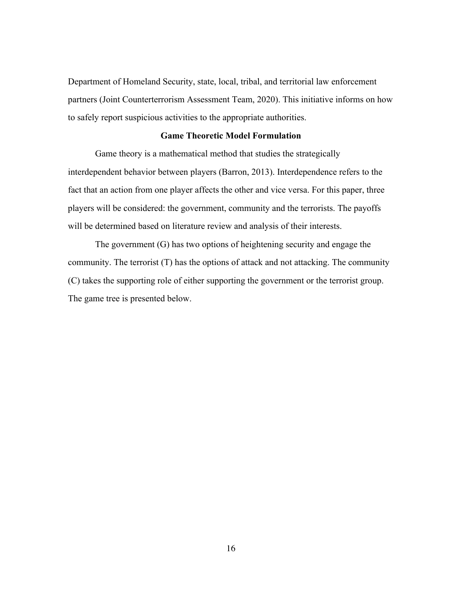Department of Homeland Security, state, local, tribal, and territorial law enforcement partners (Joint Counterterrorism Assessment Team, 2020). This initiative informs on how to safely report suspicious activities to the appropriate authorities.

### **Game Theoretic Model Formulation**

Game theory is a mathematical method that studies the strategically interdependent behavior between players (Barron, 2013). Interdependence refers to the fact that an action from one player affects the other and vice versa. For this paper, three players will be considered: the government, community and the terrorists. The payoffs will be determined based on literature review and analysis of their interests.

The government (G) has two options of heightening security and engage the community. The terrorist (T) has the options of attack and not attacking. The community (C) takes the supporting role of either supporting the government or the terrorist group. The game tree is presented below.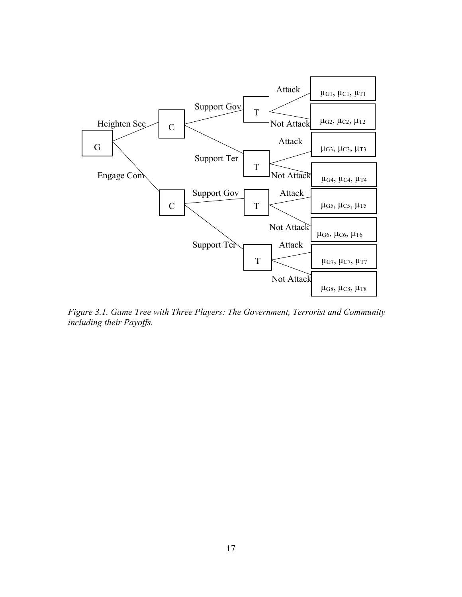

*Figure 3.1. Game Tree with Three Players: The Government, Terrorist and Community including their Payoffs.*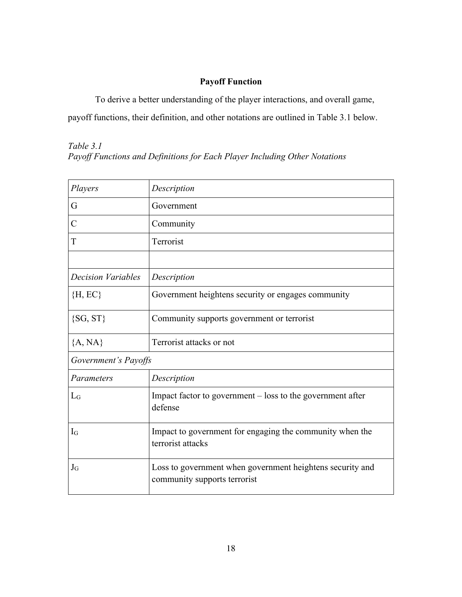# **Payoff Function**

To derive a better understanding of the player interactions, and overall game, payoff functions, their definition, and other notations are outlined in Table 3.1 below.

### *Table 3.1*

*Payoff Functions and Definitions for Each Player Including Other Notations*

| Players              | Description                                                                               |  |
|----------------------|-------------------------------------------------------------------------------------------|--|
| G                    | Government                                                                                |  |
| $\overline{C}$       | Community                                                                                 |  |
| T                    | Terrorist                                                                                 |  |
|                      |                                                                                           |  |
| Decision Variables   | Description                                                                               |  |
| $\{H, EC\}$          | Government heightens security or engages community                                        |  |
| $\{SG, ST\}$         | Community supports government or terrorist                                                |  |
| ${A, NA}$            | Terrorist attacks or not                                                                  |  |
| Government's Payoffs |                                                                                           |  |
| Parameters           | Description                                                                               |  |
| $L_G$                | Impact factor to government $-$ loss to the government after<br>defense                   |  |
| $I_G$                | Impact to government for engaging the community when the<br>terrorist attacks             |  |
| $J_G$                | Loss to government when government heightens security and<br>community supports terrorist |  |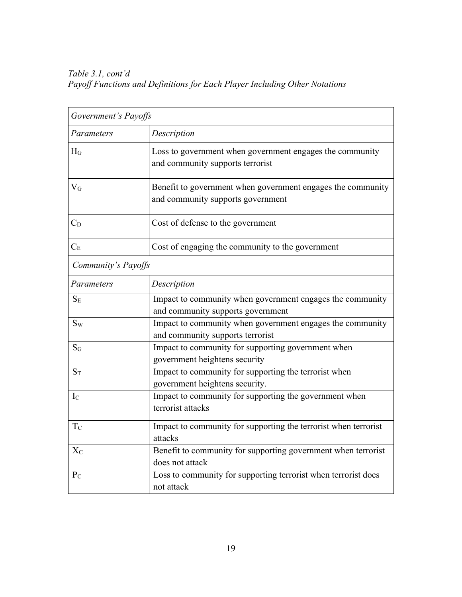*Table 3.1, cont'd Payoff Functions and Definitions for Each Player Including Other Notations*

| Government's Payoffs |                                                                                                  |  |  |
|----------------------|--------------------------------------------------------------------------------------------------|--|--|
| Parameters           | Description                                                                                      |  |  |
| $H_G$                | Loss to government when government engages the community<br>and community supports terrorist     |  |  |
| $\rm V_G$            | Benefit to government when government engages the community<br>and community supports government |  |  |
| $C_D$                | Cost of defense to the government                                                                |  |  |
| $C_E$                | Cost of engaging the community to the government                                                 |  |  |
| Community's Payoffs  |                                                                                                  |  |  |
| Parameters           | Description                                                                                      |  |  |
| $S_{E}$              | Impact to community when government engages the community<br>and community supports government   |  |  |
| $S_{W}$              | Impact to community when government engages the community<br>and community supports terrorist    |  |  |
| $S_G$                | Impact to community for supporting government when<br>government heightens security              |  |  |
| $S_T$                | Impact to community for supporting the terrorist when<br>government heightens security.          |  |  |
| $I_{\rm C}$          | Impact to community for supporting the government when<br>terrorist attacks                      |  |  |
| T <sub>C</sub>       | Impact to community for supporting the terrorist when terrorist<br>attacks                       |  |  |
| $X_{C}$              | Benefit to community for supporting government when terrorist<br>does not attack                 |  |  |
| $P_{C}$              | Loss to community for supporting terrorist when terrorist does<br>not attack                     |  |  |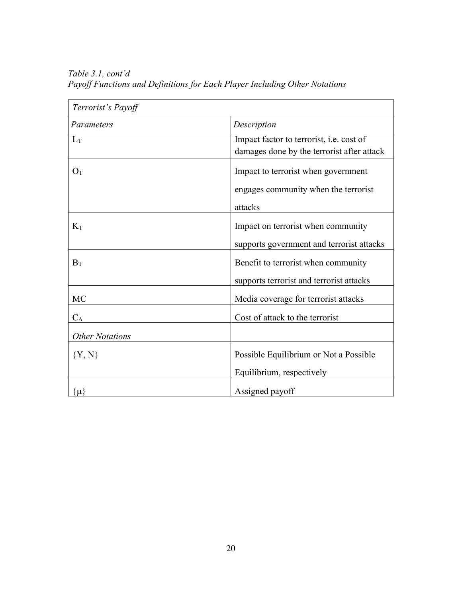| Terrorist's Payoff     |                                                                                        |  |
|------------------------|----------------------------------------------------------------------------------------|--|
| Parameters             | Description                                                                            |  |
| $L_T$                  | Impact factor to terrorist, i.e. cost of<br>damages done by the terrorist after attack |  |
| $O_T$                  | Impact to terrorist when government                                                    |  |
|                        | engages community when the terrorist<br>attacks                                        |  |
| $K_T$                  | Impact on terrorist when community                                                     |  |
|                        | supports government and terrorist attacks                                              |  |
| $B_T$                  | Benefit to terrorist when community                                                    |  |
|                        | supports terrorist and terrorist attacks                                               |  |
| <b>MC</b>              | Media coverage for terrorist attacks                                                   |  |
| $C_A$                  | Cost of attack to the terrorist                                                        |  |
| <b>Other Notations</b> |                                                                                        |  |
| ${Y, N}$               | Possible Equilibrium or Not a Possible                                                 |  |
|                        | Equilibrium, respectively                                                              |  |
| $\{\mu\}$              | Assigned payoff                                                                        |  |

*Table 3.1, cont'd Payoff Functions and Definitions for Each Player Including Other Notations*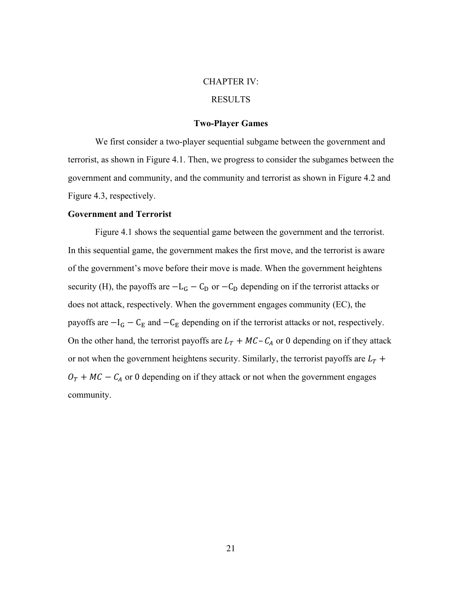#### CHAPTER IV:

### RESULTS

#### **Two-Player Games**

We first consider a two-player sequential subgame between the government and terrorist, as shown in Figure 4.1. Then, we progress to consider the subgames between the government and community, and the community and terrorist as shown in Figure 4.2 and Figure 4.3, respectively.

#### **Government and Terrorist**

Figure 4.1 shows the sequential game between the government and the terrorist. In this sequential game, the government makes the first move, and the terrorist is aware of the government's move before their move is made. When the government heightens security (H), the payoffs are  $-L_G - C_D$  or  $-C_D$  depending on if the terrorist attacks or does not attack, respectively. When the government engages community (EC), the payoffs are  $-I$ <sub>G</sub> − C<sub>E</sub> and −C<sub>E</sub> depending on if the terrorist attacks or not, respectively. On the other hand, the terrorist payoffs are  $L_T + MC - C_A$  or 0 depending on if they attack or not when the government heightens security. Similarly, the terrorist payoffs are  $L_T$  +  $O_T + MC - C_A$  or 0 depending on if they attack or not when the government engages community.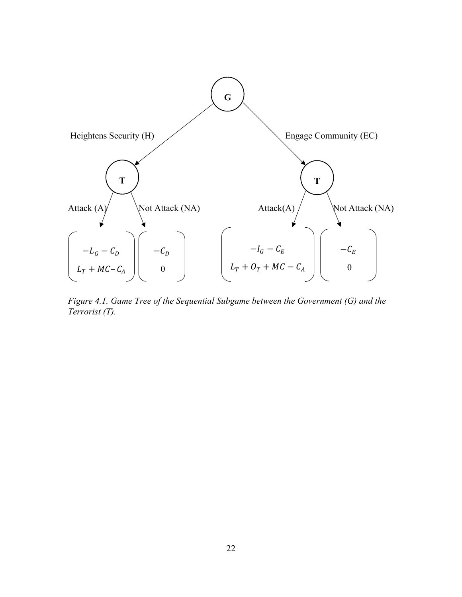

*Figure 4.1. Game Tree of the Sequential Subgame between the Government (G) and the Terrorist (T).*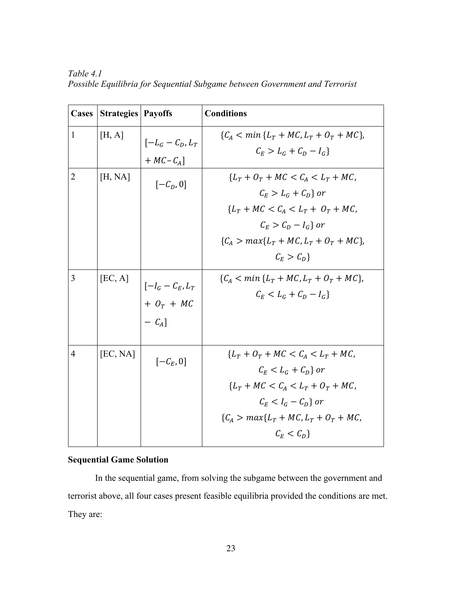| <b>Cases</b>   | <b>Strategies   Payoffs</b> |                                                 | <b>Conditions</b>                                                                                                                                                                     |
|----------------|-----------------------------|-------------------------------------------------|---------------------------------------------------------------------------------------------------------------------------------------------------------------------------------------|
| $\mathbf{1}$   | [H, A]                      | $\left[-L_G - C_D, L_T\right]$<br>$+ MC - CA$ ] | ${C_A < min {L_T + MC, L_T + O_T + MC}},$<br>$C_F > L_c + C_D - I_c$                                                                                                                  |
| $\overline{2}$ | [H, NA]                     | $[-\mathcal{C}_D, 0]$                           | ${LT + OT + MC < CA < LT + MC}$<br>$C_F > L_G + C_D$ or<br>${L_T + MC < C_A < L_T + O_T + MC}$<br>$C_F > C_D - I_G$ or<br>${C_A > max{L_T + MC, L_T + O_T + MC}},$<br>$C_F > C_D$     |
| $\overline{3}$ | [EC, A]                     | $[-I_G - C_E, L_T]$<br>$+ O_T + MC$<br>$- CA$ ] | ${C_A < min {L_T + MC, L_T + O_T + MC}},$<br>$C_F < L_G + C_D - I_G$                                                                                                                  |
| $\overline{4}$ | [EC, NA]                    | $[-\mathcal{C}_E, 0]$                           | ${L_T + O_T + MC < C_A < L_T + MC}$<br>$C_F < L_G + C_D$ or<br>${L_T + MC < C_A < L_T + O_T + MC}$<br>$C_F < I_G - C_D$ or<br>${C_A > max{L_T + MC, L_T + O_T + MC,}}$<br>$C_F < C_D$ |

*Table 4.1 Possible Equilibria for Sequential Subgame between Government and Terrorist* 

## **Sequential Game Solution**

In the sequential game, from solving the subgame between the government and terrorist above, all four cases present feasible equilibria provided the conditions are met. They are: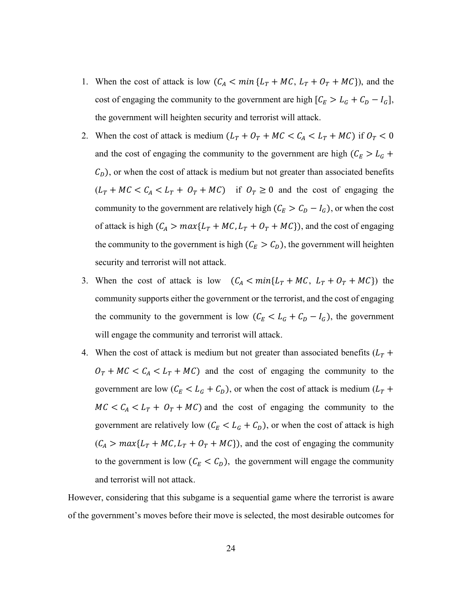- 1. When the cost of attack is low  $(C_A < min\{L_T + MC, L_T + O_T + MC\})$ , and the cost of engaging the community to the government are high  $[C_E > L_G + C_D - I_G]$ , the government will heighten security and terrorist will attack.
- 2. When the cost of attack is medium  $(L_T + O_T + MC < C_A < L_T + MC)$  if  $O_T < 0$ and the cost of engaging the community to the government are high  $(C_E > L_G +$  $C_D$ ), or when the cost of attack is medium but not greater than associated benefits  $(L_T + MC < C_A < L_T + O_T + MC)$  if  $O_T \ge 0$  and the cost of engaging the community to the government are relatively high ( $C_E > C_D - I_G$ ), or when the cost of attack is high  $(C_A > max{L_T + MC, L_T + O_T + MC})$ , and the cost of engaging the community to the government is high  $(C_E > C_D)$ , the government will heighten security and terrorist will not attack.
- 3. When the cost of attack is low  $(C_A < min{L_T + MC}, L_T + O_T + MC)$  the community supports either the government or the terrorist, and the cost of engaging the community to the government is low  $(C_E < L_G + C_D - I_G)$ , the government will engage the community and terrorist will attack.
- 4. When the cost of attack is medium but not greater than associated benefits  $(L_T +$  $O_T + MC < C_A < L_T + MC$  and the cost of engaging the community to the government are low ( $C_E < L_G + C_D$ ), or when the cost of attack is medium ( $L_T$  +  $MC < C_A < L_T + O_T + MC$  and the cost of engaging the community to the government are relatively low  $(C_E < L_G + C_D)$ , or when the cost of attack is high  $(C_A > max{L_T + MC, L_T + O_T + MC}$ , and the cost of engaging the community to the government is low  $(C_E < C_D)$ , the government will engage the community and terrorist will not attack.

However, considering that this subgame is a sequential game where the terrorist is aware of the government's moves before their move is selected, the most desirable outcomes for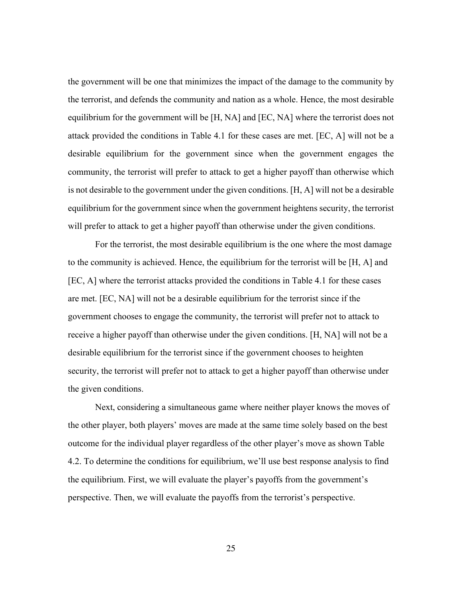the government will be one that minimizes the impact of the damage to the community by the terrorist, and defends the community and nation as a whole. Hence, the most desirable equilibrium for the government will be [H, NA] and [EC, NA] where the terrorist does not attack provided the conditions in Table 4.1 for these cases are met. [EC, A] will not be a desirable equilibrium for the government since when the government engages the community, the terrorist will prefer to attack to get a higher payoff than otherwise which is not desirable to the government under the given conditions. [H, A] will not be a desirable equilibrium for the government since when the government heightens security, the terrorist will prefer to attack to get a higher payoff than otherwise under the given conditions.

For the terrorist, the most desirable equilibrium is the one where the most damage to the community is achieved. Hence, the equilibrium for the terrorist will be [H, A] and [EC, A] where the terrorist attacks provided the conditions in Table 4.1 for these cases are met. [EC, NA] will not be a desirable equilibrium for the terrorist since if the government chooses to engage the community, the terrorist will prefer not to attack to receive a higher payoff than otherwise under the given conditions. [H, NA] will not be a desirable equilibrium for the terrorist since if the government chooses to heighten security, the terrorist will prefer not to attack to get a higher payoff than otherwise under the given conditions.

Next, considering a simultaneous game where neither player knows the moves of the other player, both players' moves are made at the same time solely based on the best outcome for the individual player regardless of the other player's move as shown Table 4.2. To determine the conditions for equilibrium, we'll use best response analysis to find the equilibrium. First, we will evaluate the player's payoffs from the government's perspective. Then, we will evaluate the payoffs from the terrorist's perspective.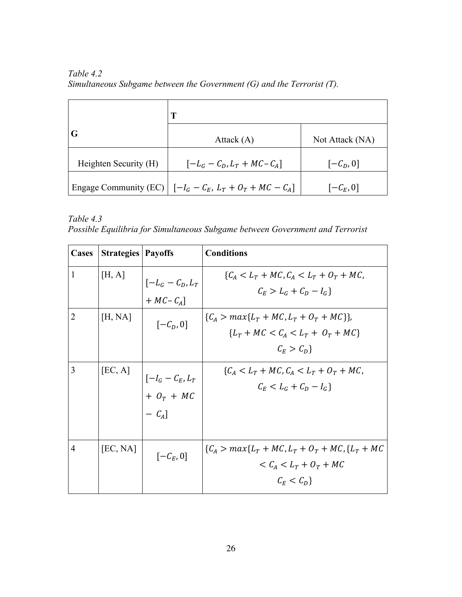*Table 4.2 Simultaneous Subgame between the Government (G) and the Terrorist (T).*

| G                     | Attack $(A)$                                                          | Not Attack (NA)       |  |
|-----------------------|-----------------------------------------------------------------------|-----------------------|--|
| Heighten Security (H) | $[-L_G - C_D, L_T + MC - C_A]$                                        | $[-\mathcal{C}_D, 0]$ |  |
|                       | Engage Community (EC) $\left[-I_G - C_E, L_T + O_T + MC - C_A\right]$ | $[-\mathcal{C}_E, 0]$ |  |

*Table 4.3 Possible Equilibria for Simultaneous Subgame between Government and Terrorist* 

| <b>Cases</b>   | <b>Strategies   Payoffs</b> |                                                 | <b>Conditions</b>                                                                                                         |
|----------------|-----------------------------|-------------------------------------------------|---------------------------------------------------------------------------------------------------------------------------|
| $\mathbf{1}$   | [H, A]                      | $\left[-L_G - C_D, L_T\right]$<br>$+ MC - CA$ ] | ${C_A < L_T + MC, C_A < L_T + O_T + MC,}$<br>$C_F > L_G + C_D - I_G$                                                      |
| 2              | [H, NA]                     | $[-\mathcal{C}_D, 0]$                           | ${C_A > max{L_T + MC, L_T + O_T + MC}}$<br>${Lr + MC < CA < Lr + Or + MC}$<br>$C_F > C_D$                                 |
| 3              | [EC, A]                     | $[-I_G - C_E, L_T]$<br>$+ O_T + MC$<br>$- CA$ ] | ${C_A < L_T + MC, C_A < L_T + O_T + MC,}$<br>$C_F < L_G + C_D - I_G$                                                      |
| $\overline{4}$ | [EC, NA]                    | $[-\mathcal{C}_E, 0]$                           | $\{C_A > max\{L_T + MC, L_T + O_T + MC\}$ , $\{L_T + MC\}$<br>$\langle C_A \langle L_T + O_T + MC \rangle$<br>$C_F < C_D$ |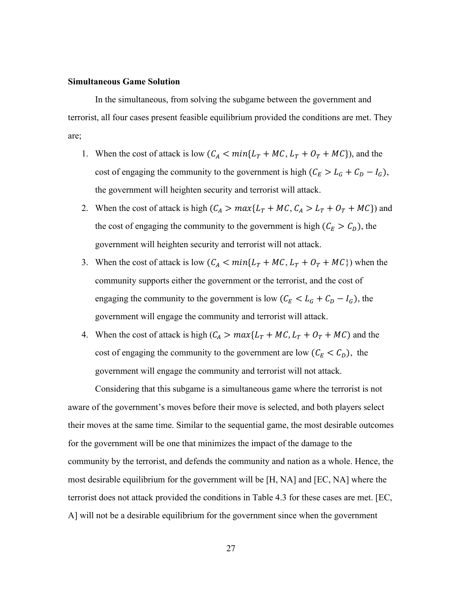#### **Simultaneous Game Solution**

In the simultaneous, from solving the subgame between the government and terrorist, all four cases present feasible equilibrium provided the conditions are met. They are;

- 1. When the cost of attack is low  $(C_A < min{L_T + MC, L_T + O_T + MC})$ , and the cost of engaging the community to the government is high  $(C_E > L_G + C_D - I_G)$ , the government will heighten security and terrorist will attack.
- 2. When the cost of attack is high  $(C_A > max{L_T + MC, C_A > L_T + O_T + MC})$  and the cost of engaging the community to the government is high  $(C_E > C_D)$ , the government will heighten security and terrorist will not attack.
- 3. When the cost of attack is low  $(C_A < min{L_T + MC, L_T + O_T + MC})$  when the community supports either the government or the terrorist, and the cost of engaging the community to the government is low ( $C_E < L_G + C_D - I_G$ ), the government will engage the community and terrorist will attack.
- 4. When the cost of attack is high  $(C_A > max{L_T + MC, L_T + O_T + MC})$  and the cost of engaging the community to the government are low  $(C_E < C_D)$ , the government will engage the community and terrorist will not attack.

Considering that this subgame is a simultaneous game where the terrorist is not aware of the government's moves before their move is selected, and both players select their moves at the same time. Similar to the sequential game, the most desirable outcomes for the government will be one that minimizes the impact of the damage to the community by the terrorist, and defends the community and nation as a whole. Hence, the most desirable equilibrium for the government will be [H, NA] and [EC, NA] where the terrorist does not attack provided the conditions in Table 4.3 for these cases are met. [EC, A] will not be a desirable equilibrium for the government since when the government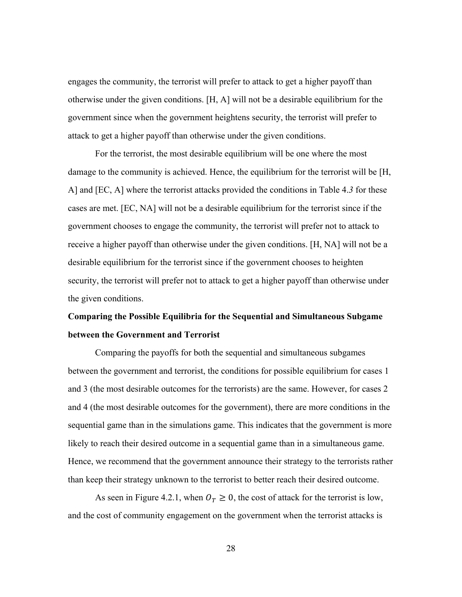engages the community, the terrorist will prefer to attack to get a higher payoff than otherwise under the given conditions. [H, A] will not be a desirable equilibrium for the government since when the government heightens security, the terrorist will prefer to attack to get a higher payoff than otherwise under the given conditions.

For the terrorist, the most desirable equilibrium will be one where the most damage to the community is achieved. Hence, the equilibrium for the terrorist will be [H, A] and [EC, A] where the terrorist attacks provided the conditions in Table 4.*3* for these cases are met. [EC, NA] will not be a desirable equilibrium for the terrorist since if the government chooses to engage the community, the terrorist will prefer not to attack to receive a higher payoff than otherwise under the given conditions. [H, NA] will not be a desirable equilibrium for the terrorist since if the government chooses to heighten security, the terrorist will prefer not to attack to get a higher payoff than otherwise under the given conditions.

# **Comparing the Possible Equilibria for the Sequential and Simultaneous Subgame between the Government and Terrorist**

Comparing the payoffs for both the sequential and simultaneous subgames between the government and terrorist, the conditions for possible equilibrium for cases 1 and 3 (the most desirable outcomes for the terrorists) are the same. However, for cases 2 and 4 (the most desirable outcomes for the government), there are more conditions in the sequential game than in the simulations game. This indicates that the government is more likely to reach their desired outcome in a sequential game than in a simultaneous game. Hence, we recommend that the government announce their strategy to the terrorists rather than keep their strategy unknown to the terrorist to better reach their desired outcome.

As seen in Figure 4.2.1, when  $O_T \geq 0$ , the cost of attack for the terrorist is low, and the cost of community engagement on the government when the terrorist attacks is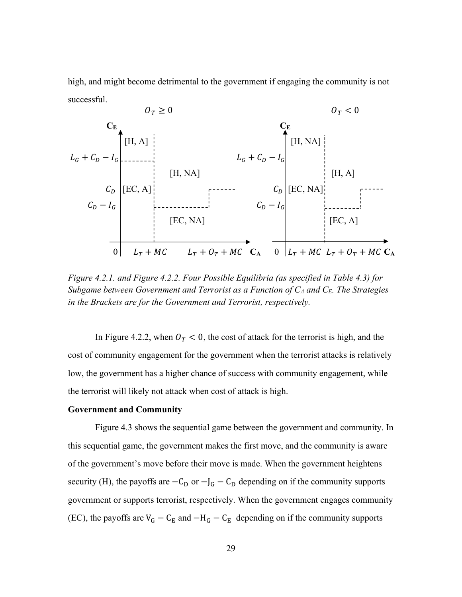high, and might become detrimental to the government if engaging the community is not successful.



*Figure 4.2.1. and Figure 4.2.2. Four Possible Equilibria (as specified in Table 4.3) for Subgame between Government and Terrorist as a Function of CA and CE. The Strategies in the Brackets are for the Government and Terrorist, respectively.* 

In Figure 4.2.2, when  $O_T < 0$ , the cost of attack for the terrorist is high, and the cost of community engagement for the government when the terrorist attacks is relatively low, the government has a higher chance of success with community engagement, while the terrorist will likely not attack when cost of attack is high.

#### **Government and Community**

Figure 4.3 shows the sequential game between the government and community. In this sequential game, the government makes the first move, and the community is aware of the government's move before their move is made. When the government heightens security (H), the payoffs are  $-C_D$  or  $-J_G - C_D$  depending on if the community supports government or supports terrorist, respectively. When the government engages community (EC), the payoffs are  $V_G - C_E$  and  $-H_G - C_E$  depending on if the community supports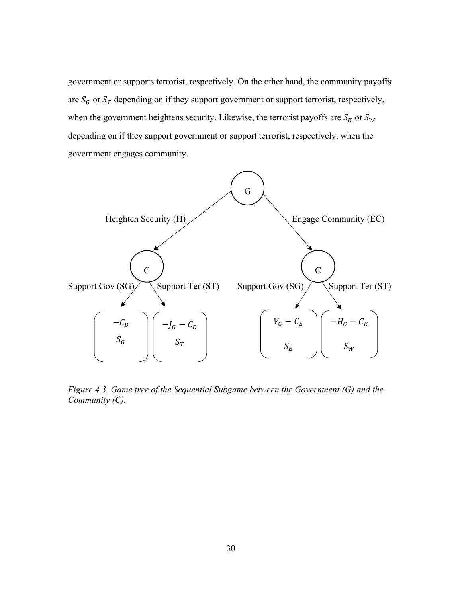government or supports terrorist, respectively. On the other hand, the community payoffs are  $S_G$  or  $S_T$  depending on if they support government or support terrorist, respectively, when the government heightens security. Likewise, the terrorist payoffs are  $S_E$  or  $S_W$ depending on if they support government or support terrorist, respectively, when the government engages community.



*Figure 4.3. Game tree of the Sequential Subgame between the Government (G) and the Community (C).*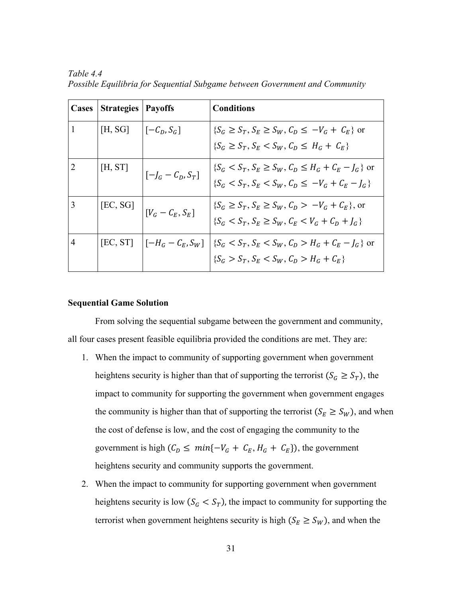| Cases        | Strategies   Payoffs    |                             | <b>Conditions</b>                                                                                                                                                                                                  |
|--------------|-------------------------|-----------------------------|--------------------------------------------------------------------------------------------------------------------------------------------------------------------------------------------------------------------|
| $\mathbf{1}$ | $[H, SG]$ $[-C_D, S_G]$ |                             | $\{S_G \geq S_T, S_E \geq S_W, C_D \leq -V_G + C_E\}$ or<br>$\{S_G \geq S_T, S_F < S_W, C_D \leq H_G + C_F\}$                                                                                                      |
| 2            | [H, ST]                 | $\big _{[-J_G - C_D, S_T]}$ | $\{S_G < S_T, S_E \geq S_W, C_D \leq H_G + C_E - I_G\}$ or<br>$\{S_G < S_T, S_E < S_W, C_D \leq -V_G + C_E - I_G\}$                                                                                                |
| 3            |                         | [EC, SG] $ V_G - C_E, S_E $ | $\{S_G \geq S_T, S_E \geq S_W, C_D > -V_G + C_E\}$ , or<br>$\{S_G < S_T, S_E \geq S_W, C_E < V_G + C_D + I_G\}$                                                                                                    |
| 4            |                         |                             | [EC, ST] $\left[ \begin{array}{cc} -H_G - C_E, S_W \end{array} \right]$ $\left[ \begin{array}{cc} S_G < S_T, S_E < S_W, C_D > H_G + C_E - J_G \end{array} \right]$ or<br>${S_G > S_T, S_E < S_W, C_D > H_G + C_E}$ |

*Table 4.4 Possible Equilibria for Sequential Subgame between Government and Community*

## **Sequential Game Solution**

From solving the sequential subgame between the government and community, all four cases present feasible equilibria provided the conditions are met. They are:

- 1. When the impact to community of supporting government when government heightens security is higher than that of supporting the terrorist ( $S_G \geq S_T$ ), the impact to community for supporting the government when government engages the community is higher than that of supporting the terrorist ( $S_E \ge S_W$ ), and when the cost of defense is low, and the cost of engaging the community to the government is high  $(C_D \leq min\{-V_G + C_E, H_G + C_E\})$ , the government heightens security and community supports the government.
- 2. When the impact to community for supporting government when government heightens security is low  $(S_G < S_T)$ , the impact to community for supporting the terrorist when government heightens security is high ( $S_E \ge S_W$ ), and when the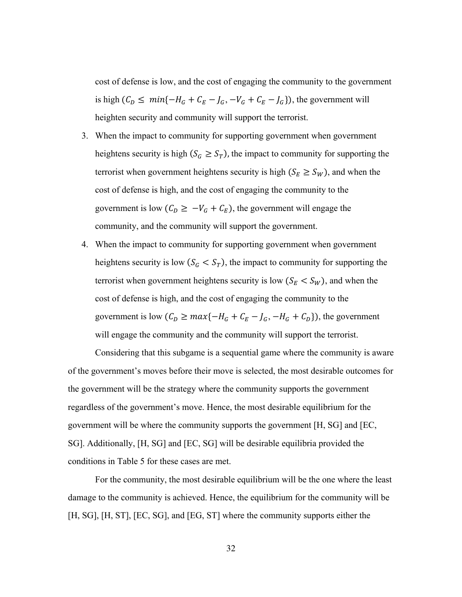cost of defense is low, and the cost of engaging the community to the government is high  $(C_D \leq min\{-H_G + C_E - J_G, -V_G + C_E - J_G\})$ , the government will heighten security and community will support the terrorist.

- 3. When the impact to community for supporting government when government heightens security is high ( $S_G \geq S_T$ ), the impact to community for supporting the terrorist when government heightens security is high  $(S_E \ge S_W)$ , and when the cost of defense is high, and the cost of engaging the community to the government is low  $(C_D \geq -V_G + C_E)$ , the government will engage the community, and the community will support the government.
- 4. When the impact to community for supporting government when government heightens security is low  $(S_G < S_T)$ , the impact to community for supporting the terrorist when government heightens security is low  $(S_E < S_W)$ , and when the cost of defense is high, and the cost of engaging the community to the government is low  $(C_D \ge max\{-H_G + C_E - J_G, -H_G + C_D\})$ , the government will engage the community and the community will support the terrorist.

Considering that this subgame is a sequential game where the community is aware of the government's moves before their move is selected, the most desirable outcomes for the government will be the strategy where the community supports the government regardless of the government's move. Hence, the most desirable equilibrium for the government will be where the community supports the government [H, SG] and [EC, SG]. Additionally, [H, SG] and [EC, SG] will be desirable equilibria provided the conditions in Table 5 for these cases are met.

For the community, the most desirable equilibrium will be the one where the least damage to the community is achieved. Hence, the equilibrium for the community will be [H, SG], [H, ST], [EC, SG], and [EG, ST] where the community supports either the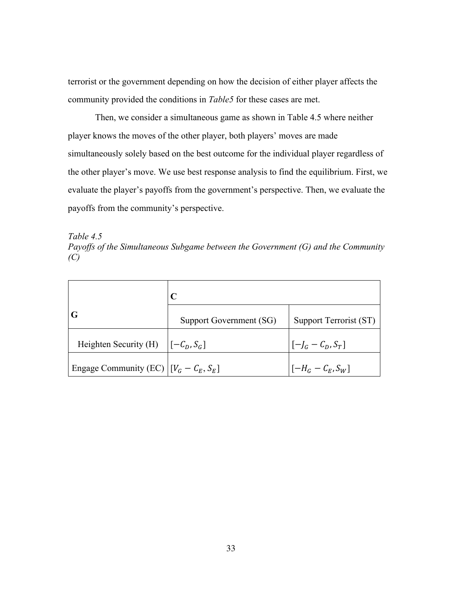terrorist or the government depending on how the decision of either player affects the community provided the conditions in *Table5* for these cases are met.

Then, we consider a simultaneous game as shown in Table 4.5 where neither player knows the moves of the other player, both players' moves are made simultaneously solely based on the best outcome for the individual player regardless of the other player's move. We use best response analysis to find the equilibrium. First, we evaluate the player's payoffs from the government's perspective. Then, we evaluate the payoffs from the community's perspective.

*Table 4.5 Payoffs of the Simultaneous Subgame between the Government (G) and the Community (C)*

|                                          | Support Government (SG) | Support Terrorist (ST)                     |  |
|------------------------------------------|-------------------------|--------------------------------------------|--|
| Heighten Security (H) $[-C_D, S_G]$      |                         | $\left[\left[-\right]_G - C_D, S_T\right]$ |  |
| Engage Community (EC) $[V_G - C_E, S_E]$ |                         | $\left[ [-H_G - C_E, S_W] \right]$         |  |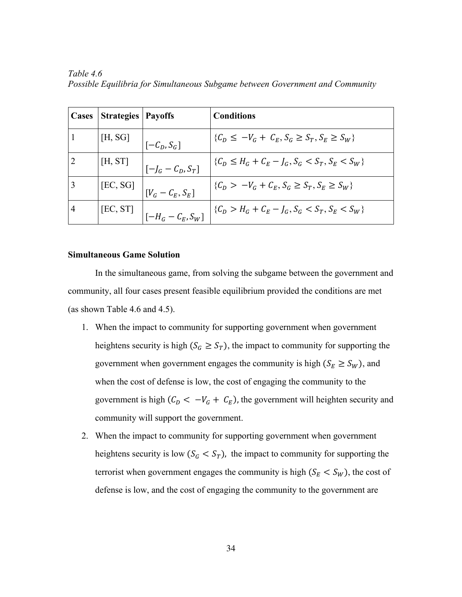| Cases          | <b>Strategies   Payoffs</b> |                                                                                                                                                                                                                                                                                                                                                                                                                           | <b>Conditions</b>                                                                       |
|----------------|-----------------------------|---------------------------------------------------------------------------------------------------------------------------------------------------------------------------------------------------------------------------------------------------------------------------------------------------------------------------------------------------------------------------------------------------------------------------|-----------------------------------------------------------------------------------------|
|                | [H, SG]                     | $\left  \left[ -\mathcal{C}_{D}, \mathcal{S}_{G} \right] \right $                                                                                                                                                                                                                                                                                                                                                         | $\{C_D \leq -V_G + C_E, S_G \geq S_T, S_E \geq S_W\}$                                   |
|                | [H, ST]                     | $\big _{[-]_G - C_D, S_T]}$                                                                                                                                                                                                                                                                                                                                                                                               | $\{C_D \leq H_G + C_E - J_G, S_G < S_T, S_E < S_W\}$                                    |
|                |                             | $\begin{array}{c c} \text{[EC, SG]} & & \text{[} & & \text{[} & & \text{[} & & \text{[} & & \text{[} & \text{[} & \text{[} & \text{[} & \text{[} & \text{[} & \text{[} & \text{[} & \text{[} & \text{[} & \text{[} & \text{[} & \text{[} & \text{[} & \text{[} & \text{[} & \text{[} & \text{[} & \text{[} & \text{[} & \text{[} & \text{[} & \text{[} & \text{[} & \text{[} & \text{[} & \text{[} & \text{[} & \text{[}$ | $\left  \{ \mathcal{C}_D > -V_G + \mathcal{C}_E, S_G \geq S_T, S_E \geq S_W \} \right $ |
| $\overline{4}$ |                             | $\begin{bmatrix} [EC,ST] \\  I - H_G - C_E, S_W] \end{bmatrix}$                                                                                                                                                                                                                                                                                                                                                           | $  \{C_D > H_G + C_E - J_G, S_G < S_T, S_E < S_W \}$                                    |

*Table 4.6 Possible Equilibria for Simultaneous Subgame between Government and Community*

### **Simultaneous Game Solution**

In the simultaneous game, from solving the subgame between the government and community, all four cases present feasible equilibrium provided the conditions are met (as shown Table 4.6 and 4.5).

- 1. When the impact to community for supporting government when government heightens security is high ( $S_G \geq S_T$ ), the impact to community for supporting the government when government engages the community is high  $(S_E \geq S_W)$ , and when the cost of defense is low, the cost of engaging the community to the government is high  $(C_D < -V_G + C_E)$ , the government will heighten security and community will support the government.
- 2. When the impact to community for supporting government when government heightens security is low  $(S_G < S_T)$ , the impact to community for supporting the terrorist when government engages the community is high  $(S_E < S_W)$ , the cost of defense is low, and the cost of engaging the community to the government are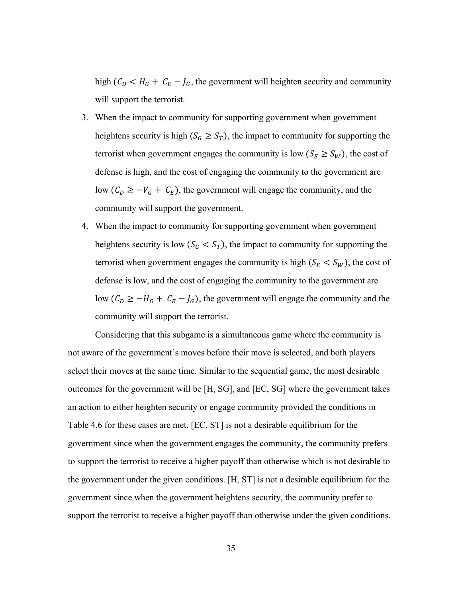high ( $C_D < H_G + C_E - J_G$ , the government will heighten security and community will support the terrorist.

- 3. When the impact to community for supporting government when government heightens security is high ( $S_G \geq S_T$ ), the impact to community for supporting the terrorist when government engages the community is low  $(S_E \geq S_W)$ , the cost of defense is high, and the cost of engaging the community to the government are low  $(C_D \geq -V_G + C_E)$ , the government will engage the community, and the community will support the government.
- 4. When the impact to community for supporting government when government heightens security is low  $(S_G < S_T)$ , the impact to community for supporting the terrorist when government engages the community is high  $(S_E < S_W)$ , the cost of defense is low, and the cost of engaging the community to the government are low  $(C_D \geq -H_G + C_E - J_G)$ , the government will engage the community and the community will support the terrorist.

Considering that this subgame is a simultaneous game where the community is not aware of the government's moves before their move is selected, and both players select their moves at the same time. Similar to the sequential game, the most desirable outcomes for the government will be [H, SG], and [EC, SG] where the government takes an action to either heighten security or engage community provided the conditions in Table 4.6 for these cases are met. [EC, ST] is not a desirable equilibrium for the government since when the government engages the community, the community prefers to support the terrorist to receive a higher payoff than otherwise which is not desirable to the government under the given conditions. [H, ST] is not a desirable equilibrium for the government since when the government heightens security, the community prefer to support the terrorist to receive a higher payoff than otherwise under the given conditions.

35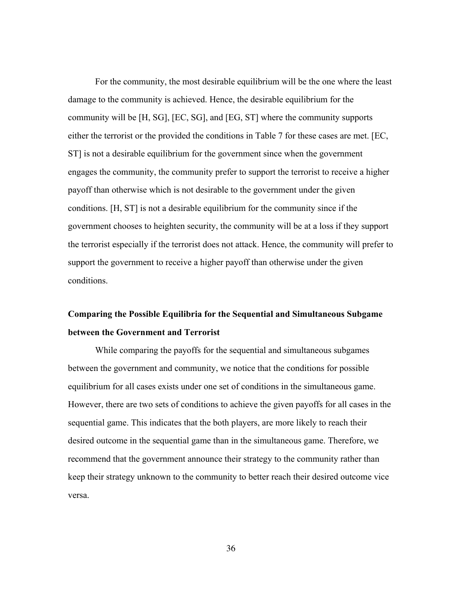For the community, the most desirable equilibrium will be the one where the least damage to the community is achieved. Hence, the desirable equilibrium for the community will be [H, SG], [EC, SG], and [EG, ST] where the community supports either the terrorist or the provided the conditions in Table 7 for these cases are met. [EC, ST] is not a desirable equilibrium for the government since when the government engages the community, the community prefer to support the terrorist to receive a higher payoff than otherwise which is not desirable to the government under the given conditions. [H, ST] is not a desirable equilibrium for the community since if the government chooses to heighten security, the community will be at a loss if they support the terrorist especially if the terrorist does not attack. Hence, the community will prefer to support the government to receive a higher payoff than otherwise under the given conditions.

# **Comparing the Possible Equilibria for the Sequential and Simultaneous Subgame between the Government and Terrorist**

While comparing the payoffs for the sequential and simultaneous subgames between the government and community, we notice that the conditions for possible equilibrium for all cases exists under one set of conditions in the simultaneous game. However, there are two sets of conditions to achieve the given payoffs for all cases in the sequential game. This indicates that the both players, are more likely to reach their desired outcome in the sequential game than in the simultaneous game. Therefore, we recommend that the government announce their strategy to the community rather than keep their strategy unknown to the community to better reach their desired outcome vice versa.

36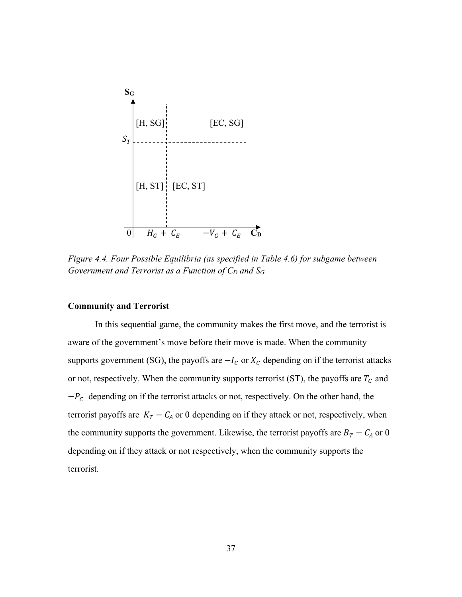

*Figure 4.4. Four Possible Equilibria (as specified in Table 4.6) for subgame between Government and Terrorist as a Function of*  $C_D$  *and*  $S_G$ 

## **Community and Terrorist**

In this sequential game, the community makes the first move, and the terrorist is aware of the government's move before their move is made. When the community supports government (SG), the payoffs are  $-I_c$  or  $X_c$  depending on if the terrorist attacks or not, respectively. When the community supports terrorist (ST), the payoffs are  $T_c$  and  $-P_c$  depending on if the terrorist attacks or not, respectively. On the other hand, the terrorist payoffs are  $K_T - C_A$  or 0 depending on if they attack or not, respectively, when the community supports the government. Likewise, the terrorist payoffs are  $B_T - C_A$  or 0 depending on if they attack or not respectively, when the community supports the terrorist.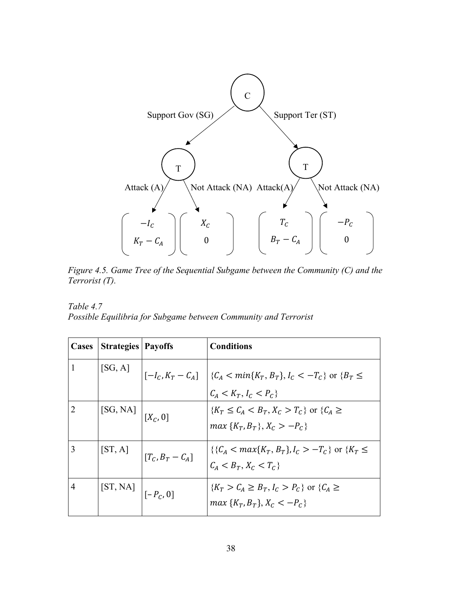

*Figure 4.5. Game Tree of the Sequential Subgame between the Community (C) and the Terrorist (T).*

*Table 4.7 Possible Equilibria for Subgame between Community and Terrorist* 

| Cases | <b>Strategies</b>   Payoffs |                                                                 | <b>Conditions</b>                                                                                                      |
|-------|-----------------------------|-----------------------------------------------------------------|------------------------------------------------------------------------------------------------------------------------|
|       |                             |                                                                 | [SG, A] $\Big  [-I_C, K_T - C_A] \Big  \{C_A < min\{K_T, B_T\}, I_C < -T_C\}$ or $\{B_T \le$<br>$C_A < K_T, I_C < P_C$ |
|       | [SG, NA] $\Big  [X_C, 0]$   |                                                                 | $\{K_T \leq C_A < B_T, X_C > T_C\}$ or $\{C_A \geq C_A\}$<br>$max\{K_T, B_T\}, X_C > -P_C\}$                           |
| 3     |                             | [ST, A] $\left[\begin{matrix}T_c, B_T - C_A\end{matrix}\right]$ | $\{\{C_A < max\{K_T, B_T\}, I_C > -T_C\} \text{ or } \{K_T \leq$<br>$C_A < B_T, X_C < T_C$                             |
| 4     | [ST, NA] $\Big  [-P_C, 0]$  |                                                                 | $\{K_T > C_A \geq B_T, I_C > P_C\}$ or $\{C_A \geq$<br>$max\{K_T, B_T\}, X_C < -P_C\}$                                 |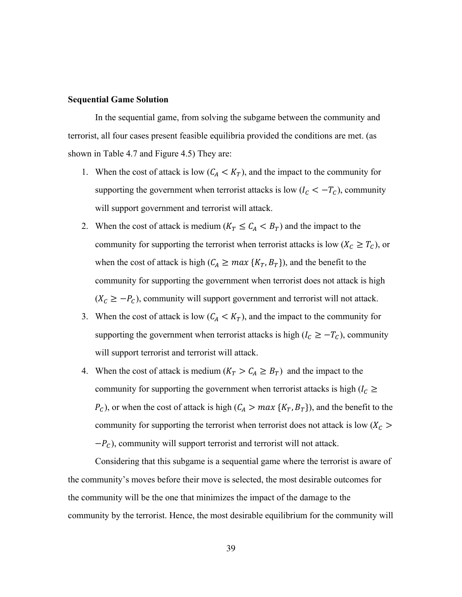## **Sequential Game Solution**

In the sequential game, from solving the subgame between the community and terrorist, all four cases present feasible equilibria provided the conditions are met. (as shown in Table 4.7 and Figure 4.5) They are:

- 1. When the cost of attack is low  $(C_A < K_T)$ , and the impact to the community for supporting the government when terrorist attacks is low ( $I_c < -T_c$ ), community will support government and terrorist will attack.
- 2. When the cost of attack is medium ( $K_T \leq C_A < B_T$ ) and the impact to the community for supporting the terrorist when terrorist attacks is low ( $X_c \geq T_c$ ), or when the cost of attack is high  $(C_A \geq max\{K_T, B_T\})$ , and the benefit to the community for supporting the government when terrorist does not attack is high  $(X_c \geq -P_c)$ , community will support government and terrorist will not attack.
- 3. When the cost of attack is low  $(C_A < K_T)$ , and the impact to the community for supporting the government when terrorist attacks is high ( $I_c \geq -T_c$ ), community will support terrorist and terrorist will attack.
- 4. When the cost of attack is medium  $(K_T > C_A \geq B_T)$  and the impact to the community for supporting the government when terrorist attacks is high ( $I_c \ge$  $P_c$ ), or when the cost of attack is high ( $C_A > max\ {K_T, B_T}$ ), and the benefit to the community for supporting the terrorist when terrorist does not attack is low  $(X_c >$  $-P_c$ ), community will support terrorist and terrorist will not attack.

Considering that this subgame is a sequential game where the terrorist is aware of the community's moves before their move is selected, the most desirable outcomes for the community will be the one that minimizes the impact of the damage to the community by the terrorist. Hence, the most desirable equilibrium for the community will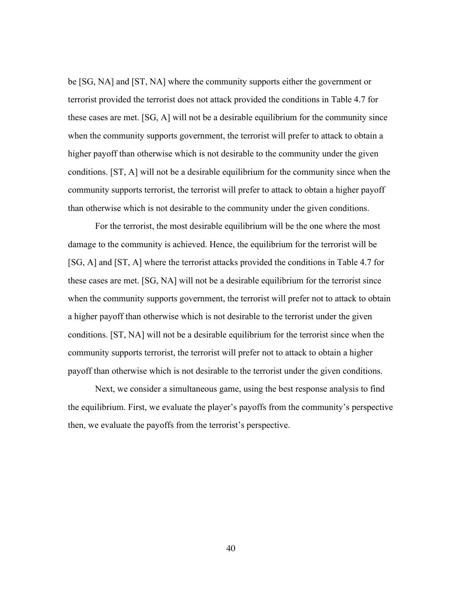be [SG, NA] and [ST, NA] where the community supports either the government or terrorist provided the terrorist does not attack provided the conditions in Table 4.7 for these cases are met. [SG, A] will not be a desirable equilibrium for the community since when the community supports government, the terrorist will prefer to attack to obtain a higher payoff than otherwise which is not desirable to the community under the given conditions. [ST, A] will not be a desirable equilibrium for the community since when the community supports terrorist, the terrorist will prefer to attack to obtain a higher payoff than otherwise which is not desirable to the community under the given conditions.

For the terrorist, the most desirable equilibrium will be the one where the most damage to the community is achieved. Hence, the equilibrium for the terrorist will be [SG, A] and [ST, A] where the terrorist attacks provided the conditions in Table 4.7 for these cases are met. [SG, NA] will not be a desirable equilibrium for the terrorist since when the community supports government, the terrorist will prefer not to attack to obtain a higher payoff than otherwise which is not desirable to the terrorist under the given conditions. [ST, NA] will not be a desirable equilibrium for the terrorist since when the community supports terrorist, the terrorist will prefer not to attack to obtain a higher payoff than otherwise which is not desirable to the terrorist under the given conditions.

Next, we consider a simultaneous game, using the best response analysis to find the equilibrium. First, we evaluate the player's payoffs from the community's perspective then, we evaluate the payoffs from the terrorist's perspective.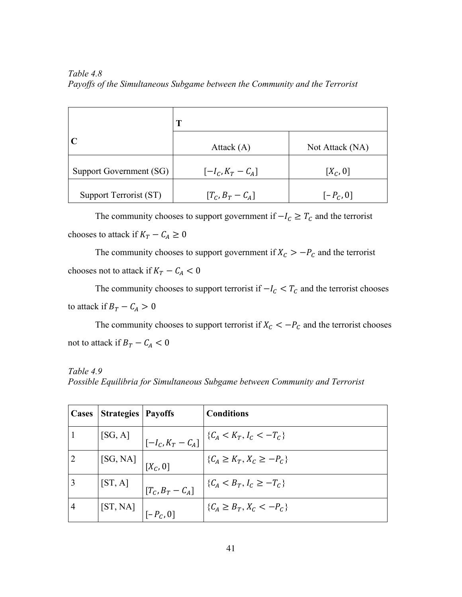*Table 4.8 Payoffs of the Simultaneous Subgame between the Community and the Terrorist* 

|                         | T                   |                 |  |
|-------------------------|---------------------|-----------------|--|
|                         | Attack $(A)$        | Not Attack (NA) |  |
| Support Government (SG) | $[-I_C, K_T - C_A]$ | $[X_C, 0]$      |  |
| Support Terrorist (ST)  | $[T_c, B_T - C_A]$  | $[-P_C, 0]$     |  |

The community chooses to support government if  $-I_c \geq T_c$  and the terrorist chooses to attack if  $K_T - C_A \geq 0$ 

The community chooses to support government if  $X_c > -P_c$  and the terrorist chooses not to attack if  $K_T - C_A < 0$ 

The community chooses to support terrorist if  $-I_c < T_c$  and the terrorist chooses to attack if  $B_T - C_A > 0$ 

The community chooses to support terrorist if  $X_c < -P_c$  and the terrorist chooses not to attack if  $B_T - C_A < 0$ 

*Table 4.9 Possible Equilibria for Simultaneous Subgame between Community and Terrorist* 

| Cases | <b>Strategies</b>                                                      | <b>Payoffs</b>                                                                                   | <b>Conditions</b>                                                   |
|-------|------------------------------------------------------------------------|--------------------------------------------------------------------------------------------------|---------------------------------------------------------------------|
|       |                                                                        |                                                                                                  | [SG, A] $\Big _{[-I_C, K_T - C_A]} \Big  \{C_A < K_T, I_C < -T_C\}$ |
|       | $\begin{bmatrix} [\text{SG},\text{NA}] \\ [X_c,0] \end{bmatrix}$       |                                                                                                  | $\{C_A \geq K_T, X_C \geq -P_C\}$                                   |
|       |                                                                        | $\begin{bmatrix} \text{ST}, \text{A} \end{bmatrix} \begin{bmatrix} T_c, B_T - C_A \end{bmatrix}$ | $\{C_A < B_T, I_C \geq -T_C\}$                                      |
| 4     | $\begin{bmatrix}$ [ST, NA] $\begin{bmatrix}   & -P_c, 0 \end{bmatrix}$ |                                                                                                  | $\{C_A \geq B_T, X_C \leq -P_C\}$                                   |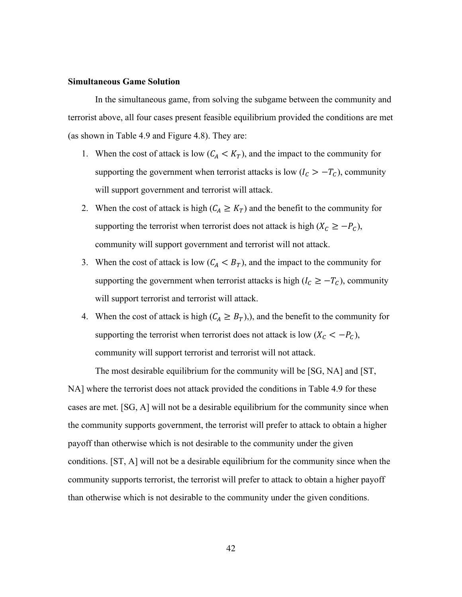#### **Simultaneous Game Solution**

In the simultaneous game, from solving the subgame between the community and terrorist above, all four cases present feasible equilibrium provided the conditions are met (as shown in Table 4.9 and Figure 4.8). They are:

- 1. When the cost of attack is low  $(C_A < K_T)$ , and the impact to the community for supporting the government when terrorist attacks is low ( $I_c > -T_c$ ), community will support government and terrorist will attack.
- 2. When the cost of attack is high  $(C_A \geq K_T)$  and the benefit to the community for supporting the terrorist when terrorist does not attack is high ( $X_c \ge -P_c$ ), community will support government and terrorist will not attack.
- 3. When the cost of attack is low  $(C_A < B_T)$ , and the impact to the community for supporting the government when terrorist attacks is high ( $I_c \geq -T_c$ ), community will support terrorist and terrorist will attack.
- 4. When the cost of attack is high  $(C_A \geq B_T)$ , and the benefit to the community for supporting the terrorist when terrorist does not attack is low  $(X_c < -P_c)$ , community will support terrorist and terrorist will not attack.

The most desirable equilibrium for the community will be [SG, NA] and [ST,

NA] where the terrorist does not attack provided the conditions in Table 4.9 for these cases are met. [SG, A] will not be a desirable equilibrium for the community since when the community supports government, the terrorist will prefer to attack to obtain a higher payoff than otherwise which is not desirable to the community under the given conditions. [ST, A] will not be a desirable equilibrium for the community since when the community supports terrorist, the terrorist will prefer to attack to obtain a higher payoff than otherwise which is not desirable to the community under the given conditions.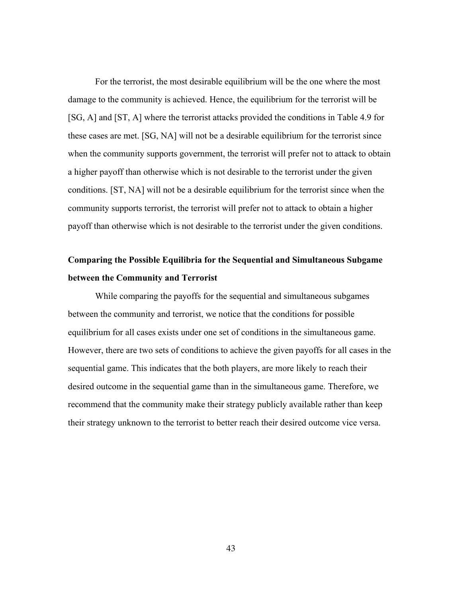For the terrorist, the most desirable equilibrium will be the one where the most damage to the community is achieved. Hence, the equilibrium for the terrorist will be [SG, A] and [ST, A] where the terrorist attacks provided the conditions in Table 4.9 for these cases are met. [SG, NA] will not be a desirable equilibrium for the terrorist since when the community supports government, the terrorist will prefer not to attack to obtain a higher payoff than otherwise which is not desirable to the terrorist under the given conditions. [ST, NA] will not be a desirable equilibrium for the terrorist since when the community supports terrorist, the terrorist will prefer not to attack to obtain a higher payoff than otherwise which is not desirable to the terrorist under the given conditions.

# **Comparing the Possible Equilibria for the Sequential and Simultaneous Subgame between the Community and Terrorist**

While comparing the payoffs for the sequential and simultaneous subgames between the community and terrorist, we notice that the conditions for possible equilibrium for all cases exists under one set of conditions in the simultaneous game. However, there are two sets of conditions to achieve the given payoffs for all cases in the sequential game. This indicates that the both players, are more likely to reach their desired outcome in the sequential game than in the simultaneous game. Therefore, we recommend that the community make their strategy publicly available rather than keep their strategy unknown to the terrorist to better reach their desired outcome vice versa.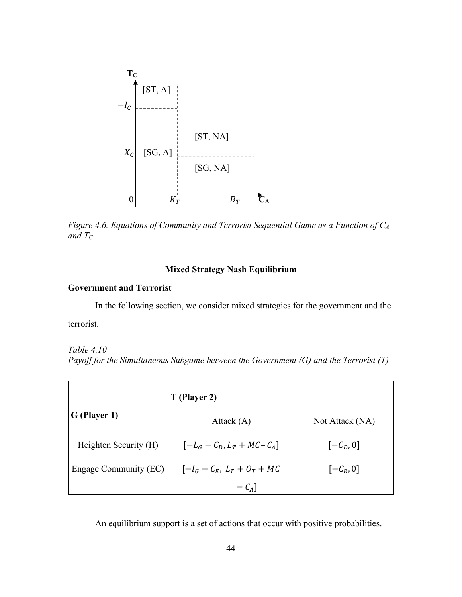

*Figure 4.6. Equations of Community and Terrorist Sequential Game as a Function of CA and TC*

## **Mixed Strategy Nash Equilibrium**

## **Government and Terrorist**

In the following section, we consider mixed strategies for the government and the terrorist.

### *Table 4.10*

*Payoff for the Simultaneous Subgame between the Government (G) and the Terrorist (T)*

|                       | T (Player 2)                   |                       |  |
|-----------------------|--------------------------------|-----------------------|--|
| G (Player 1)          | Attack $(A)$                   | Not Attack (NA)       |  |
| Heighten Security (H) | $[-L_G - C_D, L_T + MC - C_A]$ | $[-\mathcal{C}_D, 0]$ |  |
| Engage Community (EC) | $[-I_G - C_E, L_T + O_T + MC]$ | $[-\mathcal{C}_E, 0]$ |  |
|                       | $-C_A$ ]                       |                       |  |

An equilibrium support is a set of actions that occur with positive probabilities.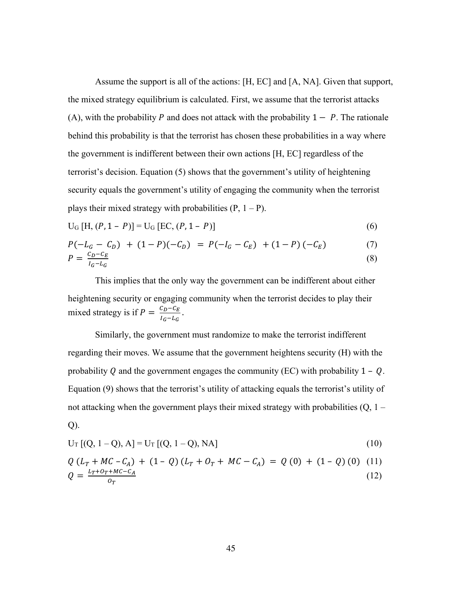Assume the support is all of the actions: [H, EC] and [A, NA]. Given that support, the mixed strategy equilibrium is calculated. First, we assume that the terrorist attacks (A), with the probability P and does not attack with the probability  $1 - P$ . The rationale behind this probability is that the terrorist has chosen these probabilities in a way where the government is indifferent between their own actions [H, EC] regardless of the terrorist's decision. Equation (5) shows that the government's utility of heightening security equals the government's utility of engaging the community when the terrorist plays their mixed strategy with probabilities  $(P, 1 - P)$ .

$$
U_{G}[H, (P, 1 - P)] = U_{G}[EC, (P, 1 - P)]
$$
\n(6)

$$
P(-L_G - C_D) + (1 - P)(-C_D) = P(-I_G - C_E) + (1 - P)(-C_E)
$$
\n
$$
P(-C_F) = P(-C_F) + (1 - P)(-C_E) \tag{7}
$$

$$
P = \frac{c_D - c_E}{l_G - l_G} \tag{8}
$$

This implies that the only way the government can be indifferent about either heightening security or engaging community when the terrorist decides to play their mixed strategy is if  $P = \frac{C_D - C_E}{I_G - I_G}$ .

Similarly, the government must randomize to make the terrorist indifferent regarding their moves. We assume that the government heightens security (H) with the probability Q and the government engages the community (EC) with probability  $1 - Q$ . Equation (9) shows that the terrorist's utility of attacking equals the terrorist's utility of not attacking when the government plays their mixed strategy with probabilities (Q, 1 – Q).

$$
U_T [(Q, 1 - Q), A] = U_T [(Q, 1 - Q), NA]
$$
\n(10)

$$
Q (L_T + MC - C_A) + (1 - Q) (L_T + O_T + MC - C_A) = Q (0) + (1 - Q) (0) (11)
$$
  
\n
$$
Q = \frac{L_T + O_T + MC - C_A}{O_T}
$$
 (12)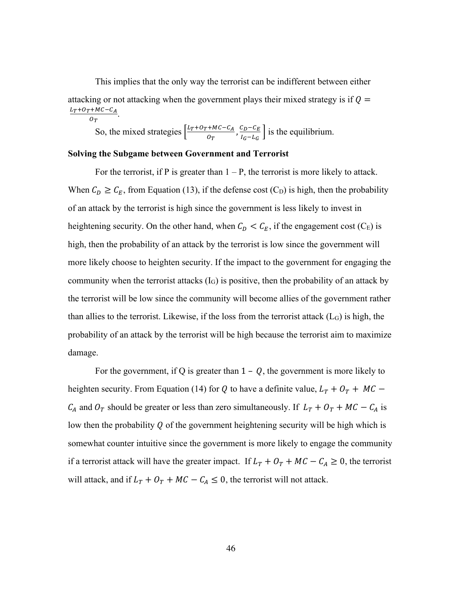This implies that the only way the terrorist can be indifferent between either attacking or not attacking when the government plays their mixed strategy is if  $Q =$  $L_T + O_T + MC - C_A$  $rac{\tau_{MC}-c_A}{o_T}$ .

So, the mixed strategies  $\frac{L_T + O_T + MC - C_A}{2}$  $rac{c_1 + MC - C_A}{C_T}, \frac{C_D - C_E}{C_G - C_G}$  $\frac{c_D - c_E}{a_G - a_G}$  is the equilibrium.

### **Solving the Subgame between Government and Terrorist**

For the terrorist, if P is greater than  $1 - P$ , the terrorist is more likely to attack. When  $C_D \ge C_E$ , from Equation (13), if the defense cost (C<sub>D</sub>) is high, then the probability of an attack by the terrorist is high since the government is less likely to invest in heightening security. On the other hand, when  $C_D < C_E$ , if the engagement cost (C<sub>E</sub>) is high, then the probability of an attack by the terrorist is low since the government will more likely choose to heighten security. If the impact to the government for engaging the community when the terrorist attacks  $(I_G)$  is positive, then the probability of an attack by the terrorist will be low since the community will become allies of the government rather than allies to the terrorist. Likewise, if the loss from the terrorist attack  $(L_G)$  is high, the probability of an attack by the terrorist will be high because the terrorist aim to maximize damage.

For the government, if Q is greater than  $1 - Q$ , the government is more likely to heighten security. From Equation (14) for Q to have a definite value,  $L_T + O_T + MC C_A$  and  $O_T$  should be greater or less than zero simultaneously. If  $L_T + O_T + MC - C_A$  is low then the probability  $\rho$  of the government heightening security will be high which is somewhat counter intuitive since the government is more likely to engage the community if a terrorist attack will have the greater impact. If  $L_T + O_T + MC - C_A \ge 0$ , the terrorist will attack, and if  $L_T + O_T + MC - C_A \leq 0$ , the terrorist will not attack.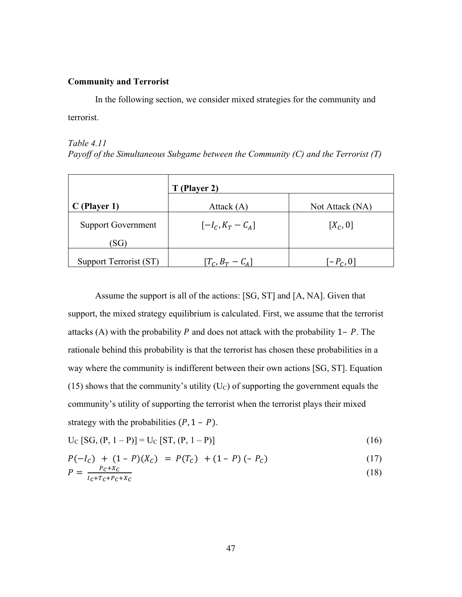## **Community and Terrorist**

In the following section, we consider mixed strategies for the community and terrorist.

## *Table 4.11 Payoff of the Simultaneous Subgame between the Community (C) and the Terrorist (T)*

|                           | T (Player 2)        |                 |  |
|---------------------------|---------------------|-----------------|--|
| $C$ (Player 1)            | Attack $(A)$        | Not Attack (NA) |  |
| <b>Support Government</b> | $[-I_C, K_T - C_A]$ | $[X_C, 0]$      |  |
| (SG)                      |                     |                 |  |
| Support Terrorist (ST)    | $[T_c, B_T - C_A]$  | $[-P_C,0]$      |  |

Assume the support is all of the actions: [SG, ST] and [A, NA]. Given that support, the mixed strategy equilibrium is calculated. First, we assume that the terrorist attacks (A) with the probability  $P$  and does not attack with the probability 1–  $P$ . The rationale behind this probability is that the terrorist has chosen these probabilities in a way where the community is indifferent between their own actions [SG, ST]. Equation (15) shows that the community's utility  $(U<sub>C</sub>)$  of supporting the government equals the community's utility of supporting the terrorist when the terrorist plays their mixed strategy with the probabilities  $(P, 1 - P)$ .

$$
U_C [SG, (P, 1 - P)] = U_C [ST, (P, 1 - P)]
$$
\n(16)

$$
P(-I_C) + (1 - P)(X_C) = P(T_C) + (1 - P)(-P_C)
$$
\n(17)

$$
P = \frac{P_c + X_C}{I_c + T_c + P_c + X_C} \tag{18}
$$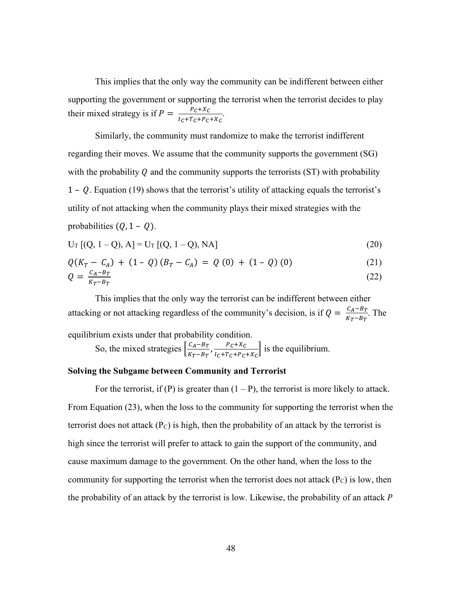This implies that the only way the community can be indifferent between either supporting the government or supporting the terrorist when the terrorist decides to play their mixed strategy is if  $P = \frac{P_C + X_C}{I_C + T_C + P_C + X_C}$ .

Similarly, the community must randomize to make the terrorist indifferent regarding their moves. We assume that the community supports the government (SG) with the probability  $Q$  and the community supports the terrorists (ST) with probability  $1 - Q$ . Equation (19) shows that the terrorist's utility of attacking equals the terrorist's utility of not attacking when the community plays their mixed strategies with the probabilities  $(Q, 1 - Q)$ .

$$
U_T [(Q, 1 - Q), A] = U_T [(Q, 1 - Q), NA]
$$
\n(20)

$$
Q(K_T - C_A) + (1 - Q)(B_T - C_A) = Q(0) + (1 - Q)(0)
$$
 (21)

$$
Q = \frac{c_A - B_T}{K_T - B_T} \tag{22}
$$

This implies that the only way the terrorist can be indifferent between either attacking or not attacking regardless of the community's decision, is if  $Q = \frac{C_A - B_T}{K_T - B_T}$ . The equilibrium exists under that probability condition.

So, the mixed strategies  $\frac{C_A - B_T}{V_B}$  $\frac{c_A - B_T}{K_T - B_T}$ ,  $\frac{P_C + X_C}{I_C + T_C + P_C + X_C}$  is the equilibrium.

## **Solving the Subgame between Community and Terrorist**

For the terrorist, if (P) is greater than  $(1 - P)$ , the terrorist is more likely to attack. From Equation (23), when the loss to the community for supporting the terrorist when the terrorist does not attack  $(P_C)$  is high, then the probability of an attack by the terrorist is high since the terrorist will prefer to attack to gain the support of the community, and cause maximum damage to the government. On the other hand, when the loss to the community for supporting the terrorist when the terrorist does not attack  $(P_C)$  is low, then the probability of an attack by the terrorist is low. Likewise, the probability of an attack  $P$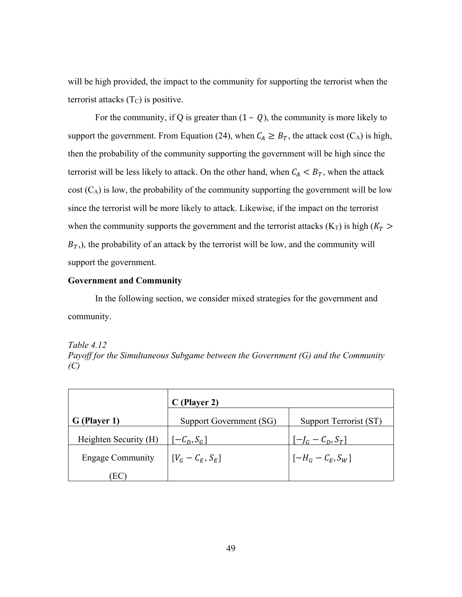will be high provided, the impact to the community for supporting the terrorist when the terrorist attacks  $(T_C)$  is positive.

For the community, if Q is greater than  $(1 - Q)$ , the community is more likely to support the government. From Equation (24), when  $C_A \geq B_T$ , the attack cost (C<sub>A</sub>) is high, then the probability of the community supporting the government will be high since the terrorist will be less likely to attack. On the other hand, when  $C_A < B_T$ , when the attack  $cost(C_A)$  is low, the probability of the community supporting the government will be low since the terrorist will be more likely to attack. Likewise, if the impact on the terrorist when the community supports the government and the terrorist attacks ( $K_T$ ) is high ( $K_T$ )  $B<sub>T</sub>$ ), the probability of an attack by the terrorist will be low, and the community will support the government.

### **Government and Community**

In the following section, we consider mixed strategies for the government and community.

#### *Table 4.12*

*Payoff for the Simultaneous Subgame between the Government (G) and the Community (C)*

|                         | $C$ (Player 2)          |                        |  |
|-------------------------|-------------------------|------------------------|--|
| G (Player 1)            | Support Government (SG) | Support Terrorist (ST) |  |
| Heighten Security (H)   | $[-C_D, S_G]$           | $[-l_G - C_D, S_T]$    |  |
| <b>Engage Community</b> | $[V_G - C_E, S_E]$      | $[-H_G - C_E, S_W]$    |  |
| ЕC                      |                         |                        |  |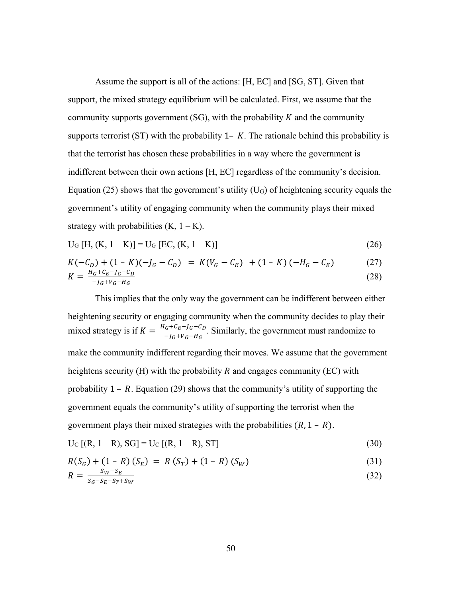Assume the support is all of the actions: [H, EC] and [SG, ST]. Given that support, the mixed strategy equilibrium will be calculated. First, we assume that the community supports government  $(SG)$ , with the probability K and the community supports terrorist (ST) with the probability  $1 - K$ . The rationale behind this probability is that the terrorist has chosen these probabilities in a way where the government is indifferent between their own actions [H, EC] regardless of the community's decision. Equation (25) shows that the government's utility  $(U<sub>G</sub>)$  of heightening security equals the government's utility of engaging community when the community plays their mixed strategy with probabilities  $(K, 1 - K)$ .

$$
U_{G}[H, (K, 1-K)] = U_{G}[EC, (K, 1-K)]
$$
\n(26)

$$
K(-C_D) + (1 - K)(-J_G - C_D) = K(V_G - C_E) + (1 - K)(-H_G - C_E)
$$
(27)  

$$
K = \frac{H_G + C_E - J_G - C_D}{I + W - H}
$$
(28)

$$
Y = \frac{n_G + \nu_G - \mu_G - \nu_D}{-\mu_G + \nu_G - \mu_G} \tag{28}
$$

This implies that the only way the government can be indifferent between either heightening security or engaging community when the community decides to play their mixed strategy is if  $K = \frac{H_G + C_E - J_G - C_D}{-J_G + V_G - H_G}$ . Similarly, the government must randomize to make the community indifferent regarding their moves. We assume that the government heightens security (H) with the probability  $R$  and engages community (EC) with probability  $1 - R$ . Equation (29) shows that the community's utility of supporting the government equals the community's utility of supporting the terrorist when the government plays their mixed strategies with the probabilities  $(R, 1 - R)$ .

$$
U_{C} [(R, 1 - R), SG] = U_{C} [(R, 1 - R), ST]
$$
\n(30)

$$
R(S_G) + (1 - R)(S_E) = R(S_T) + (1 - R)(S_W)
$$
\n(31)

$$
R = \frac{S_W - S_E}{S_G - S_E - S_T + S_W} \tag{32}
$$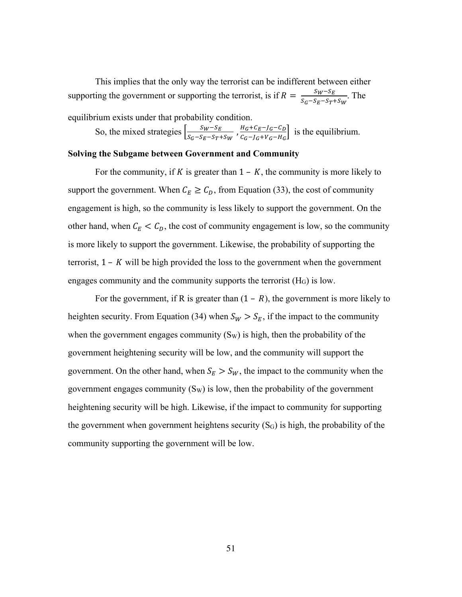This implies that the only way the terrorist can be indifferent between either supporting the government or supporting the terrorist, is if  $R = \frac{S_W - S_E}{S_G - S_E - S_T + S_W}$ . The

equilibrium exists under that probability condition.

So, the mixed strategies  $\left[\frac{S_W - S_E}{S_G - S_E - S_T + S_W}, \frac{H_G + C_E - J_G - C_D}{C_G - J_G + V_G - H_G}\right]$  $\frac{n_G + c_E - j_G - c_D}{c_G - j_G + v_G - h_G}$  is the equilibrium.

### **Solving the Subgame between Government and Community**

For the community, if K is greater than  $1 - K$ , the community is more likely to support the government. When  $C_E \geq C_D$ , from Equation (33), the cost of community engagement is high, so the community is less likely to support the government. On the other hand, when  $C_E < C_D$ , the cost of community engagement is low, so the community is more likely to support the government. Likewise, the probability of supporting the terrorist,  $1 - K$  will be high provided the loss to the government when the government engages community and the community supports the terrorist  $(H<sub>G</sub>)$  is low.

For the government, if R is greater than  $(1 - R)$ , the government is more likely to heighten security. From Equation (34) when  $S_W > S_E$ , if the impact to the community when the government engages community  $(S_W)$  is high, then the probability of the government heightening security will be low, and the community will support the government. On the other hand, when  $S_E > S_W$ , the impact to the community when the government engages community  $(S_W)$  is low, then the probability of the government heightening security will be high. Likewise, if the impact to community for supporting the government when government heightens security  $(S_G)$  is high, the probability of the community supporting the government will be low.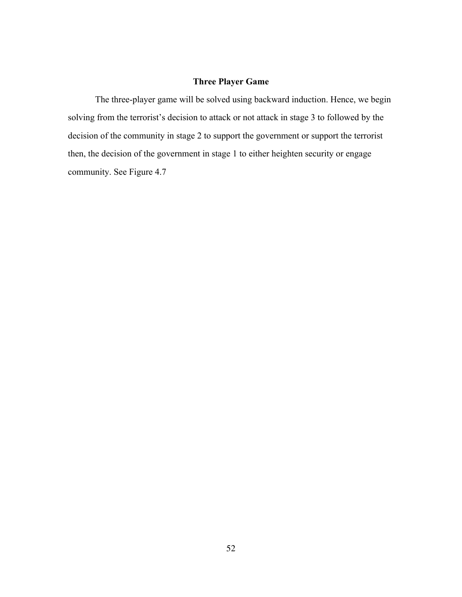## **Three Player Game**

The three-player game will be solved using backward induction. Hence, we begin solving from the terrorist's decision to attack or not attack in stage 3 to followed by the decision of the community in stage 2 to support the government or support the terrorist then, the decision of the government in stage 1 to either heighten security or engage community. See Figure 4.7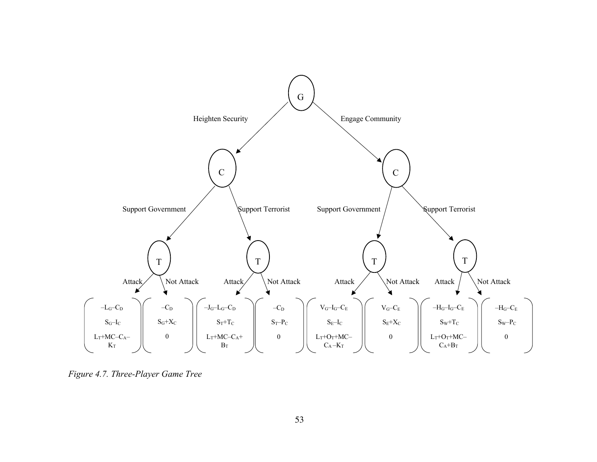

*Figure 4.7. Three-Player Game Tree*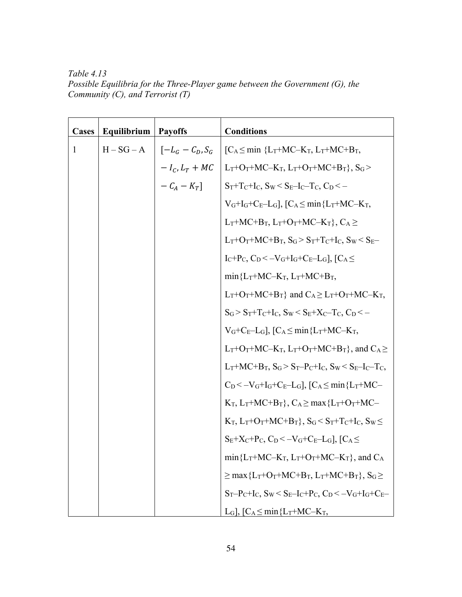*Table 4.13 Possible Equilibria for the Three-Player game between the Government (G), the Community (C), and Terrorist (T)*

| Cases | Equilibrium  | <b>Payoffs</b>                                  | <b>Conditions</b>                                                                                                          |
|-------|--------------|-------------------------------------------------|----------------------------------------------------------------------------------------------------------------------------|
| 1     | $H - SG - A$ | $\begin{bmatrix} -L_G - C_D, S_G \end{bmatrix}$ | $[C_A \leq min \{L_T+MC-K_T, L_T+MC+B_T,$                                                                                  |
|       |              | $-I_C, L_T + MC$                                | $L_T+O_T+MC-K_T$ , $L_T+O_T+MC+B_T$ }, $S_G$ >                                                                             |
|       |              | $-C_A-K_T$ ]                                    | $S_T + T_C + I_C$ , $S_W < S_E - I_C - T_C$ , $C_D < -$                                                                    |
|       |              |                                                 | $V_G+I_G+C_E-L_G$ , $[C_A\leq min{L_T}+MC-K_T,$                                                                            |
|       |              |                                                 | $L_T+MC+B_T$ , $L_T+O_T+MC-K_T$ , $C_A \ge$                                                                                |
|       |              |                                                 | $L_T+O_T+MC+B_T$ , $S_G > S_T+T_C+I_C$ , $S_W < S_E-$                                                                      |
|       |              |                                                 | $I_C+P_C$ , $C_D < -V_G+I_G+C_E-L_G$ , $[C_A \leq$                                                                         |
|       |              |                                                 | $min{L_T+MC-K_T, L_T+MC+B_T}$                                                                                              |
|       |              |                                                 | $L_T+O_T+MC+B_T$ } and $C_A \geq L_T+O_T+MC-K_T$ ,                                                                         |
|       |              |                                                 | $S_G > S_T + T_C + I_C$ , $S_W < S_E + X_C - T_C$ , $C_D < -$                                                              |
|       |              |                                                 | $V_G+C_E-L_G$ , $[C_A \leq min{L_T+MC-K_T}$ ,                                                                              |
|       |              |                                                 | $L_T$ +O <sub>T</sub> +MC–K <sub>T</sub> , $L_T$ +O <sub>T</sub> +MC+B <sub>T</sub> }, and C <sub>A</sub> $\geq$           |
|       |              |                                                 | $L_T+MC+B_T$ , $S_G > S_T-P_C+I_C$ , $S_W < S_E-I_C-T_C$ ,                                                                 |
|       |              |                                                 | $C_D < -V_G + I_G + C_E - L_G$ , $C_A \le \min\{L_T + MC -$                                                                |
|       |              |                                                 | $K_T$ , $L_T+MC+B_T$ , $C_A \ge \max\{L_T+O_T+MC-$                                                                         |
|       |              |                                                 | $K_T$ , $L_T$ + $O_T$ + $MC$ + $B_T$ }, $S_G$ < $S_T$ + $T_C$ + $I_C$ , $S_W \le$                                          |
|       |              |                                                 | $S_E+X_C+P_C$ , $C_D<-V_G+C_E-L_G$ ], $[C_A\leq$                                                                           |
|       |              |                                                 | $min{L_T+MC-K_T, L_T+O_T+MC-K_T}$ , and $C_A$                                                                              |
|       |              |                                                 | $\geq$ max {L <sub>T</sub> +O <sub>T</sub> +MC+B <sub>T</sub> , L <sub>T</sub> +MC+B <sub>T</sub> }, S <sub>G</sub> $\geq$ |
|       |              |                                                 | $S_T-P_C+I_C$ , $S_W < S_E-I_C+P_C$ , $C_D < -V_G+I_G+C_E-$                                                                |
|       |              |                                                 | L <sub>G</sub> ], $[C_A \leq min{L_T+MC-K_T}$ ,                                                                            |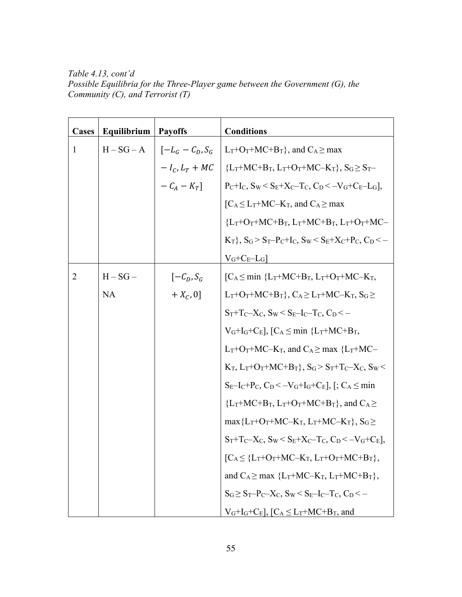*Table 4.13, cont'd Possible Equilibria for the Three-Player game between the Government (G), the Community (C), and Terrorist (T)*

| Cases          | Equilibrium | <b>Payoffs</b>              | <b>Conditions</b>                                                                        |
|----------------|-------------|-----------------------------|------------------------------------------------------------------------------------------|
| $\mathbf{1}$   | $H-SG-A$    | $\vert$ $[-L_G - C_D, S_G]$ | $L_T + O_T + MC + B_T$ , and $C_A \geq max$                                              |
|                |             | $-I_c, L_T + MC$            | ${L_T+MC+B_T, L_T+O_T+MC-K_T}, S_G \geq S_T-$                                            |
|                |             | $-C_A - K_T$                | $P_C+I_C$ , $S_W < S_E+X_C-T_C$ , $C_D < -V_G+C_E-L_G$ ],                                |
|                |             |                             | $\left[ C_A \leq L_T + MC - K_T \right]$ , and $C_A \geq \max$                           |
|                |             |                             | ${L_T+O_T+MC+B_T, L_T+MC+B_T, L_T+O_T+MC-}$                                              |
|                |             |                             | $K_T$ , $S_G > S_T-P_C+I_C$ , $S_W < S_E+X_C+P_C$ , $C_D < -$                            |
|                |             |                             | $V_G+C_E-L_G$                                                                            |
| $\overline{2}$ | $H-SG-$     | $[-C_D, S_G]$               | $[C_A \leq min \{L_T+MC+B_T, L_T+O_T+MC-K_T,$                                            |
|                | <b>NA</b>   | $+ X_C, 0]$                 | $L_T+O_T+MC+B_T$ , $C_A \geq L_T+MC-K_T$ , $S_G \geq$                                    |
|                |             |                             | $S_T + T_C - X_C$ , $S_W \le S_E - I_C - T_C$ , $C_D \le -$                              |
|                |             |                             | $V_G+I_G+C_E$ , $[C_A\leq min \{L_T+MC+B_T,$                                             |
|                |             |                             | $L_T$ +O <sub>T</sub> +MC–K <sub>T</sub> , and C <sub>A</sub> ≥ max {L <sub>T</sub> +MC– |
|                |             |                             | $K_T$ , $L_T + O_T + MC + B_T$ , $S_G > S_T + T_C - X_C$ , $S_W <$                       |
|                |             |                             | $S_E-I_C+P_C$ , $C_D < -V_G+I_G+C_E$ , $[$ ; $C_A \leq min$                              |
|                |             |                             | ${L_T+MC+B_T, L_T+O_T+MC+B_T}$ , and $C_A \ge$                                           |
|                |             |                             | $\max\{L_T+O_T+MC-K_T, L_T+MC-K_T\}, S_G \geq$                                           |
|                |             |                             | $S_T + T_C - X_C$ , $S_W \leq S_E + X_C - T_C$ , $C_D \leq -V_G + C_E$ ,                 |
|                |             |                             | $[C_A \leq \{L_T+O_T+MC-K_T, L_T+O_T+MC+B_T\},$                                          |
|                |             |                             | and $C_A \geq max \{L_T+MC-K_T, L_T+MC+B_T\},\$                                          |
|                |             |                             | $S_G \geq S_T - P_C - X_C$ , $S_W \leq S_E - I_C - T_C$ , $C_D \leq -$                   |
|                |             |                             | $V_G+I_G+C_E$ , $[C_A \leq L_T+MC+B_T$ , and                                             |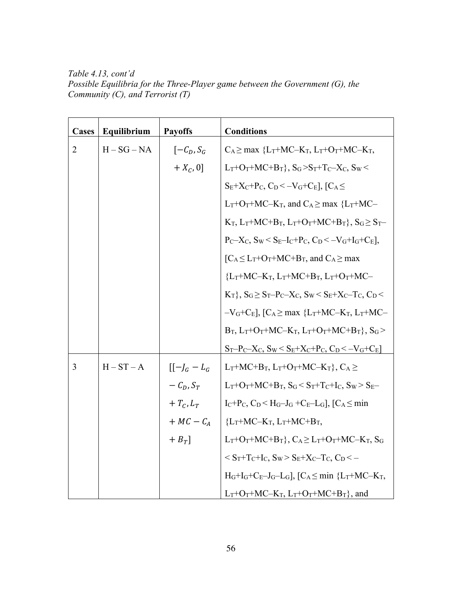*Table 4.13, cont'd Possible Equilibria for the Three-Player game between the Government (G), the Community (C), and Terrorist (T)*

| Cases          | Equilibrium   | <b>Payoffs</b>                               | <b>Conditions</b>                                                                                                                              |
|----------------|---------------|----------------------------------------------|------------------------------------------------------------------------------------------------------------------------------------------------|
| $\overline{2}$ | $H - SG - NA$ | $\left[-\mathcal{C}_D, \mathcal{S}_G\right]$ | $C_A \geq max \{L_T+MC-K_T, L_T+O_T+MC-K_T,$                                                                                                   |
|                |               | $+ X_C, 0]$                                  | $L_T+O_T+MC+B_T\}$ , $S_G > S_T+T_C-X_C$ , $S_W <$                                                                                             |
|                |               |                                              | $S_E+X_C+P_C$ , $C_D<-V_G+C_E$ ], $[C_A\leq$                                                                                                   |
|                |               |                                              | $L_T + O_T + MC - K_T$ , and $C_A \geq$ max { $L_T + MC -$                                                                                     |
|                |               |                                              | $K_T$ , $L_T+MC+B_T$ , $L_T+O_T+MC+B_T$ }, $S_G \geq S_T-$                                                                                     |
|                |               |                                              | $P_C-X_C$ , $S_W < S_E-I_C+P_C$ , $C_D < -V_G+I_G+C_E$ ],                                                                                      |
|                |               |                                              | $\lceil C_A \leq L_T + O_T + MC + B_T$ , and $C_A \geq max$                                                                                    |
|                |               |                                              | ${L_T+MC-K_T, L_T+MC+B_T, L_T+O_T+MC-}$                                                                                                        |
|                |               |                                              | $K_T$ , $S_G \ge S_T - P_C - X_C$ , $S_W \le S_E + X_C - T_C$ , $C_D \le$                                                                      |
|                |               |                                              | $-V$ <sub>G</sub> +C <sub>E</sub> ], [C <sub>A</sub> $\geq$ max {L <sub>T</sub> +MC–K <sub>T</sub> , L <sub>T</sub> +MC–                       |
|                |               |                                              | $B_T$ , $L_T+O_T+MC-K_T$ , $L_T+O_T+MC+B_T$ }, $S_G$ >                                                                                         |
|                |               |                                              | $S_T-P_C-X_C$ , $S_W \leq \underline{S_E+X_C+P_C}$ , $C_D \leq -V_G+C_E$                                                                       |
| $\overline{3}$ | $H - ST - A$  | $[[-]_G - L_G]$                              | $L_T+MC+B_T$ , $L_T+O_T+MC-K_T$ , $C_A \ge$                                                                                                    |
|                |               | $-C_D, S_T$                                  | $L_T$ +O <sub>T</sub> +MC+B <sub>T</sub> , S <sub>G</sub> < S <sub>T</sub> +T <sub>C</sub> +I <sub>C</sub> , S <sub>W</sub> > S <sub>E</sub> - |
|                |               | $+T_C, L_T$                                  | $I_C+P_C$ , $C_D < H_G-J_G + C_E-L_G$ , $C_A \leq min$                                                                                         |
|                |               | $+ MC - C_A$                                 | ${L_T}$ +MC-K <sub>T</sub> , L <sub>T</sub> +MC+B <sub>T</sub> ,                                                                               |
|                |               | $+ B_T$ ]                                    | $L_T+O_T+MC+B_T\}$ , $C_A \geq L_T+O_T+MC-K_T$ , $S_G$                                                                                         |
|                |               |                                              | $<$ S <sub>T</sub> +T <sub>C</sub> +I <sub>C</sub> , S <sub>W</sub> > S <sub>E</sub> +X <sub>C</sub> -T <sub>C</sub> , C <sub>D</sub> < -      |
|                |               |                                              | $H_G+I_G+C_E-J_G-L_G$ , $[C_A\leq min \{L_T+MC-K_T,$                                                                                           |
|                |               |                                              | $L_T$ +O <sub>T</sub> +MC–K <sub>T</sub> , $L_T$ +O <sub>T</sub> +MC+B <sub>T</sub> }, and                                                     |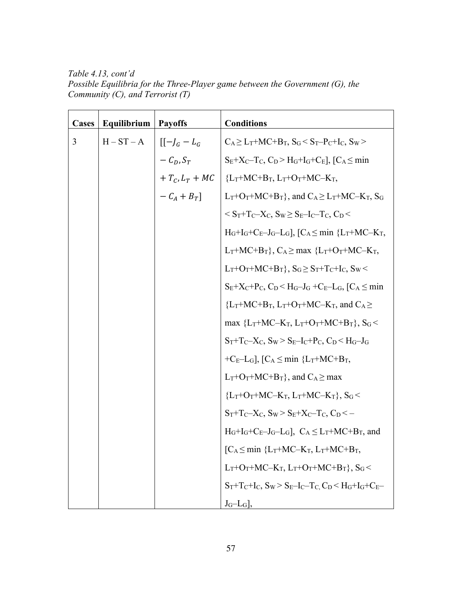*Table 4.13, cont'd Possible Equilibria for the Three-Player game between the Government (G), the Community (C), and Terrorist (T)*

| Cases | Equilibrium | <b>Payoffs</b>  | <b>Conditions</b>                                                                                               |
|-------|-------------|-----------------|-----------------------------------------------------------------------------------------------------------------|
| 3     | $H-ST-A$    | $[[-]_G - L_G]$ | $C_A \geq L_T + MC + B_T$ , $S_G \leq S_T - P_C + I_C$ , $S_W >$                                                |
|       |             | $-C_D, S_T$     | $S_E+X_C-T_C, C_D > H_G+I_G+C_E$ , $[C_A \leq min$                                                              |
|       |             |                 | + $T_c$ , $L_T$ + MC   {L <sub>T</sub> +MC+B <sub>T</sub> , L <sub>T</sub> +O <sub>T</sub> +MC-K <sub>T</sub> , |
|       |             | $-C_A+B_T$      | $L_T + O_T + MC + B_T$ , and $C_A \ge L_T + MC - K_T$ , $S_G$                                                   |
|       |             |                 | $\leq S_T + T_C - X_C$ , $S_W \geq S_E - I_C - T_C$ , $C_D \leq$                                                |
|       |             |                 | $H_G+I_G+C_E-J_G-L_G$ , $[C_A\leq min \{L_T+MC-K_T,$                                                            |
|       |             |                 | $L_T+MC+B_T$ , $C_A \ge \max$ { $L_T+O_T+MC-K_T$ ,                                                              |
|       |             |                 | $L_T + O_T + MC + B_T$ , $S_G \geq S_T + T_C + I_C$ , $S_W$                                                     |
|       |             |                 | $S_E+X_C+P_C$ , $C_D < H_G-J_G + C_E-L_G$ , $C_A \leq min$                                                      |
|       |             |                 | ${L_T+MC+B_T, L_T+O_T+MC-K_T, and C_A}$                                                                         |
|       |             |                 | max ${L_T+MC-K_T, L_T+O_T+MC+B_T}, S_G$                                                                         |
|       |             |                 | $S_T + T_C - X_C$ , $S_W > S_E - I_C + P_C$ , $C_D < H_G - J_G$                                                 |
|       |             |                 | $+C_E-L_G$ , $[C_A \leq min \{L_T+MC+B_T,$                                                                      |
|       |             |                 | $L_T + O_T + MC + B_T$ , and $C_A \geq max$                                                                     |
|       |             |                 | ${L_T+O_T+MC-K_T, L_T+MC-K_T}, S_G$                                                                             |
|       |             |                 | $S_T + T_C - X_C$ , $S_W > S_E + X_C - T_C$ , $C_D < -$                                                         |
|       |             |                 | $H_G+I_G+C_E-J_G-L_G$ , $C_A \leq L_T+MC+B_T$ , and                                                             |
|       |             |                 | $[C_A \leq min \{L_T+MC-K_T, L_T+MC+B_T,$                                                                       |
|       |             |                 | $L_T$ +O <sub>T</sub> +MC-K <sub>T</sub> , $L_T$ +O <sub>T</sub> +MC+B <sub>T</sub> }, S <sub>G</sub> <         |
|       |             |                 | $S_T + T_C + I_C$ , $S_W > S_E - I_C - T_C$ , $C_D < H_G + I_G + C_E -$                                         |
|       |             |                 | $J_G-L_G$ ,                                                                                                     |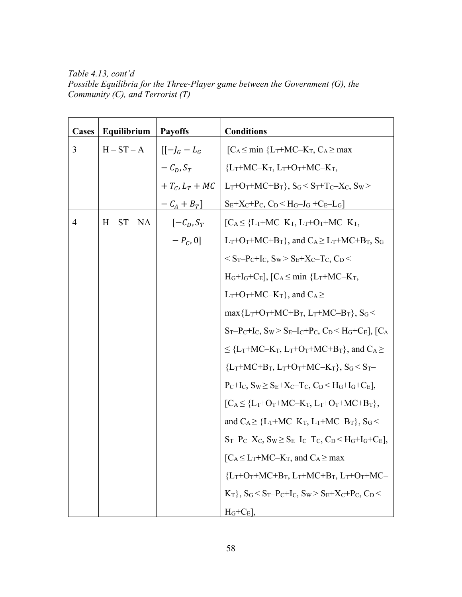*Table 4.13, cont'd Possible Equilibria for the Three-Player game between the Government (G), the Community (C), and Terrorist (T)*

| Cases          | Equilibrium   | <b>Payoffs</b>   | <b>Conditions</b>                                                                                                          |
|----------------|---------------|------------------|----------------------------------------------------------------------------------------------------------------------------|
| 3              | $H-ST-A$      | $[[-]_G - L_G]$  | $[C_A \leq min \{L_T+MC-K_T, C_A \geq max$                                                                                 |
|                |               | $-C_D, S_T$      | ${L_T+MC-K_T, L_T+O_T+MC-K_T,}$                                                                                            |
|                |               | $+T_c, L_T + MC$ | $L_T + O_T + MC + B_T$ , $S_G < S_T + T_C - X_C$ , $S_W >$                                                                 |
|                |               | $-C_A+B_T$       | $S_E+X_C+P_C, C_D < H_G-J_G + C_E-L_G$                                                                                     |
| $\overline{4}$ | $H - ST - NA$ | $[-C_D, S_T]$    | $\begin{bmatrix} C_A \leq \{L_T + MC - K_T, L_T + O_T + MC - K_T, \end{bmatrix}$                                           |
|                |               | $-P_{C}$ , 0]    | $L_T$ +O <sub>T</sub> +MC+B <sub>T</sub> }, and C <sub>A</sub> $\geq L_T$ +MC+B <sub>T</sub> , S <sub>G</sub>              |
|                |               |                  | $\rm < S_T-P_C+I_C$ , $\rm S_W > S_E+X_C-T_C$ , $\rm C_D <$                                                                |
|                |               |                  | $H_G+I_G+C_E$ ], [ $C_A \leq min \{L_T+MC-K_T,$                                                                            |
|                |               |                  | $L_T$ +O <sub>T</sub> +MC–K <sub>T</sub> }, and C <sub>A</sub> $\geq$                                                      |
|                |               |                  | $max{L_T+O_T+MC+B_T, L_T+MC-B_T}, S_G$                                                                                     |
|                |               |                  | $S_T-P_C+I_C$ , $S_W > S_E-I_C+P_C$ , $C_D < H_G+C_E$ ], $C_A$                                                             |
|                |               |                  | $\leq$ {L <sub>T</sub> +MC-K <sub>T</sub> , L <sub>T</sub> +O <sub>T</sub> +MC+B <sub>T</sub> }, and C <sub>A</sub> $\geq$ |
|                |               |                  | ${L_T+MC+B_T, L_T+O_T+MC-K_T}, S_G < S_T-$                                                                                 |
|                |               |                  | $P_{C}+I_{C}$ , $S_{W} \geq S_{E}+X_{C}-T_{C}$ , $C_{D} \leq H_{G}+I_{G}+C_{E}$ ,                                          |
|                |               |                  | $[C_A \leq \{L_T+O_T+MC-K_T, L_T+O_T+MC+B_T\},$                                                                            |
|                |               |                  | and $C_A \geq \{L_T + MC - K_T, L_T + MC - B_T\}, S_G$                                                                     |
|                |               |                  | $S_T-P_C-X_C$ , $S_W \geq S_E-I_C-T_C$ , $C_D < H_G+I_G+C_E$ ],                                                            |
|                |               |                  | $[C_A \leq L_T + MC - K_T$ , and $C_A \geq max$                                                                            |
|                |               |                  | ${L_T+O_T+MC+B_T, L_T+MC+B_T, L_T+O_T+MC-}$                                                                                |
|                |               |                  | $K_T$ , $S_G < S_T-P_C+I_C$ , $S_W > S_E+X_C+P_C$ , $C_D <$                                                                |
|                |               |                  | $H_G+C_E$ ,                                                                                                                |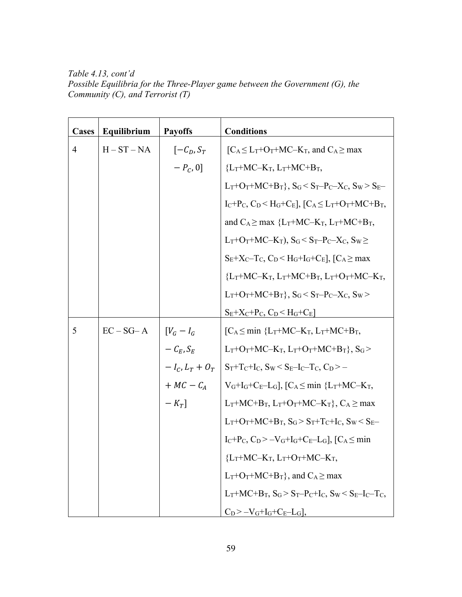*Table 4.13, cont'd Possible Equilibria for the Three-Player game between the Government (G), the Community (C), and Terrorist (T)*

| <b>Cases</b>   | Equilibrium   | <b>Payoffs</b>     | <b>Conditions</b>                                                                                                                                            |
|----------------|---------------|--------------------|--------------------------------------------------------------------------------------------------------------------------------------------------------------|
| $\overline{4}$ | $H - ST - NA$ | $[-C_D, S_T]$      | $[C_A \leq L_T + O_T + MC - K_T]$ , and $C_A \geq max$                                                                                                       |
|                |               | $-P_{C}$ , 0]      | ${L_T+MC-K_T, L_T+MC+B_T,}$                                                                                                                                  |
|                |               |                    | $L_T + O_T + MC + B_T$ , $S_G < S_T - P_C - X_C$ , $S_W > S_E -$                                                                                             |
|                |               |                    | $I_C+P_C$ , $C_D < H_G+C_E$ ], $[C_A \leq L_T+O_T+MC+B_T$ ,                                                                                                  |
|                |               |                    | and $C_A \geq max$ {L <sub>T</sub> +MC-K <sub>T</sub> , L <sub>T</sub> +MC+B <sub>T</sub> ,                                                                  |
|                |               |                    | $L_T$ +O <sub>T</sub> +MC–K <sub>T</sub> ), S <sub>G</sub> < S <sub>T</sub> –P <sub>C</sub> –X <sub>C</sub> , S <sub>W</sub> ≥                               |
|                |               |                    | $S_E+X_C-T_C$ , $C_D < H_G+I_G+C_E$ , $C_A \geq max$                                                                                                         |
|                |               |                    | ${L_T+MC-K_T, L_T+MC+B_T, L_T+O_T+MC-K_T,}$                                                                                                                  |
|                |               |                    | $L_T + O_T + MC + B_T$ , $S_G < S_T - P_C - X_C$ , $S_W >$                                                                                                   |
|                |               |                    | $S_E + X_C + P_C$ , $C_D < H_G + C_E$                                                                                                                        |
| 5              | $EC-SG-A$     | $[V_G - I_G$       | $[C_A \leq min \{L_T+MC-K_T, L_T+MC+B_T,$                                                                                                                    |
|                |               | $-C_{E}$ , $S_{E}$ | $L_T$ +O <sub>T</sub> +MC-K <sub>T</sub> , $L_T$ +O <sub>T</sub> +MC+B <sub>T</sub> }, S <sub>G</sub> >                                                      |
|                |               |                    | $-I_C$ , $L_T + O_T$   S <sub>T</sub> +T <sub>C</sub> +I <sub>C</sub> , S <sub>W</sub> < S <sub>E</sub> -I <sub>C</sub> -T <sub>C</sub> , C <sub>D</sub> > – |
|                |               |                    | + $MC - C_A$   V <sub>G</sub> +I <sub>G</sub> +C <sub>E</sub> -L <sub>G</sub> ], [C <sub>A</sub> $\leq$ min {L <sub>T</sub> +MC-K <sub>T</sub> ,             |
|                |               | $-K_T$ ]           | $L_T+MC+B_T$ , $L_T+O_T+MC-K_T$ , $C_A \geq max$                                                                                                             |
|                |               |                    | $L_T$ +O <sub>T</sub> +MC+B <sub>T</sub> , S <sub>G</sub> >S <sub>T</sub> +T <sub>C</sub> +I <sub>C</sub> , S <sub>W</sub> < S <sub>E</sub> -                |
|                |               |                    | $I_C+P_C$ , $C_D > -V_G+I_G+C_E-L_G$ , $[C_A \leq min$                                                                                                       |
|                |               |                    | ${L_T}$ +MC–K <sub>T</sub> , $L_T$ +O <sub>T</sub> +MC–K <sub>T</sub> ,                                                                                      |
|                |               |                    | $L_T$ +O <sub>T</sub> +MC+B <sub>T</sub> }, and C <sub>A</sub> $\geq$ max                                                                                    |
|                |               |                    | $L_T + MC + B_T$ , $S_G > S_T - P_C + I_C$ , $S_W < S_E - I_C - T_C$ ,                                                                                       |
|                |               |                    | $C_D$ >-V <sub>G</sub> +I <sub>G</sub> +C <sub>E</sub> -L <sub>G</sub> ],                                                                                    |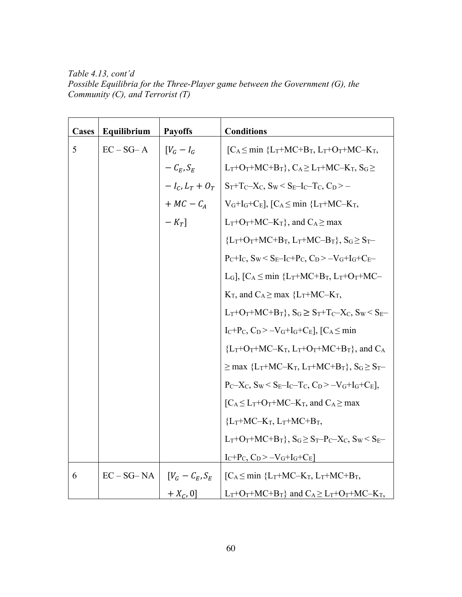*Table 4.13, cont'd Possible Equilibria for the Three-Player game between the Government (G), the Community (C), and Terrorist (T)*

| Cases | Equilibrium    | <b>Payoffs</b>     | <b>Conditions</b>                                                                                                           |
|-------|----------------|--------------------|-----------------------------------------------------------------------------------------------------------------------------|
| 5     | $EC-SG-A$      | $[V_G - I_G$       | $[C_A \leq min \{L_T+MC+B_T, L_T+O_T+MC-K_T,$                                                                               |
|       |                | $-C_E, S_E$        | $L_T + O_T + MC + B_T$ , $C_A \geq L_T + MC - K_T$ , $S_G \geq$                                                             |
|       |                | $-I_C, L_T + O_T$  | $S_T + T_C - X_C$ , $S_W < S_E - I_C - T_C$ , $C_D > -$                                                                     |
|       |                | $+ MC - C_A$       | $V_G+I_G+C_E$ , $[C_A \leq min \{L_T+MC-K_T,$                                                                               |
|       |                | $-K_T$ ]           | $L_T + O_T + MC - K_T$ , and $C_A \geq max$                                                                                 |
|       |                |                    | ${L_T+O_T+MC+B_T, L_T+MC-B_T}, S_G \ge S_T-$                                                                                |
|       |                |                    | $P_C+I_C$ , $S_W < S_E-I_C+P_C$ , $C_D > -V_G+I_G+C_E-$                                                                     |
|       |                |                    | L <sub>G</sub> ], [C <sub>A</sub> $\leq$ min {L <sub>T</sub> +MC+B <sub>T</sub> , L <sub>T</sub> +O <sub>T</sub> +MC-       |
|       |                |                    | $K_T$ , and $C_A \geq$ max {L <sub>T</sub> +MC-K <sub>T</sub> ,                                                             |
|       |                |                    | $L_T + O_T + MC + B_T$ , $S_G \geq S_T + T_C - X_C$ , $S_W < S_E -$                                                         |
|       |                |                    | $I_C+P_C, C_D > -V_G+I_G+C_E$ , $[C_A \leq min$                                                                             |
|       |                |                    | ${L_T+O_T+MC-K_T, L_T+O_T+MC+B_T}$ , and $C_A$                                                                              |
|       |                |                    | $\geq$ max {L <sub>T</sub> +MC-K <sub>T</sub> , L <sub>T</sub> +MC+B <sub>T</sub> }, S <sub>G</sub> $\geq$ S <sub>T</sub> - |
|       |                |                    | $P_C-X_C$ , $S_W < S_E-I_C-T_C$ , $C_D > -V_G+I_G+C_E$ ],                                                                   |
|       |                |                    | $\lceil C_A \leq L_T + O_T + MC - K_T$ , and $C_A \geq \max$                                                                |
|       |                |                    | ${L_T+MC-K_T, L_T+MC+B_T,}$                                                                                                 |
|       |                |                    | $L_T + O_T + MC + B_T$ , $S_G \ge S_T - P_C - X_C$ , $S_W < S_E -$                                                          |
|       |                |                    | $I_C+P_C$ , $C_D > -V_G+I_G+C_E$                                                                                            |
| 6     | $EC - SG - NA$ | $[V_G - C_E, S_E]$ | $[C_A \leq min \{L_T+MC-K_T, L_T+MC+B_T,$                                                                                   |
|       |                | $+ X_C, 0]$        | $L_T + O_T + MC + B_T$ and $C_A \ge L_T + O_T + MC - K_T$ ,                                                                 |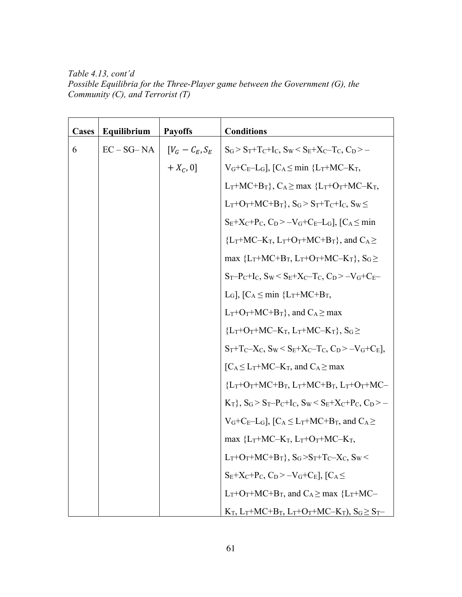*Table 4.13, cont'd Possible Equilibria for the Three-Player game between the Government (G), the Community (C), and Terrorist (T)*

| Cases | Equilibrium    | <b>Payoffs</b>     | <b>Conditions</b>                                                                                                                  |
|-------|----------------|--------------------|------------------------------------------------------------------------------------------------------------------------------------|
| 6     | $EC - SG - NA$ | $[V_G - C_E, S_E]$ | $S_G > S_T + T_C + I_C$ , $S_W < S_E + X_C - T_C$ , $C_D > -$                                                                      |
|       |                | $+ X_C, 0]$        | $V_G+C_E-L_G$ , $[C_A \leq min \{L_T+MC-K_T,$                                                                                      |
|       |                |                    | $L_T+MC+B_T$ , $C_A \ge \max$ { $L_T+O_T+MC-K_T$ ,                                                                                 |
|       |                |                    | $L_T$ +O <sub>T</sub> +MC+B <sub>T</sub> }, S <sub>G</sub> >S <sub>T</sub> +T <sub>C</sub> +I <sub>C</sub> , S <sub>W</sub> $\leq$ |
|       |                |                    | $S_E+X_C+P_C, C_D > -V_G+C_E-L_G$ , $[C_A \leq min$                                                                                |
|       |                |                    | ${L_T+MC-K_T, L_T+O_T+MC+B_T}$ , and $C_A \ge$                                                                                     |
|       |                |                    | max ${L_T+MC+B_T, L_T+O_T+MC-K_T}, S_G \ge$                                                                                        |
|       |                |                    | $S_T-P_C+I_C$ , $S_W < S_E+X_C-T_C$ , $C_D > -V_G+C_E-$                                                                            |
|       |                |                    | L <sub>G</sub> ], $[C_A \leq min \{L_T+MC+B_T,$                                                                                    |
|       |                |                    | $L_T + O_T + MC + B_T$ , and $C_A \geq max$                                                                                        |
|       |                |                    | ${L_T+O_T+MC-K_T, L_T+MC-K_T}, S_G \geq$                                                                                           |
|       |                |                    | $S_T + T_C - X_C$ , $S_W \leq S_E + X_C - T_C$ , $C_D > -V_G + C_E$ ,                                                              |
|       |                |                    | $[C_A \leq L_T+MC-K_T$ , and $C_A \geq max$                                                                                        |
|       |                |                    | ${L_T+O_T+MC+B_T, L_T+MC+B_T, L_T+O_T+MC-}$                                                                                        |
|       |                |                    | $K_T$ , $S_G > S_T-P_C+I_C$ , $S_W < S_E+X_C+P_C$ , $C_D > -$                                                                      |
|       |                |                    | $V_G+C_E-L_G$ , $[C_A \leq L_T+MC+B_T$ , and $C_A \geq$                                                                            |
|       |                |                    | max ${L_T+MC-K_T, L_T+O_T+MC-K_T,}$                                                                                                |
|       |                |                    | $L_T+O_T+MC+B_T\}$ , $S_G > S_T+T_C-X_C$ , $S_W <$                                                                                 |
|       |                |                    | $S_E+X_C+P_C, C_D > -V_G+C_E$ , $C_A \le$                                                                                          |
|       |                |                    | $L_T + O_T + MC + B_T$ , and $C_A \ge$ max ${L_T + MC -}$                                                                          |
|       |                |                    | $K_T$ , $L_T+MC+B_T$ , $L_T+O_T+MC-K_T$ ), $S_G \geq S_T$                                                                          |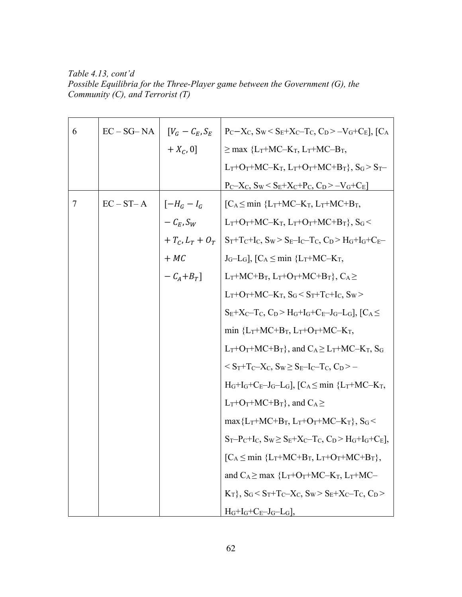*Table 4.13, cont'd Possible Equilibria for the Three-Player game between the Government (G), the Community (C), and Terrorist (T)*

| 6 | $EC - SG - NA$ | $[V_G - C_E, S_E]$  | $P_C-X_C$ , $S_W < S_E+X_C-T_C$ , $C_D > -V_G+C_E$ ], [ $C_A$                                                                 |
|---|----------------|---------------------|-------------------------------------------------------------------------------------------------------------------------------|
|   |                | $+ X_C, 0]$         | $\geq$ max {L <sub>T</sub> +MC-K <sub>T</sub> , L <sub>T</sub> +MC-B <sub>T</sub> ,                                           |
|   |                |                     | $L_T+O_T+MC-K_T$ , $L_T+O_T+MC+B_T$ , $S_G > S_T-$                                                                            |
|   |                |                     | $P_C-X_C$ , $S_W \leq S_E+X_C+P_C$ , $C_D \geq -V_G+C_E$                                                                      |
| 7 | $EC - ST - A$  | $[-H_G - I_G]$      | $[C_A \leq min \{L_T+MC-K_T, L_T+MC+B_T,$                                                                                     |
|   |                | $-C_E, S_W$         | $L_T$ +O <sub>T</sub> +MC-K <sub>T</sub> , $L_T$ +O <sub>T</sub> +MC+B <sub>T</sub> }, S <sub>G</sub> <                       |
|   |                | $+T_{C}L_{T}+O_{T}$ | $S_T + T_C + I_C$ , $S_W > S_E - I_C - T_C$ , $C_D > H_G + I_G + C_E -$                                                       |
|   |                | $+ MC$              | $J_G-L_G$ , $[C_A \leq min \{L_T+MC-K_T,$                                                                                     |
|   |                | $-C_A+B_T$ ]        | $L_T+MC+B_T$ , $L_T+O_T+MC+B_T$ , $C_A \ge$                                                                                   |
|   |                |                     | $L_T$ +O <sub>T</sub> +MC-K <sub>T</sub> , S <sub>G</sub> < S <sub>T</sub> +T <sub>C</sub> +I <sub>C</sub> , S <sub>W</sub> > |
|   |                |                     | $S_E+X_C-T_C$ , $C_D > H_G+I_G+C_E-J_G-L_G$ , $C_A \leq$                                                                      |
|   |                |                     | min ${L_T+MC+B_T, L_T+O_T+MC-K_T,}$                                                                                           |
|   |                |                     | $L_T+O_T+MC+B_T$ , and $C_A \geq L_T+MC-K_T$ , S <sub>G</sub>                                                                 |
|   |                |                     | $S_T + T_C - X_C$ , $S_W \ge S_E - I_C - T_C$ , $C_D > -$                                                                     |
|   |                |                     | $H_G+I_G+C_E-J_G-L_G$ , $[C_A\leq min \{L_T+MC-K_T,$                                                                          |
|   |                |                     | $L_T + O_T + MC + B_T$ , and $C_A \ge$                                                                                        |
|   |                |                     | $\max\{L_T+MC+B_T, L_T+O_T+MC-K_T\}, S_G$                                                                                     |
|   |                |                     | $S_T-P_C+I_C$ , $S_W \geq S_E+X_C-T_C$ , $C_D > H_G+I_G+C_E$ ,                                                                |
|   |                |                     | $[C_A \leq min \{L_T+MC+B_T, L_T+O_T+MC+B_T\},$                                                                               |
|   |                |                     | and $C_A \geq$ max ${L_T+O_T+MC-K_T, L_T+MC-}$                                                                                |
|   |                |                     | $K_T$ , $S_G < S_T + T_C - X_C$ , $S_W > S_E + X_C - T_C$ , $C_D >$                                                           |
|   |                |                     | $H_G+I_G+C_E-J_G-L_G$                                                                                                         |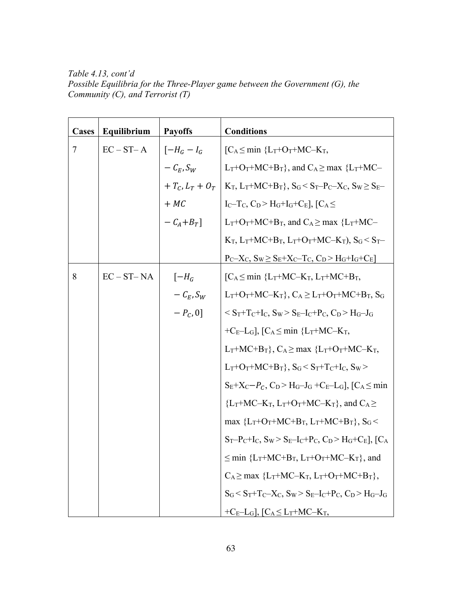*Table 4.13, cont'd Possible Equilibria for the Three-Player game between the Government (G), the Community (C), and Terrorist (T)*

| <b>Cases</b> | Equilibrium    | <b>Payoffs</b>    | <b>Conditions</b>                                                                                                         |
|--------------|----------------|-------------------|---------------------------------------------------------------------------------------------------------------------------|
| 7            | $EC - ST - A$  | $[-H_G - I_G]$    | $\begin{bmatrix} C_A \leq min \ \{L_T + O_T + MC - K_T, \end{bmatrix}$                                                    |
|              |                | $-C_E, S_W$       | $L_T + O_T + MC + B_T$ , and $C_A \ge$ max { $L_T + MC -$                                                                 |
|              |                | $+T_c, L_T + O_T$ | $K_T$ , $L_T + MC + B_T$ , $S_G < S_T - P_C - X_C$ , $S_W \ge S_E -$                                                      |
|              |                | $+ MC$            | $I_C-T_C$ , $C_D > H_G+I_G+C_E$ , $C_A \le$                                                                               |
|              |                | $-C_A+B_T$        | $L_T + O_T + MC + B_T$ , and $C_A \ge$ max { $L_T + MC -$                                                                 |
|              |                |                   | $K_T$ , $L_T + MC + B_T$ , $L_T + O_T + MC - K_T$ ), $S_G < S_T$                                                          |
|              |                |                   | $P_C-X_C$ , $S_W \geq S_E+X_C-T_C$ , $C_D > H_G+I_G+C_E$                                                                  |
| 8            | $EC - ST - NA$ | $[-H_G]$          | $[C_A \leq min \{L_T+MC-K_T, L_T+MC+B_T,$                                                                                 |
|              |                | $-C_E, S_W$       | $L_T$ +O <sub>T</sub> +MC-K <sub>T</sub> }, C <sub>A</sub> $\geq L_T$ +O <sub>T</sub> +MC+B <sub>T</sub> , S <sub>G</sub> |
|              |                | $-P_{C}$ , 0]     | $\rm < S_T + T_C + I_C$ , $\rm S_W > S_E - I_C + P_C$ , $\rm C_D > H_G - J_G$                                             |
|              |                |                   | $+C_E-L_G$ , $[C_A \leq min \{L_T+MC-K_T,$                                                                                |
|              |                |                   | $L_T+MC+B_T$ , $C_A \ge \max$ { $L_T+O_T+MC-K_T$ ,                                                                        |
|              |                |                   | $L_T + O_T + MC + B_T$ , $S_G < S_T + T_C + I_C$ , $S_W >$                                                                |
|              |                |                   | $S_E+X_C-P_C$ , $C_D > H_G-J_G+C_E-L_G$ , $C_A \leq min$                                                                  |
|              |                |                   | ${L_T+MC-K_T, L_T+O_T+MC-K_T}$ , and $C_A \ge$                                                                            |
|              |                |                   | max ${L_T+O_T+MC+B_T, L_T+MC+B_T}, S_G$                                                                                   |
|              |                |                   | $S_T-P_C+I_C$ , $S_W > S_E-I_C+P_C$ , $C_D > H_G+C_E$ , $C_A$                                                             |
|              |                |                   | $\leq$ min {L <sub>T</sub> +MC+B <sub>T</sub> , L <sub>T</sub> +O <sub>T</sub> +MC-K <sub>T</sub> }, and                  |
|              |                |                   | $C_A \geq max \{L_T+MC-K_T, L_T+O_T+MC+B_T\},$                                                                            |
|              |                |                   | $S_G < S_T + T_C - X_C$ , $S_W > S_E - I_C + P_C$ , $C_D > H_G - J_G$                                                     |
|              |                |                   | $+C_E-L_G$ , $[C_A \leq L_T+MC-K_T,$                                                                                      |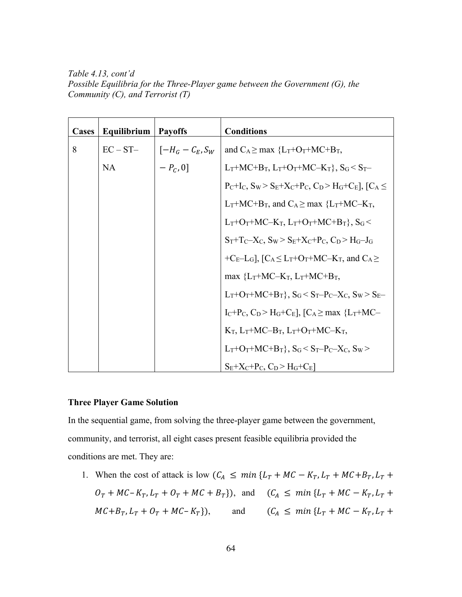*Table 4.13, cont'd Possible Equilibria for the Three-Player game between the Government (G), the Community (C), and Terrorist (T)*

| <b>Cases</b> | Equilibrium   Payoffs |                                                            | <b>Conditions</b>                                                                                                                       |
|--------------|-----------------------|------------------------------------------------------------|-----------------------------------------------------------------------------------------------------------------------------------------|
| 8            | $EC - ST-$            | $\big  \left[ -H_G - \mathcal{C}_E, \mathcal{S}_W \right]$ | and $C_A \geq max \{L_T + O_T + MC + B_T,$                                                                                              |
|              | <b>NA</b>             | $-P_c, 0]$                                                 | $L_T+MC+B_T$ , $L_T+O_T+MC-K_T$ , $S_G < S_T-$                                                                                          |
|              |                       |                                                            | $P_C+I_C$ , $S_W > S_E+X_C+P_C$ , $C_D > H_G+C_E$ , $C_A \leq$                                                                          |
|              |                       |                                                            | $L_T+MC+B_T$ , and $C_A \geq$ max ${L_T+MC-K_T}$ ,                                                                                      |
|              |                       |                                                            | $L_T$ +O <sub>T</sub> +MC–K <sub>T</sub> , $L_T$ +O <sub>T</sub> +MC+B <sub>T</sub> }, S <sub>G</sub> <                                 |
|              |                       |                                                            | $S_T + T_C - X_C$ , $S_W > S_E + X_C + P_C$ , $C_D > H_G - J_G$                                                                         |
|              |                       |                                                            | +C <sub>E</sub> -L <sub>G</sub> ], [C <sub>A</sub> $\leq$ L <sub>T</sub> +O <sub>T</sub> +MC-K <sub>T</sub> , and C <sub>A</sub> $\geq$ |
|              |                       |                                                            | max ${L_T}$ +MC–K <sub>T</sub> , L <sub>T</sub> +MC+B <sub>T</sub> ,                                                                    |
|              |                       |                                                            | $L_T + O_T + MC + B_T$ , $S_G < S_T - P_C - X_C$ , $S_W > S_E -$                                                                        |
|              |                       |                                                            | $I_C+P_C$ , $C_D > H_G+C_E$ , $C_A \geq max$ ${L_T+MC-}$                                                                                |
|              |                       |                                                            | $K_T$ , $L_T+MC-B_T$ , $L_T+O_T+MC-K_T$ ,                                                                                               |
|              |                       |                                                            | $L_T+O_T+MC+B_T\}$ , $S_G < S_T-P_C-X_C$ , $S_W >$                                                                                      |
|              |                       |                                                            | $S_E+X_C+P_C$ , $C_D > H_G+C_E$                                                                                                         |

# **Three Player Game Solution**

In the sequential game, from solving the three-player game between the government, community, and terrorist, all eight cases present feasible equilibria provided the conditions are met. They are:

1. When the cost of attack is low  $(C_A \leq min \{L_T + MC - K_T, L_T + MC + B_T, L_T + \})$  $O_T + MC - K_T$ ,  $L_T + O_T + MC + B_T$ , and  $(C_A \leq min \{L_T + MC - K_T, L_T + \}$  $MC + B_T$ ,  $L_T + O_T + MC - K_T$ ), and  $(C_A \leq min \{L_T + MC - K_T, L_T +$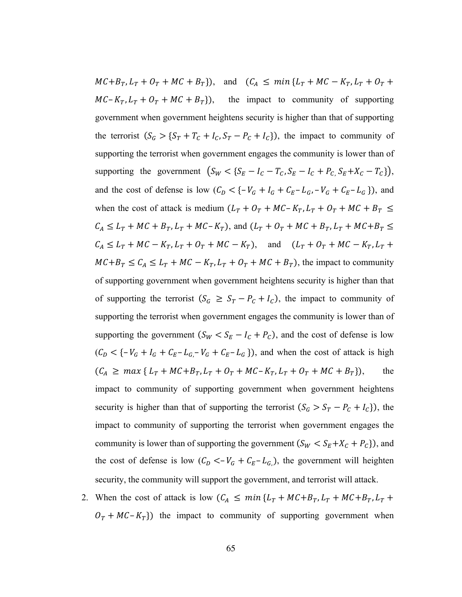$MC + B_T$ ,  $L_T + O_T + MC + B_T$ ), and  $(C_A \leq min \{L_T + MC - K_T, L_T + O_T +$  $MC - K_T$ ,  $L_T + O_T + MC + B_T$ ), the impact to community of supporting government when government heightens security is higher than that of supporting the terrorist  $(S_G > \{S_T + T_C + I_C, S_T - P_C + I_C\})$ , the impact to community of supporting the terrorist when government engages the community is lower than of supporting the government  $\left(S_W < \{S_E - I_C - T_C, S_E - I_C + P_C, S_E + X_C - T_C\}\right)$ , and the cost of defense is low  $(C_D < \{-V_G + I_G + C_E - L_G, -V_G + C_E - L_G\})$ , and when the cost of attack is medium  $(L_T + O_T + MC - K_T, L_T + O_T + MC + B_T \leq$  $C_A \leq L_T + MC + B_T$ ,  $L_T + MC - K_T$ ), and  $(L_T + O_T + MC + B_T$ ,  $L_T + MC + B_T \leq$  $C_A \leq L_T + MC - K_T$ ,  $L_T + O_T + MC - K_T$ ), and  $(L_T + O_T + MC - K_T)$ ,  $L_T +$  $MC + B_T \le C_A \le L_T + MC - K_T$ ,  $L_T + O_T + MC + B_T$ ), the impact to community of supporting government when government heightens security is higher than that of supporting the terrorist  $(S_G \geq S_T - P_C + I_C)$ , the impact to community of supporting the terrorist when government engages the community is lower than of supporting the government  $(S_W < S_E - I_C + P_C)$ , and the cost of defense is low  $(C_D < \{-V_G + I_G + C_E - L_G - V_G + C_E - L_G\})$ , and when the cost of attack is high  $(C_A \geq max \{ L_T + MC + B_T, L_T + O_T + MC - K_T, L_T + O_T + MC + B_T \}),$  the impact to community of supporting government when government heightens security is higher than that of supporting the terrorist  $(S_G > S_T - P_C + I_C)$ , the impact to community of supporting the terrorist when government engages the community is lower than of supporting the government  $(S_W < S_E + X_C + P_C)$ ), and the cost of defense is low  $(C_D < -V_G + C_E - L_G)$ , the government will heighten security, the community will support the government, and terrorist will attack.

2. When the cost of attack is low  $(C_A \leq min \{L_T + M_C + B_T, L_T + M_C + B_T, L_T + \})$  $O_T + MC - K_T$ ) the impact to community of supporting government when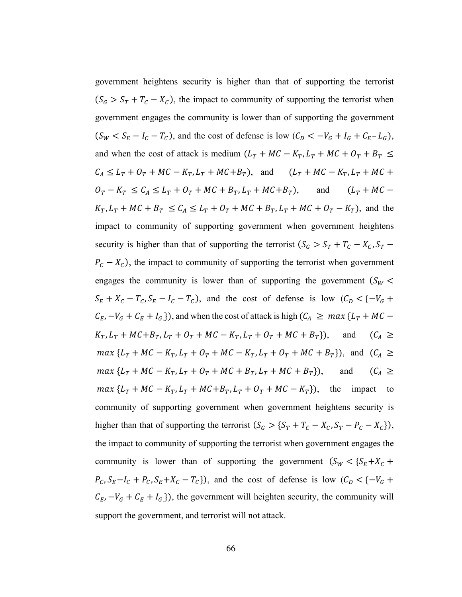government heightens security is higher than that of supporting the terrorist  $(S_G > S_T + T_C - X_C)$ , the impact to community of supporting the terrorist when government engages the community is lower than of supporting the government  $(S_W < S_E - I_C - T_C)$ , and the cost of defense is low  $(C_D < -V_G + I_G + C_E - L_G)$ , and when the cost of attack is medium  $(L_T + MC - K_T, L_T + MC + O_T + B_T \leq$  $C_A \le L_T + O_T + MC - K_T, L_T + MC + B_T$ , and  $(L_T + MC - K_T, L_T + MC +$  $O_T - K_T \le C_A \le L_T + O_T + MC + B_T, L_T + MC + B_T$ , and  $(L_T + MC K_T, L_T + MC + B_T \le C_A \le L_T + O_T + MC + B_T, L_T + MC + O_T - K_T$ , and the impact to community of supporting government when government heightens security is higher than that of supporting the terrorist  $(S_G > S_T + T_C - X_C, S_T P_c - X_c$ ), the impact to community of supporting the terrorist when government engages the community is lower than of supporting the government  $(S_W <$  $S_E + X_C - T_C$ ,  $S_E - I_C - T_C$ ), and the cost of defense is low  $(C_D < \{-V_G +$  $C_E$ ,  $-V_G + C_E + I_{G,S}$ , and when the cost of attack is high  $(C_A \geq max \{L_T + MC K_T$ ,  $L_T$  +  $MC + B_T$ ,  $L_T$  +  $O_T$  +  $MC - K_T$ ,  $L_T$  +  $O_T$  +  $MC + B_T$ }), and  $(C_A \geq$  $max\{L_T + MC - K_T, L_T + O_T + MC - K_T, L_T + O_T + MC + B_T\}\)$ , and  $(C_A \geq$  $max\{L_T + MC - K_T, L_T + O_T + MC + B_T, L_T + MC + B_T\}\)$ , and  $(C_A \geq$  $max\{L_T + MC - K_T, L_T + MC + B_T, L_T + O_T + MC - K_T\}$ , the impact to community of supporting government when government heightens security is higher than that of supporting the terrorist  $(S_G > \{S_T + T_C - X_C, S_T - P_C - X_C\})$ , the impact to community of supporting the terrorist when government engages the community is lower than of supporting the government  $(S_W < {S_E + X_C + S_E + X_C + X_C)}$  $P_c$ ,  $S_E - I_c + P_c$ ,  $S_E + X_c - T_c$ ), and the cost of defense is low  $(C_D < \{-V_G +$  $C_E$ ,  $-V_G + C_E + I_{G}$ ), the government will heighten security, the community will support the government, and terrorist will not attack.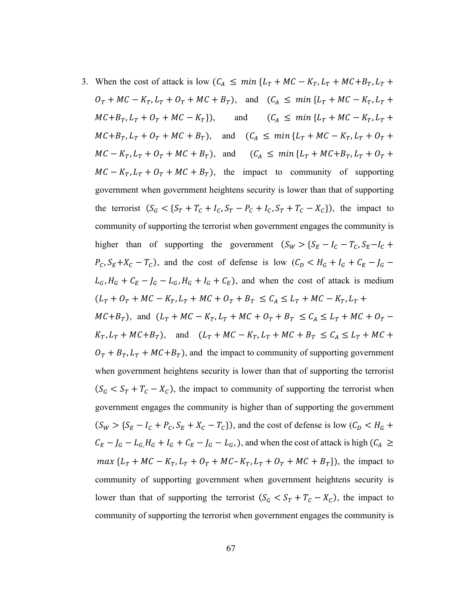3. When the cost of attack is low  $(C_A \leq min \{L_T + MC - K_T, L_T + MC + B_T, L_T + \})$ 

 $O_T + MC - K_T$ ,  $L_T + O_T + MC + B_T$ ), and  $(C_A \leq min\{L_T + MC - K_T, L_T + \dots)$  $MC + B_T$ ,  $L_T + O_T + MC - K_T$ ), and  $(C_A \leq min \{L_T + MC - K_T, L_T +$  $MC + B_T$ ,  $L_T + O_T + MC + B_T$ , and  $(C_A \leq min \{L_T + MC - K_T, L_T + O_T +$  $MC - K_T, L_T + O_T + MC + B_T$ , and  $(C_A \leq min \{L_T + MC + B_T, L_T + O_T +$  $MC - K_T$ ,  $L_T + O_T + MC + B_T$ , the impact to community of supporting government when government heightens security is lower than that of supporting the terrorist  $(S_G < \{S_T + T_C + I_C, S_T - P_C + I_C, S_T + T_C - X_C\})$ , the impact to community of supporting the terrorist when government engages the community is higher than of supporting the government  $(S_W > S_E - I_C - T_C, S_E - I_C +$  $P_c$ ,  $S_E + X_c - T_c$ ), and the cost of defense is low  $(C_D < H_G + I_G + C_E - J_G$  $L_G$ ,  $H_G + C_E - J_G - L_G$ ,  $H_G + I_G + C_E$ ), and when the cost of attack is medium  $(L_T + O_T + MC - K_T, L_T + MC + O_T + B_T \leq C_A \leq L_T + MC - K_T, L_T +$  $MC + B_T$ ), and  $(L_T + MC - K_T, L_T + MC + O_T + B_T \le C_A \le L_T + MC + O_T K_T$ ,  $L_T$  +  $MC + B_T$ ), and  $(L_T + MC - K_T, L_T + MC + B_T \le C_A \le L_T + MC +$  $\ddot{O}_T + B_T$ ,  $L_T + MC + B_T$ ), and the impact to community of supporting government when government heightens security is lower than that of supporting the terrorist  $(S_G < S_T + T_C - X_C)$ , the impact to community of supporting the terrorist when government engages the community is higher than of supporting the government  $(S_W > \{S_E - I_c + P_c, S_E + X_c - T_c\})$ , and the cost of defense is low  $(C_D < H_c + C_c)$  $C_E - J_G - L_G$ ,  $H_G + I_G + C_E - J_G - L_G$ , ), and when the cost of attack is high  $(C_A \geq C_E - L_G)$  $max\{L_T + MC - K_T, L_T + O_T + MC - K_T, L_T + O_T + MC + B_T\}$ , the impact to community of supporting government when government heightens security is lower than that of supporting the terrorist  $(S_G < S_T + T_C - X_C)$ , the impact to community of supporting the terrorist when government engages the community is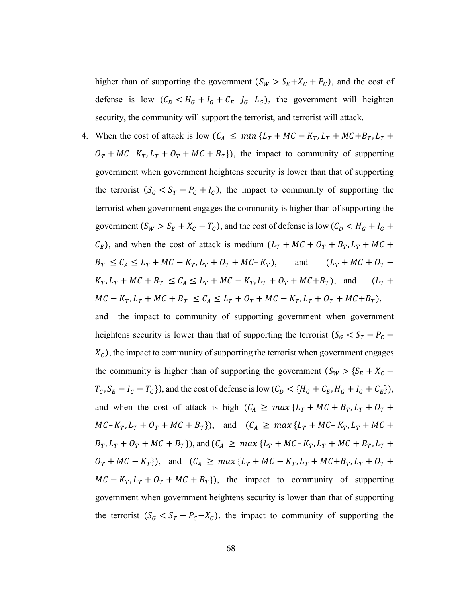higher than of supporting the government  $(S_W > S_E + X_C + P_C)$ , and the cost of defense is low  $(C_D < H_G + I_G + C_E - I_G - L_G)$ , the government will heighten security, the community will support the terrorist, and terrorist will attack.

4. When the cost of attack is low  $(C_A \leq min \{L_T + MC - K_T, L_T + MC + B_T, L_T +$  $O_T + MC - K_T$ ,  $L_T + O_T + MC + B_T$ ), the impact to community of supporting government when government heightens security is lower than that of supporting the terrorist  $(S_G < S_T - P_C + I_C)$ , the impact to community of supporting the terrorist when government engages the community is higher than of supporting the government  $(S_W > S_E + X_C - T_C)$ , and the cost of defense is low  $(C_D < H_G + I_G +$  $C_E$ ), and when the cost of attack is medium  $(L_T + MC + O_T + B_T, L_T + MC +$  $B_T \le C_A \le L_T + MC - K_T, L_T + O_T + MC - K_T$ , and  $(L_T + MC + O_T K_T$ ,  $L_T + MC + B_T \le C_A \le L_T + MC - K_T$ ,  $L_T + O_T + MC + B_T$ ), and  $(L_T + D_T)$  $MC - K_T, L_T + MC + B_T \leq C_A \leq L_T + O_T + MC - K_T, L_T + O_T + MC + B_T$ ),

the impact to community of supporting government when government heightens security is lower than that of supporting the terrorist  $(S_G < S_T - P_C X_c$ ), the impact to community of supporting the terrorist when government engages the community is higher than of supporting the government  $(S_W > \{S_E + X_C T_c$ ,  $S_E - I_c - T_c$ , and the cost of defense is low  $(C_D < \{H_G + C_E, H_G + I_G + C_E\})$ , and when the cost of attack is high  $(C_A \geq max \{L_T + MC + B_T, L_T + O_T +$  $MC - K_T$ ,  $L_T + O_T + MC + B_T$ ), and  $(C_A \geq max \{L_T + MC - K_T, L_T + MC +$  $B_T$ ,  $L_T + O_T + MC + B_T$ }), and  $(C_A \geq max \{L_T + MC - K_T, L_T + MC + B_T, L_T + D_T\}$  $O_T + MC - K_T$ ), and  $(C_A \geq max \{L_T + MC - K_T, L_T + MC + B_T, L_T + O_T +$  $MC - K_T$ ,  $L_T + O_T + MC + B_T$ ), the impact to community of supporting government when government heightens security is lower than that of supporting the terrorist  $(S_G < S_T - P_C - X_C)$ , the impact to community of supporting the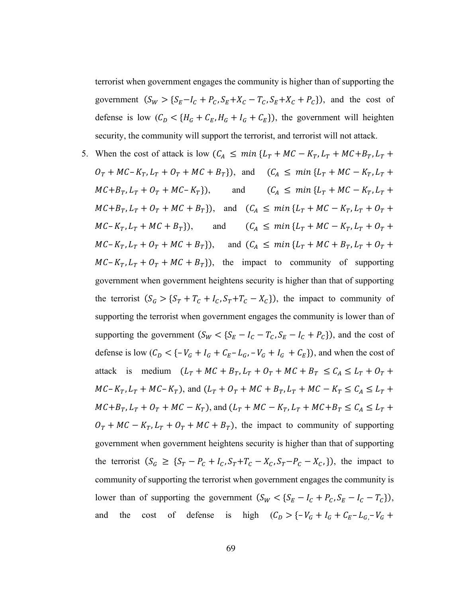terrorist when government engages the community is higher than of supporting the government  $(S_W > \{S_E - I_C + P_C, S_E + X_C - T_C, S_E + X_C + P_C\})$ , and the cost of defense is low  $(C_D < {H_G + C_E, H_G + I_G + C_E})$ , the government will heighten security, the community will support the terrorist, and terrorist will not attack.

5. When the cost of attack is low  $(C_A \leq min \{L_T + MC - K_T, L_T + MC + B_T, L_T + \})$  $O_T + MC - K_T$ ,  $L_T + O_T + MC + B_T$ ), and  $(C_A \leq min \{L_T + MC - K_T, L_T + \dots)$  $MC + B_T$ ,  $L_T + O_T + MC - K_T$ ), and  $(C_A \leq min \{L_T + MC - K_T, L_T +$  $MC + B_T$ ,  $L_T + O_T + MC + B_T$ , and  $(C_A \leq min \{L_T + MC - K_T, L_T + O_T +$  $MC - K_T, L_T + MC + B_T$ ), and  $(C_A \leq min \{L_T + MC - K_T, L_T + O_T +$  $MC - K_T, L_T + O_T + MC + B_T$ ), and  $(C_A \leq min \{L_T + MC + B_T, L_T + O_T +$  $MC - K_T$ ,  $L_T + O_T + MC + B_T$ ), the impact to community of supporting government when government heightens security is higher than that of supporting the terrorist  $(S_G > \{S_T + T_C + I_C, S_T + T_C - X_C\})$ , the impact to community of supporting the terrorist when government engages the community is lower than of supporting the government  $(S_W < \{S_E - I_C - T_C, S_E - I_C + P_C\})$ , and the cost of defense is low  $(C_D < \{-V_G + I_G + C_E - L_G, -V_G + I_G + C_E\})$ , and when the cost of attack is medium  $(L_T + MC + B_T, L_T + O_T + MC + B_T \le C_A \le L_T + O_T +$  $MC - K_T$ ,  $L_T + MC - K_T$ ), and  $(L_T + O_T + MC + B_T$ ,  $L_T + MC - K_T \le C_A \le L_T +$  $MC + B_T$ ,  $L_T + O_T + MC - K_T$ ), and  $(L_T + MC - K_T, L_T + MC + B_T \le C_A \le L_T +$  $Q_T + MC - K_T$ ,  $L_T + O_T + MC + B_T$ , the impact to community of supporting government when government heightens security is higher than that of supporting the terrorist  $(S_G \geq \{S_T - P_C + I_C, S_T + T_C - X_C, S_T - P_C - X_C, \})$ , the impact to community of supporting the terrorist when government engages the community is lower than of supporting the government  $(S_W < \{S_E - I_C + P_C, S_E - I_C - T_C\})$ , and the cost of defense is high  $(C_D > \{-V_G + I_G + C_E - L_G - V_G +$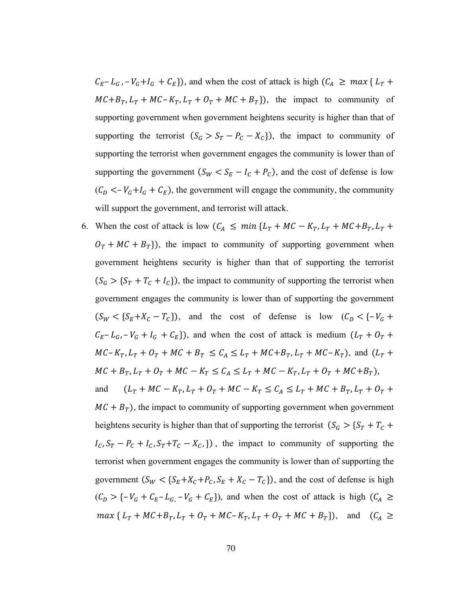$C_E - L_G$ ,  $-V_G + I_G + C_E$ , and when the cost of attack is high  $(C_A \geq max \{ L_T +$  $MC + B_T$ ,  $L_T + MC - K_T$ ,  $L_T + O_T + MC + B_T$ ), the impact to community of supporting government when government heightens security is higher than that of supporting the terrorist  $(S_G > S_T - P_C - X_C)$ ), the impact to community of supporting the terrorist when government engages the community is lower than of supporting the government  $(S_W < S_E - I_C + P_C)$ , and the cost of defense is low  $(C_D < -V_G + I_G + C_E)$ , the government will engage the community, the community will support the government, and terrorist will attack.

6. When the cost of attack is low  $(C_A \leq min \{L_T + MC - K_T, L_T + MC + B_T, L_T + \})$  $O_T + MC + B_T$ ), the impact to community of supporting government when government heightens security is higher than that of supporting the terrorist  $(S_G > {S_T + T_C + I_C})$ , the impact to community of supporting the terrorist when government engages the community is lower than of supporting the government  $(S_W < \{S_E + X_C - T_C\})$ , and the cost of defense is low  $(C_D < \{-V_G +$  $C_E - L_G$ ,  $-V_G + I_G + C_E$ ), and when the cost of attack is medium  $(L_T + O_T +$  $MC - K_T$ ,  $L_T + O_T + MC + B_T \le C_A \le L_T + MC + B_T$ ,  $L_T + MC - K_T$ ), and  $(L_T +$  $MC + B_T, L_T + O_T + MC - K_T \le C_A \le L_T + MC - K_T, L_T + O_T + MC + B_T$ ,

and  $(L_T + MC - K_T, L_T + O_T + MC - K_T \le C_A \le L_T + MC + B_T, L_T + O_T +$  $MC + B_T$ ), the impact to community of supporting government when government heightens security is higher than that of supporting the terrorist  $(S_G > \{S_T + T_C +$  $I_c$ ,  $S_T - P_c + I_c$ ,  $S_T + T_c - X_c$ ,  $\}$ ), the impact to community of supporting the terrorist when government engages the community is lower than of supporting the government  $(S_W < \{S_E + X_C + P_C, S_E + X_C - T_C\})$ , and the cost of defense is high  $(C_D > \{-V_G + C_E - L_G, -V_G + C_E\})$ , and when the cost of attack is high  $(C_A \ge$  $max\{L_T + MC + B_T, L_T + O_T + MC - K_T, L_T + O_T + MC + B_T\}$ , and  $(C_A \geq$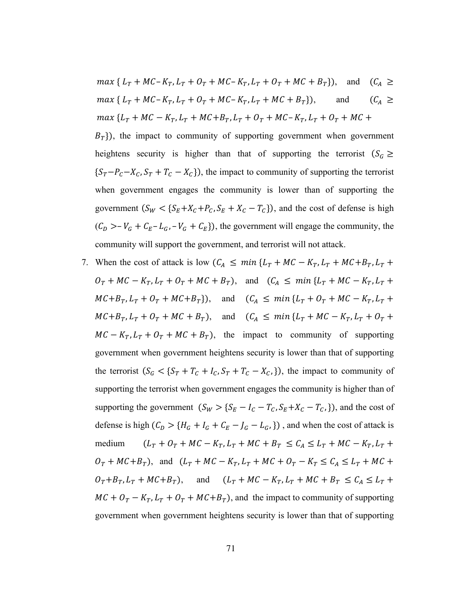$$
\max \{ L_T + MC - K_T, L_T + O_T + MC - K_T, L_T + O_T + MC + B_T \}, \text{ and } (C_A \ge
$$
  

$$
\max \{ L_T + MC - K_T, L_T + O_T + MC - K_T, L_T + MC + B_T \}, \text{ and } (C_A \ge
$$
  

$$
\max \{ L_T + MC - K_T, L_T + MC + B_T, L_T + O_T + MC - K_T, L_T + O_T + MC +
$$

 $B_T$ }), the impact to community of supporting government when government heightens security is higher than that of supporting the terrorist ( $S_G \ge$  ${S_T-P_C-X_C, S_T+T_C-X_C}$ , the impact to community of supporting the terrorist when government engages the community is lower than of supporting the government  $(S_W < \{S_E + X_C + P_C, S_E + X_C - T_C\})$ , and the cost of defense is high  $(C_D > -V_G + C_E - L_G, -V_G + C_E)$ , the government will engage the community, the community will support the government, and terrorist will not attack.

7. When the cost of attack is low  $(C_A \leq min \{L_T + MC - K_T, L_T + MC + B_T, L_T +$  $0_T + MC - K_T$ ,  $L_T + O_T + MC + B_T$ ), and  $(C_A \leq min\{L_T + MC - K_T, L_T + \dots)$  $MC + B_T$ ,  $L_T + O_T + MC + B_T$ , and  $(C_A \leq \min\{L_T + O_T + MC - K_T, L_T + \min\{L_T + O_T + MC - K_T\}\})$  $MC + B_T$ ,  $L_T + O_T + MC + B_T$ , and  $(C_A \leq min \{L_T + MC - K_T, L_T + O_T +$  $MC - K_T$ ,  $L_T + O_T + MC + B_T$ , the impact to community of supporting government when government heightens security is lower than that of supporting the terrorist  $(S_G < \{S_T + T_C + I_C, S_T + T_C - X_C, \})$ , the impact to community of supporting the terrorist when government engages the community is higher than of supporting the government  $(S_W > {S_E - I_C - T_C, S_E + X_C - T_C)}$ , and the cost of defense is high  $(C_D > {H_G + I_G + C_E - J_G - L_G})$ , and when the cost of attack is medium  $(L_T + O_T + MC - K_T, L_T + MC + B_T \le C_A \le L_T + MC - K_T, L_T +$  $O_T + M C + B_T$ , and  $(L_T + M C - K_T, L_T + M C + O_T - K_T \le C_A \le L_T + M C +$  $O_T + B_T$ ,  $L_T + MC + B_T$ ), and  $(L_T + MC - K_T$ ,  $L_T + MC + B_T \le C_A \le L_T +$  $MC + O_T - K_T$ ,  $L_T + O_T + MC + B_T$ ), and the impact to community of supporting government when government heightens security is lower than that of supporting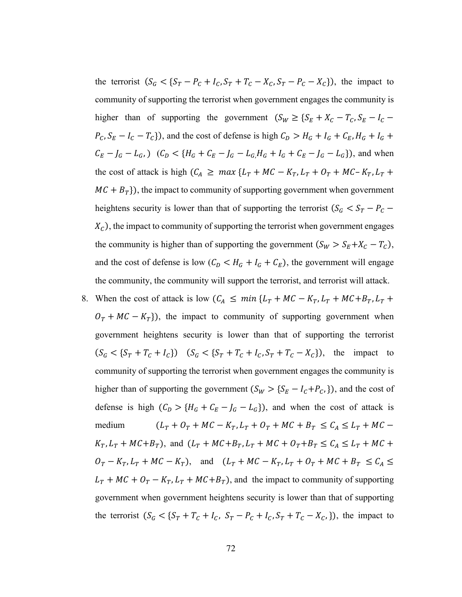the terrorist  $(S_G < \{S_T - P_C + I_C, S_T + T_C - X_C, S_T - P_C - X_C\})$ , the impact to community of supporting the terrorist when government engages the community is higher than of supporting the government  $(S_W \geq \{S_E + X_C - T_C, S_E - I_C P_c$ ,  $S_E - I_c - T_c$ }), and the cost of defense is high  $C_D > H_G + I_G + C_E$ ,  $H_G + I_G +$  $C_E - J_G - L_G$ , )  $(C_D < {H_G + C_E - J_G - L_G, H_G + I_G + C_E - J_G - L_G})$ , and when the cost of attack is high  $(C_A \geq max \{L_T + MC - K_T, L_T + O_T + MC - K_T, L_T + \})$  $MC + B<sub>T</sub>$ ), the impact to community of supporting government when government heightens security is lower than that of supporting the terrorist ( $S_G < S_T - P_C$  –  $X_c$ ), the impact to community of supporting the terrorist when government engages the community is higher than of supporting the government  $(S_W > S_E + X_C - T_C)$ , and the cost of defense is low  $(C_D < H_G + I_G + C_E)$ , the government will engage the community, the community will support the terrorist, and terrorist will attack.

8. When the cost of attack is low  $(C_A \leq min \{L_T + MC - K_T, L_T + MC + B_T, L_T +$  $0_T + MC - K_T$ ), the impact to community of supporting government when government heightens security is lower than that of supporting the terrorist  $(S_G < \{S_T + T_C + I_C\})$   $(S_G < \{S_T + T_C + I_C, S_T + T_C - X_C\})$ , the impact to community of supporting the terrorist when government engages the community is higher than of supporting the government  $(S_W > \{S_E - I_c + P_c, \})$ , and the cost of defense is high  $(C_D > {H_G + C_E - J_G - L_G})$ , and when the cost of attack is medium  $(L_T + O_T + MC - K_T, L_T + O_T + MC + B_T \le C_A \le L_T + MC K_T$ ,  $L_T$  +  $MC + B_T$ ), and  $(L_T + MC + B_T, L_T + MC + O_T + B_T \le C_A \le L_T + MC +$  $O_T - K_T$ ,  $L_T + MC - K_T$ ), and  $(L_T + MC - K_T)$ ,  $L_T + OC + B_T + MC + B_T \le C_A$  $L_T + MC + O_T - K_T$ ,  $L_T + MC + B_T$ ), and the impact to community of supporting government when government heightens security is lower than that of supporting the terrorist  $(S_G < \{S_T + T_C + I_C, S_T - P_C + I_C, S_T + T_C - X_C)\})$ , the impact to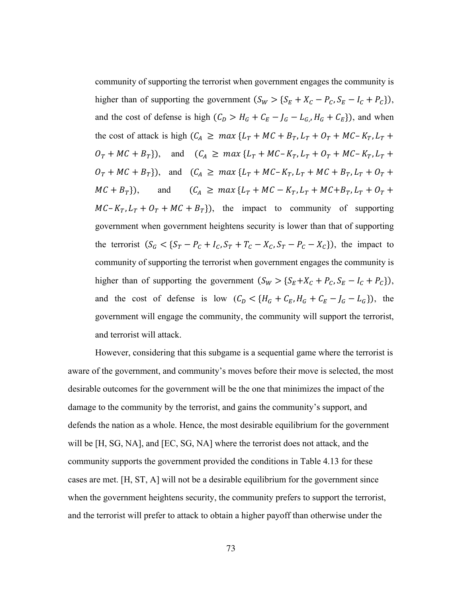community of supporting the terrorist when government engages the community is higher than of supporting the government  $(S_W > \{S_E + X_C - P_C, S_E - I_C + P_C\})$ , and the cost of defense is high  $(C_D > H_G + C_E - J_G - L_G, H_G + C_E)$ , and when the cost of attack is high  $(C_A \geq max \{L_T + MC + B_T, L_T + O_T + MC - K_T, L_T + \}$  $O_T + MC + B_T$ ), and  $(C_A \geq max \{L_T + MC - K_T, L_T + O_T + MC - K_T, L_T + \}$  $O_T + MC + B_T$ ), and  $(C_A \geq max \{L_T + MC - K_T, L_T + MC + B_T, L_T + O_T + \}$  $MC + B_T$ ), and  $(C_A \geq max \{L_T + MC - K_T, L_T + MC + B_T, L_T + O_T + \})$  $MC - K_T$ ,  $L_T + O_T + MC + B_T$ ), the impact to community of supporting government when government heightens security is lower than that of supporting the terrorist  $(S_G < \{S_T - P_C + I_C, S_T + T_C - X_C, S_T - P_C - X_C\})$ , the impact to community of supporting the terrorist when government engages the community is higher than of supporting the government  $(S_W > \{S_E + X_C + P_C, S_E - I_C + P_C\})$ , and the cost of defense is low  $(C_D < \{H_G + C_E, H_G + C_E - J_G - L_G\})$ , the government will engage the community, the community will support the terrorist, and terrorist will attack.

However, considering that this subgame is a sequential game where the terrorist is aware of the government, and community's moves before their move is selected, the most desirable outcomes for the government will be the one that minimizes the impact of the damage to the community by the terrorist, and gains the community's support, and defends the nation as a whole. Hence, the most desirable equilibrium for the government will be [H, SG, NA], and [EC, SG, NA] where the terrorist does not attack, and the community supports the government provided the conditions in Table 4.13 for these cases are met. [H, ST, A] will not be a desirable equilibrium for the government since when the government heightens security, the community prefers to support the terrorist, and the terrorist will prefer to attack to obtain a higher payoff than otherwise under the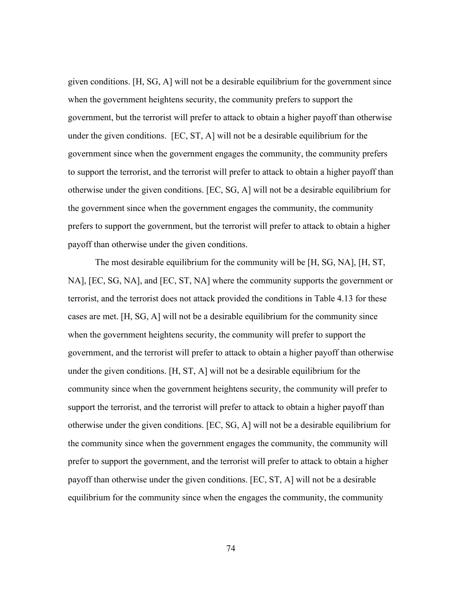given conditions. [H, SG, A] will not be a desirable equilibrium for the government since when the government heightens security, the community prefers to support the government, but the terrorist will prefer to attack to obtain a higher payoff than otherwise under the given conditions. [EC, ST, A] will not be a desirable equilibrium for the government since when the government engages the community, the community prefers to support the terrorist, and the terrorist will prefer to attack to obtain a higher payoff than otherwise under the given conditions. [EC, SG, A] will not be a desirable equilibrium for the government since when the government engages the community, the community prefers to support the government, but the terrorist will prefer to attack to obtain a higher payoff than otherwise under the given conditions.

The most desirable equilibrium for the community will be [H, SG, NA], [H, ST, NA], [EC, SG, NA], and [EC, ST, NA] where the community supports the government or terrorist, and the terrorist does not attack provided the conditions in Table 4.13 for these cases are met. [H, SG, A] will not be a desirable equilibrium for the community since when the government heightens security, the community will prefer to support the government, and the terrorist will prefer to attack to obtain a higher payoff than otherwise under the given conditions. [H, ST, A] will not be a desirable equilibrium for the community since when the government heightens security, the community will prefer to support the terrorist, and the terrorist will prefer to attack to obtain a higher payoff than otherwise under the given conditions. [EC, SG, A] will not be a desirable equilibrium for the community since when the government engages the community, the community will prefer to support the government, and the terrorist will prefer to attack to obtain a higher payoff than otherwise under the given conditions. [EC, ST, A] will not be a desirable equilibrium for the community since when the engages the community, the community

74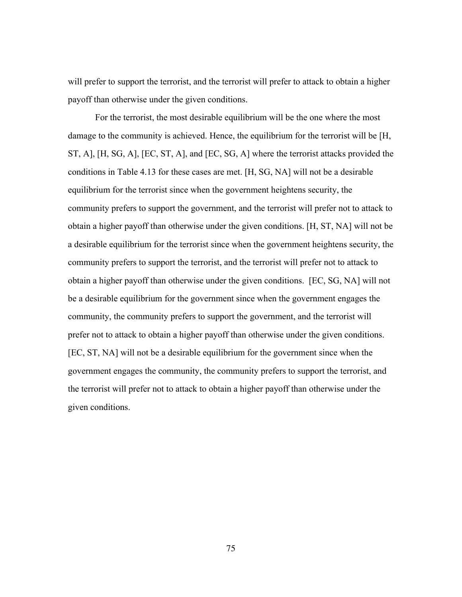will prefer to support the terrorist, and the terrorist will prefer to attack to obtain a higher payoff than otherwise under the given conditions.

For the terrorist, the most desirable equilibrium will be the one where the most damage to the community is achieved. Hence, the equilibrium for the terrorist will be [H, ST, A], [H, SG, A], [EC, ST, A], and [EC, SG, A] where the terrorist attacks provided the conditions in Table 4.13 for these cases are met. [H, SG, NA] will not be a desirable equilibrium for the terrorist since when the government heightens security, the community prefers to support the government, and the terrorist will prefer not to attack to obtain a higher payoff than otherwise under the given conditions. [H, ST, NA] will not be a desirable equilibrium for the terrorist since when the government heightens security, the community prefers to support the terrorist, and the terrorist will prefer not to attack to obtain a higher payoff than otherwise under the given conditions. [EC, SG, NA] will not be a desirable equilibrium for the government since when the government engages the community, the community prefers to support the government, and the terrorist will prefer not to attack to obtain a higher payoff than otherwise under the given conditions. [EC, ST, NA] will not be a desirable equilibrium for the government since when the government engages the community, the community prefers to support the terrorist, and the terrorist will prefer not to attack to obtain a higher payoff than otherwise under the given conditions.

75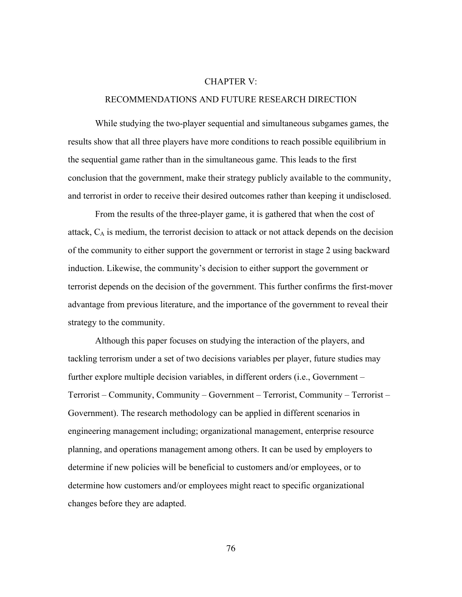#### CHAPTER V:

## RECOMMENDATIONS AND FUTURE RESEARCH DIRECTION

While studying the two-player sequential and simultaneous subgames games, the results show that all three players have more conditions to reach possible equilibrium in the sequential game rather than in the simultaneous game. This leads to the first conclusion that the government, make their strategy publicly available to the community, and terrorist in order to receive their desired outcomes rather than keeping it undisclosed.

From the results of the three-player game, it is gathered that when the cost of attack,  $C_A$  is medium, the terrorist decision to attack or not attack depends on the decision of the community to either support the government or terrorist in stage 2 using backward induction. Likewise, the community's decision to either support the government or terrorist depends on the decision of the government. This further confirms the first-mover advantage from previous literature, and the importance of the government to reveal their strategy to the community.

Although this paper focuses on studying the interaction of the players, and tackling terrorism under a set of two decisions variables per player, future studies may further explore multiple decision variables, in different orders (i.e., Government – Terrorist – Community, Community – Government – Terrorist, Community – Terrorist – Government). The research methodology can be applied in different scenarios in engineering management including; organizational management, enterprise resource planning, and operations management among others. It can be used by employers to determine if new policies will be beneficial to customers and/or employees, or to determine how customers and/or employees might react to specific organizational changes before they are adapted.

76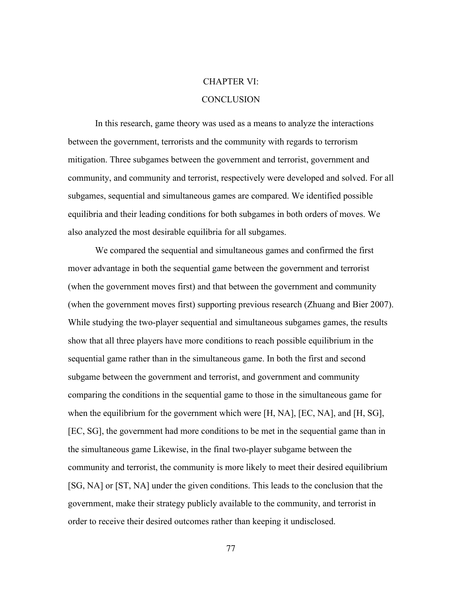#### CHAPTER VI:

#### **CONCLUSION**

In this research, game theory was used as a means to analyze the interactions between the government, terrorists and the community with regards to terrorism mitigation. Three subgames between the government and terrorist, government and community, and community and terrorist, respectively were developed and solved. For all subgames, sequential and simultaneous games are compared. We identified possible equilibria and their leading conditions for both subgames in both orders of moves. We also analyzed the most desirable equilibria for all subgames.

We compared the sequential and simultaneous games and confirmed the first mover advantage in both the sequential game between the government and terrorist (when the government moves first) and that between the government and community (when the government moves first) supporting previous research (Zhuang and Bier 2007). While studying the two-player sequential and simultaneous subgames games, the results show that all three players have more conditions to reach possible equilibrium in the sequential game rather than in the simultaneous game. In both the first and second subgame between the government and terrorist, and government and community comparing the conditions in the sequential game to those in the simultaneous game for when the equilibrium for the government which were [H, NA], [EC, NA], and [H, SG], [EC, SG], the government had more conditions to be met in the sequential game than in the simultaneous game Likewise, in the final two-player subgame between the community and terrorist, the community is more likely to meet their desired equilibrium [SG, NA] or [ST, NA] under the given conditions. This leads to the conclusion that the government, make their strategy publicly available to the community, and terrorist in order to receive their desired outcomes rather than keeping it undisclosed.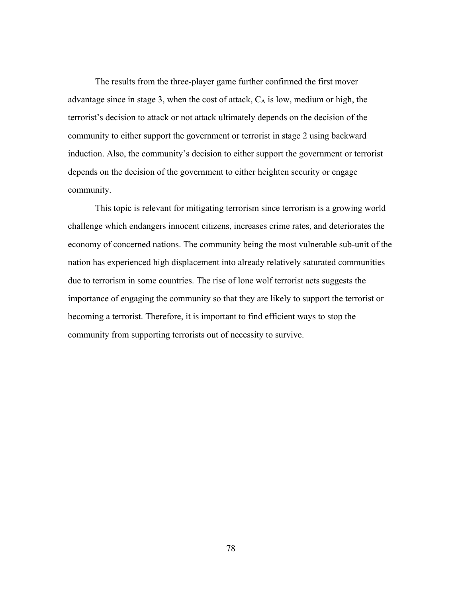The results from the three-player game further confirmed the first mover advantage since in stage 3, when the cost of attack,  $C_A$  is low, medium or high, the terrorist's decision to attack or not attack ultimately depends on the decision of the community to either support the government or terrorist in stage 2 using backward induction. Also, the community's decision to either support the government or terrorist depends on the decision of the government to either heighten security or engage community.

This topic is relevant for mitigating terrorism since terrorism is a growing world challenge which endangers innocent citizens, increases crime rates, and deteriorates the economy of concerned nations. The community being the most vulnerable sub-unit of the nation has experienced high displacement into already relatively saturated communities due to terrorism in some countries. The rise of lone wolf terrorist acts suggests the importance of engaging the community so that they are likely to support the terrorist or becoming a terrorist. Therefore, it is important to find efficient ways to stop the community from supporting terrorists out of necessity to survive.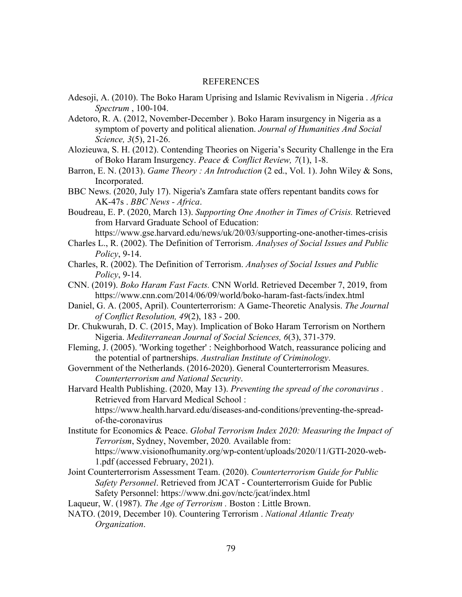#### REFERENCES

- Adesoji, A. (2010). The Boko Haram Uprising and Islamic Revivalism in Nigeria . *Africa Spectrum* , 100-104.
- Adetoro, R. A. (2012, November-December ). Boko Haram insurgency in Nigeria as a symptom of poverty and political alienation. *Journal of Humanities And Social Science, 3*(5), 21-26.
- Alozieuwa, S. H. (2012). Contending Theories on Nigeria's Security Challenge in the Era of Boko Haram Insurgency. *Peace & Conflict Review, 7*(1), 1-8.
- Barron, E. N. (2013). *Game Theory : An Introduction* (2 ed., Vol. 1). John Wiley & Sons, Incorporated.
- BBC News. (2020, July 17). Nigeria's Zamfara state offers repentant bandits cows for AK-47s . *BBC News - Africa*.
- Boudreau, E. P. (2020, March 13). *Supporting One Another in Times of Crisis.* Retrieved from Harvard Graduate School of Education:

https://www.gse.harvard.edu/news/uk/20/03/supporting-one-another-times-crisis

- Charles L., R. (2002). The Definition of Terrorism. *Analyses of Social Issues and Public Policy*, 9-14.
- Charles, R. (2002). The Definition of Terrorism. *Analyses of Social Issues and Public Policy*, 9-14.
- CNN. (2019). *Boko Haram Fast Facts.* CNN World. Retrieved December 7, 2019, from https://www.cnn.com/2014/06/09/world/boko-haram-fast-facts/index.html
- Daniel, G. A. (2005, April). Counterterrorism: A Game-Theoretic Analysis. *The Journal of Conflict Resolution, 49*(2), 183 - 200.
- Dr. Chukwurah, D. C. (2015, May). Implication of Boko Haram Terrorism on Northern Nigeria. *Mediterranean Journal of Social Sciences, 6*(3), 371-379.
- Fleming, J. (2005). 'Working together' : Neighborhood Watch, reassurance policing and the potential of partnerships. *Australian Institute of Criminology*.
- Government of the Netherlands. (2016-2020). General Counterterrorism Measures. *Counterterrorism and National Security*.
- Harvard Health Publishing. (2020, May 13). *Preventing the spread of the coronavirus .* Retrieved from Harvard Medical School : https://www.health.harvard.edu/diseases-and-conditions/preventing-the-spread-

of-the-coronavirus

Institute for Economics & Peace. *Global Terrorism Index 2020: Measuring the Impact of Terrorism*, Sydney, November, 2020*.* Available from:

https://www.visionofhumanity.org/wp-content/uploads/2020/11/GTI-2020-web-1.pdf (accessed February, 2021).

Joint Counterterrorism Assessment Team. (2020). *Counterterrorism Guide for Public Safety Personnel*. Retrieved from JCAT - Counterterrorism Guide for Public Safety Personnel: https://www.dni.gov/nctc/jcat/index.html

Laqueur, W. (1987). *The Age of Terrorism .* Boston : Little Brown.

NATO. (2019, December 10). Countering Terrorism . *National Atlantic Treaty Organization*.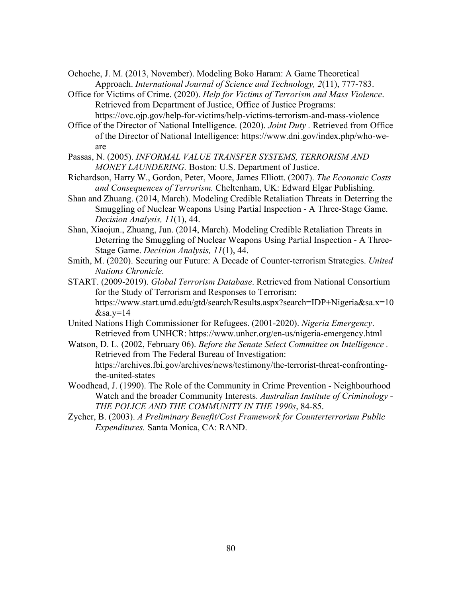Ochoche, J. M. (2013, November). Modeling Boko Haram: A Game Theoretical Approach. *International Journal of Science and Technology, 2*(11), 777-783.

- Office for Victims of Crime. (2020). *Help for Victims of Terrorism and Mass Violence*. Retrieved from Department of Justice, Office of Justice Programs: https://ovc.ojp.gov/help-for-victims/help-victims-terrorism-and-mass-violence
- Office of the Director of National Intelligence. (2020). *Joint Duty .* Retrieved from Office of the Director of National Intelligence: https://www.dni.gov/index.php/who-weare
- Passas, N. (2005). *INFORMAL VALUE TRANSFER SYSTEMS, TERRORISM AND MONEY LAUNDERING.* Boston: U.S. Department of Justice.
- Richardson, Harry W., Gordon, Peter, Moore, James Elliott. (2007). *The Economic Costs and Consequences of Terrorism.* Cheltenham, UK: Edward Elgar Publishing.
- Shan and Zhuang. (2014, March). Modeling Credible Retaliation Threats in Deterring the Smuggling of Nuclear Weapons Using Partial Inspection - A Three-Stage Game. *Decision Analysis, 11*(1), 44.
- Shan, Xiaojun., Zhuang, Jun. (2014, March). Modeling Credible Retaliation Threats in Deterring the Smuggling of Nuclear Weapons Using Partial Inspection - A Three-Stage Game. *Decision Analysis, 11*(1), 44.
- Smith, M. (2020). Securing our Future: A Decade of Counter-terrorism Strategies. *United Nations Chronicle*.
- START. (2009-2019). *Global Terrorism Database*. Retrieved from National Consortium for the Study of Terrorism and Responses to Terrorism: https://www.start.umd.edu/gtd/search/Results.aspx?search=IDP+Nigeria&sa.x=10  $&$ sa.y=14
- United Nations High Commissioner for Refugees. (2001-2020). *Nigeria Emergency*. Retrieved from UNHCR: https://www.unhcr.org/en-us/nigeria-emergency.html
- Watson, D. L. (2002, February 06). *Before the Senate Select Committee on Intelligence .* Retrieved from The Federal Bureau of Investigation: https://archives.fbi.gov/archives/news/testimony/the-terrorist-threat-confrontingthe-united-states
- Woodhead, J. (1990). The Role of the Community in Crime Prevention Neighbourhood Watch and the broader Community Interests. *Australian Institute of Criminology - THE POLICE AND THE COMMUNITY IN THE 1990s*, 84-85.
- Zycher, B. (2003). *A Preliminary Benefit/Cost Framework for Counterterrorism Public Expenditures.* Santa Monica, CA: RAND.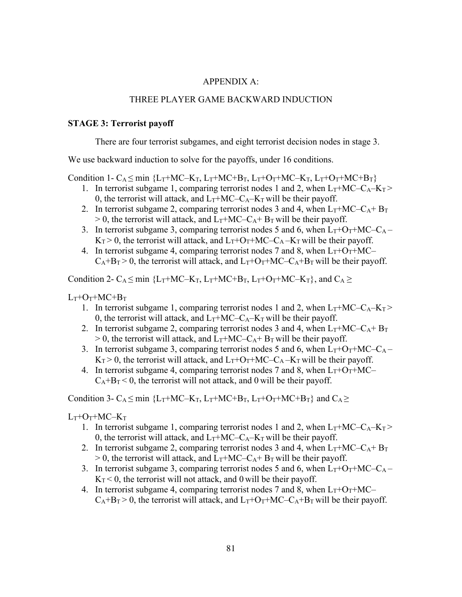#### APPENDIX A:

### THREE PLAYER GAME BACKWARD INDUCTION

#### **STAGE 3: Terrorist payoff**

There are four terrorist subgames, and eight terrorist decision nodes in stage 3.

We use backward induction to solve for the payoffs, under 16 conditions.

Condition 1- C<sub>A</sub>  $\leq$  min {L<sub>T</sub>+MC–K<sub>T</sub>, L<sub>T</sub>+MC+B<sub>T</sub>, L<sub>T</sub>+O<sub>T</sub>+MC–K<sub>T</sub>, L<sub>T</sub>+O<sub>T</sub>+MC+B<sub>T</sub>}

- 1. In terrorist subgame 1, comparing terrorist nodes 1 and 2, when  $L_T+MC-C_A-K_T$ 0, the terrorist will attack, and  $L_T + MC - C_A - K_T$  will be their payoff.
- 2. In terrorist subgame 2, comparing terrorist nodes 3 and 4, when  $L_T + MC C_A + B_T$  $> 0$ , the terrorist will attack, and  $L_T + MC - C_A + B_T$  will be their payoff.
- 3. In terrorist subgame 3, comparing terrorist nodes 5 and 6, when  $L_T+O_T+MC-C_A K_T > 0$ , the terrorist will attack, and  $L_T + O_T + MC - C_A - K_T$  will be their payoff.
- 4. In terrorist subgame 4, comparing terrorist nodes 7 and 8, when  $L_T+O_T+MC$  $C_A+B_T > 0$ , the terrorist will attack, and  $L_T+O_T+MC-C_A+B_T$  will be their payoff.

Condition 2- C<sub>A</sub>  $\leq$  min {L<sub>T</sub>+MC–K<sub>T</sub>, L<sub>T</sub>+MC+B<sub>T</sub>, L<sub>T</sub>+O<sub>T</sub>+MC–K<sub>T</sub>}, and C<sub>A</sub>  $\geq$ 

 $L_T+O_T+MC+B_T$ 

- 1. In terrorist subgame 1, comparing terrorist nodes 1 and 2, when  $L_T + MC C_A K_T$ 0, the terrorist will attack, and  $L_T + MC - C_A - K_T$  will be their payoff.
- 2. In terrorist subgame 2, comparing terrorist nodes 3 and 4, when  $L_T + MC C_A + B_T$  $> 0$ , the terrorist will attack, and  $L_T + MC - C_A + B_T$  will be their payoff.
- 3. In terrorist subgame 3, comparing terrorist nodes 5 and 6, when  $L_T + O_T + MC C_A$  $K_T > 0$ , the terrorist will attack, and  $L_T + O_T + MC - C_A - K_T$  will be their payoff.
- 4. In terrorist subgame 4, comparing terrorist nodes 7 and 8, when  $L_T + O_T + MC$  $C_A+B_T < 0$ , the terrorist will not attack, and 0 will be their payoff.

Condition 3- C<sub>A</sub>  $\leq$  min {L<sub>T</sub>+MC–K<sub>T</sub>, L<sub>T</sub>+MC+B<sub>T</sub>, L<sub>T</sub>+O<sub>T</sub>+MC+B<sub>T</sub>} and C<sub>A</sub> $\geq$ 

#### $L_T$ + $O_T$ + $MC$ – $K_T$

- 1. In terrorist subgame 1, comparing terrorist nodes 1 and 2, when  $L_T + MC C_A K_T$ 0, the terrorist will attack, and  $L_T + MC - C_A - K_T$  will be their payoff.
- 2. In terrorist subgame 2, comparing terrorist nodes 3 and 4, when  $L_T + MC C_A + B_T$  $> 0$ , the terrorist will attack, and  $L_T + MC - C_A + B_T$  will be their payoff.
- 3. In terrorist subgame 3, comparing terrorist nodes 5 and 6, when  $L_T + O_T + MC C_A K_T < 0$ , the terrorist will not attack, and 0 will be their payoff.
- 4. In terrorist subgame 4, comparing terrorist nodes 7 and 8, when  $L_T + O_T + MC$  $C_A+B_T > 0$ , the terrorist will attack, and  $L_T+O_T+MC-C_A+B_T$  will be their payoff.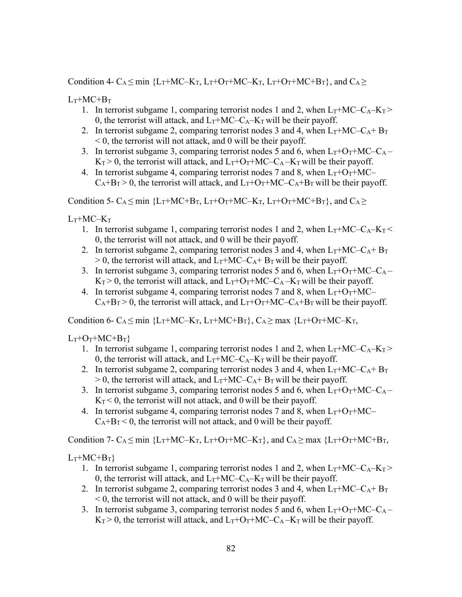Condition 4- C<sub>A</sub>  $\leq$  min {L<sub>T</sub>+MC–K<sub>T</sub>, L<sub>T</sub>+O<sub>T</sub>+MC–K<sub>T</sub>, L<sub>T</sub>+O<sub>T</sub>+MC+B<sub>T</sub>}, and C<sub>A</sub> $\geq$ 

 $L_T + MC + B_T$ 

- 1. In terrorist subgame 1, comparing terrorist nodes 1 and 2, when  $L_T + MC C_A K_T$ 0, the terrorist will attack, and  $L_T + MC - C_A - K_T$  will be their payoff.
- 2. In terrorist subgame 2, comparing terrorist nodes 3 and 4, when  $L_T + MC C_A + B_T$  $< 0$ , the terrorist will not attack, and 0 will be their payoff.
- 3. In terrorist subgame 3, comparing terrorist nodes 5 and 6, when  $L_T + O_T + MC C_A K_T > 0$ , the terrorist will attack, and  $L_T + O_T + MC - C_A - K_T$  will be their payoff.
- 4. In terrorist subgame 4, comparing terrorist nodes 7 and 8, when  $L_T + O_T + MC$  $C_A+B_T > 0$ , the terrorist will attack, and  $L_T+O_T+MC-C_A+B_T$  will be their payoff.

Condition 5- C<sub>A</sub>  $\leq$  min {L<sub>T</sub>+MC+B<sub>T</sub>, L<sub>T</sub>+O<sub>T</sub>+MC–K<sub>T</sub>, L<sub>T</sub>+O<sub>T</sub>+MC+B<sub>T</sub>}, and C<sub>A</sub> $\geq$ 

 $L_T + MC - K_T$ 

- 1. In terrorist subgame 1, comparing terrorist nodes 1 and 2, when  $L_T + MC C_A K_T$ 0, the terrorist will not attack, and 0 will be their payoff.
- 2. In terrorist subgame 2, comparing terrorist nodes 3 and 4, when  $L_T + MC C_A + B_T$  $> 0$ , the terrorist will attack, and  $L_T + MC - C_A + B_T$  will be their payoff.
- 3. In terrorist subgame 3, comparing terrorist nodes 5 and 6, when  $L_T + O_T + MC C_A K_T > 0$ , the terrorist will attack, and  $L_T + O_T + MC - C_A - K_T$  will be their payoff.
- 4. In terrorist subgame 4, comparing terrorist nodes 7 and 8, when  $L_T + O_T + MC$  $C_A+B_T > 0$ , the terrorist will attack, and  $L_T+O_T+MC-C_A+B_T$  will be their payoff.

Condition 6- C<sub>A</sub>  $\leq$  min {L<sub>T</sub>+MC–K<sub>T</sub>, L<sub>T</sub>+MC+B<sub>T</sub>}, C<sub>A</sub> $\geq$  max {L<sub>T</sub>+O<sub>T</sub>+MC–K<sub>T</sub>,

 $L_T+O_T+MC+B_T$ 

- 1. In terrorist subgame 1, comparing terrorist nodes 1 and 2, when  $L_T+MC-C_A-K_T$ 0, the terrorist will attack, and  $L_T + MC - C_A - K_T$  will be their payoff.
- 2. In terrorist subgame 2, comparing terrorist nodes 3 and 4, when  $L_T + MC C_A + B_T$  $> 0$ , the terrorist will attack, and  $L_T + MC - C_A + B_T$  will be their payoff.
- 3. In terrorist subgame 3, comparing terrorist nodes 5 and 6, when  $L_T + O_T + MC C_A$  $K_T < 0$ , the terrorist will not attack, and 0 will be their payoff.
- 4. In terrorist subgame 4, comparing terrorist nodes 7 and 8, when  $L_T+O_T+MC$  $C_A+B_T < 0$ , the terrorist will not attack, and 0 will be their payoff.

Condition 7- C<sub>A</sub>  $\leq$  min {L<sub>T</sub>+MC–K<sub>T</sub>, L<sub>T</sub>+O<sub>T</sub>+MC–K<sub>T</sub>}, and C<sub>A</sub> $\geq$  max {L<sub>T</sub>+O<sub>T</sub>+MC+B<sub>T</sub>,

 $L_T + MC + B_T$ 

- 1. In terrorist subgame 1, comparing terrorist nodes 1 and 2, when  $L_T + MC C_A K_T$ 0, the terrorist will attack, and  $L_T + MC - C_A - K_T$  will be their payoff.
- 2. In terrorist subgame 2, comparing terrorist nodes 3 and 4, when  $L_T + MC C_A + B_T$  $\leq 0$ , the terrorist will not attack, and 0 will be their payoff.
- 3. In terrorist subgame 3, comparing terrorist nodes 5 and 6, when  $L_T + O_T + MC C_A$  $K_T > 0$ , the terrorist will attack, and  $L_T + O_T + MC - C_A - K_T$  will be their payoff.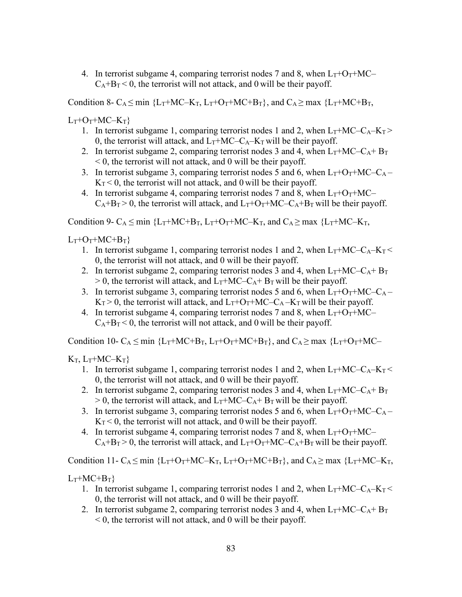4. In terrorist subgame 4, comparing terrorist nodes 7 and 8, when  $L_T + O_T + MC$  $C_A+B_T < 0$ , the terrorist will not attack, and 0 will be their payoff.

Condition 8- C<sub>A</sub>  $\leq$  min {L<sub>T</sub>+MC–K<sub>T</sub>, L<sub>T</sub>+O<sub>T</sub>+MC+B<sub>T</sub>}, and C<sub>A</sub> $\geq$  max {L<sub>T</sub>+MC+B<sub>T</sub>,

 $L_T+O_T+MC-K_T$ 

- 1. In terrorist subgame 1, comparing terrorist nodes 1 and 2, when  $L_T + MC C_A K_T$ 0, the terrorist will attack, and  $L_T + MC - C_A - K_T$  will be their payoff.
- 2. In terrorist subgame 2, comparing terrorist nodes 3 and 4, when  $L_T + MC C_A + B_T$  $< 0$ , the terrorist will not attack, and 0 will be their payoff.
- 3. In terrorist subgame 3, comparing terrorist nodes 5 and 6, when  $L_T+O_T+MC-C_A K_T < 0$ , the terrorist will not attack, and 0 will be their payoff.
- 4. In terrorist subgame 4, comparing terrorist nodes 7 and 8, when  $L_T+O_T+MC$  $C_A+B_T > 0$ , the terrorist will attack, and  $L_T+O_T+MC-C_A+B_T$  will be their payoff.

Condition 9-  $C_A \leq min$  {L<sub>T</sub>+MC+B<sub>T</sub>, L<sub>T</sub>+O<sub>T</sub>+MC–K<sub>T</sub>, and  $C_A \geq max$  {L<sub>T</sub>+MC–K<sub>T</sub>,

 $L_T+O_T+MC+B_T$ 

- 1. In terrorist subgame 1, comparing terrorist nodes 1 and 2, when  $L_T + MC C_A K_T$ 0, the terrorist will not attack, and 0 will be their payoff.
- 2. In terrorist subgame 2, comparing terrorist nodes 3 and 4, when  $L_T + MC C_A + B_T$  $> 0$ , the terrorist will attack, and  $L_T + MC - C_A + B_T$  will be their payoff.
- 3. In terrorist subgame 3, comparing terrorist nodes 5 and 6, when  $L_T + O_T + MC C_A$  $K_T > 0$ , the terrorist will attack, and  $L_T + O_T + MC - C_A - K_T$  will be their payoff.
- 4. In terrorist subgame 4, comparing terrorist nodes 7 and 8, when  $L_T + O_T + MC$  $C_A+B_T < 0$ , the terrorist will not attack, and 0 will be their payoff.

Condition 10- C<sub>A</sub>  $\leq$  min {L<sub>T</sub>+MC+B<sub>T</sub>, L<sub>T</sub>+O<sub>T</sub>+MC+B<sub>T</sub>}, and C<sub>A</sub> $\geq$  max {L<sub>T</sub>+O<sub>T</sub>+MC-

 $K_T$ ,  $L_T+MC-K_T$ }

- 1. In terrorist subgame 1, comparing terrorist nodes 1 and 2, when  $L_T + MC C_A K_T$ 0, the terrorist will not attack, and 0 will be their payoff.
- 2. In terrorist subgame 2, comparing terrorist nodes 3 and 4, when  $L_T + MC C_A + B_T$  $> 0$ , the terrorist will attack, and  $L_T + MC - C_A + B_T$  will be their payoff.
- 3. In terrorist subgame 3, comparing terrorist nodes 5 and 6, when  $L_T+O_T+MC-C_A$  $K_T < 0$ , the terrorist will not attack, and 0 will be their payoff.
- 4. In terrorist subgame 4, comparing terrorist nodes 7 and 8, when  $L_T + O_T + MC$  $C_A+B_T>0$ , the terrorist will attack, and  $L_T+O_T+MC-C_A+B_T$  will be their payoff.

Condition 11-  $C_A \le \min$  {L<sub>T</sub>+O<sub>T</sub>+MC–K<sub>T</sub>, L<sub>T</sub>+O<sub>T</sub>+MC+B<sub>T</sub>}, and C<sub>A</sub> $\ge \max$  {L<sub>T</sub>+MC–K<sub>T</sub>,

 $L_T + MC + B_T$ 

- 1. In terrorist subgame 1, comparing terrorist nodes 1 and 2, when  $L_T + MC C_A K_T$ 0, the terrorist will not attack, and 0 will be their payoff.
- 2. In terrorist subgame 2, comparing terrorist nodes 3 and 4, when  $L_T + MC C_A + B_T$  $<$  0, the terrorist will not attack, and 0 will be their payoff.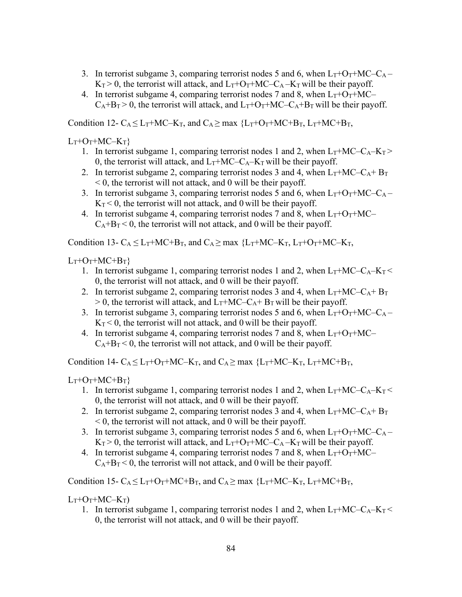- 3. In terrorist subgame 3, comparing terrorist nodes 5 and 6, when  $L_T + O_T + MC C_A K_T > 0$ , the terrorist will attack, and  $L_T + O_T + MC - C_A - K_T$  will be their payoff.
- 4. In terrorist subgame 4, comparing terrorist nodes 7 and 8, when  $L_T + O_T + MC$  $C_A+B_T > 0$ , the terrorist will attack, and  $L_T+O_T+MC-C_A+B_T$  will be their payoff.

Condition 12-  $C_A \leq L_T + MC - K_T$ , and  $C_A \geq \max \{L_T + O_T + MC + B_T, L_T + MC + B_T,$ 

 $L_T+O_T+MC-K_T$ 

- 1. In terrorist subgame 1, comparing terrorist nodes 1 and 2, when  $L_T + MC C_A K_T$ 0, the terrorist will attack, and  $L_T + MC - C_A - K_T$  will be their payoff.
- 2. In terrorist subgame 2, comparing terrorist nodes 3 and 4, when  $L_T+MC-C_A+B_T$ < 0, the terrorist will not attack, and 0 will be their payoff.
- 3. In terrorist subgame 3, comparing terrorist nodes 5 and 6, when  $L_T+O_T+MC-C_A K_T < 0$ , the terrorist will not attack, and 0 will be their payoff.
- 4. In terrorist subgame 4, comparing terrorist nodes 7 and 8, when  $L_T + O_T + MC$  $C_A+B_T < 0$ , the terrorist will not attack, and 0 will be their payoff.

Condition 13-  $C_A \leq L_T + MC + B_T$ , and  $C_A \geq$  max  ${L_T + MC - K_T}$ ,  $L_T + O_T + MC - K_T$ ,

 $L_T+O_T+MC+B_T$ 

- 1. In terrorist subgame 1, comparing terrorist nodes 1 and 2, when  $L_T + MC C_A K_T$ 0, the terrorist will not attack, and 0 will be their payoff.
- 2. In terrorist subgame 2, comparing terrorist nodes 3 and 4, when  $L_T + MC C_A + B_T$  $> 0$ , the terrorist will attack, and  $L_T + MC - C_A + B_T$  will be their payoff.
- 3. In terrorist subgame 3, comparing terrorist nodes 5 and 6, when  $L_T + O_T + MC C_A$  $K_T < 0$ , the terrorist will not attack, and 0 will be their payoff.
- 4. In terrorist subgame 4, comparing terrorist nodes 7 and 8, when  $L_T+O_T+MC$  $C_A+B_T < 0$ , the terrorist will not attack, and 0 will be their payoff.

Condition 14-  $C_A \leq L_T + O_T + MC - K_T$ , and  $C_A \geq \max \{L_T + MC - K_T, L_T + MC + B_T,$ 

 $L_T+O_T+MC+B_T$ 

- 1. In terrorist subgame 1, comparing terrorist nodes 1 and 2, when  $L_T + MC C_A K_T$ 0, the terrorist will not attack, and 0 will be their payoff.
- 2. In terrorist subgame 2, comparing terrorist nodes 3 and 4, when  $L_T + MC C_A + B_T$  $< 0$ , the terrorist will not attack, and 0 will be their payoff.
- 3. In terrorist subgame 3, comparing terrorist nodes 5 and 6, when  $L_T + O_T + MC C_A$  $K_T > 0$ , the terrorist will attack, and  $L_T + O_T + MC - C_A - K_T$  will be their payoff.
- 4. In terrorist subgame 4, comparing terrorist nodes 7 and 8, when  $L_T + O_T + MC$  $C_A+B_T < 0$ , the terrorist will not attack, and 0 will be their payoff.

Condition 15-  $C_A \leq L_T + O_T + MC + B_T$ , and  $C_A \geq$  max  ${L_T + MC - K_T}$ ,  $L_T + MC + B_T$ ,

 $L_T+O_T+MC-K_T$ 

1. In terrorist subgame 1, comparing terrorist nodes 1 and 2, when  $L_T + MC - C_A - K_T$ 0, the terrorist will not attack, and 0 will be their payoff.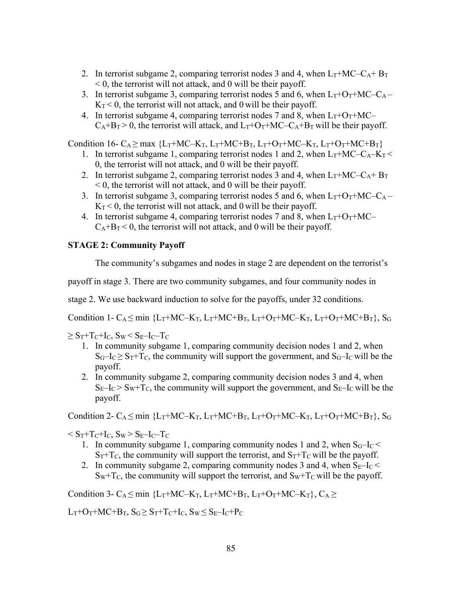- 2. In terrorist subgame 2, comparing terrorist nodes 3 and 4, when  $L_T + MC C_A + B_T$  $\leq 0$ , the terrorist will not attack, and 0 will be their payoff.
- 3. In terrorist subgame 3, comparing terrorist nodes 5 and 6, when  $L_T + O_T + MC C_A K_T < 0$ , the terrorist will not attack, and 0 will be their payoff.
- 4. In terrorist subgame 4, comparing terrorist nodes 7 and 8, when  $L_T+O_T+MC$  $C_A+B_T > 0$ , the terrorist will attack, and  $L_T+O_T+MC-C_A+B_T$  will be their payoff.

Condition 16-  $C_A \ge \max \{L_T + MC - K_T, L_T + MC + B_T, L_T + O_T + MC - K_T, L_T + O_T + MC + B_T\}$ 

- 1. In terrorist subgame 1, comparing terrorist nodes 1 and 2, when  $L_T + MC C_A K_T$ 0, the terrorist will not attack, and 0 will be their payoff.
- 2. In terrorist subgame 2, comparing terrorist nodes 3 and 4, when  $L_T + MC C_A + B_T$  $<$  0, the terrorist will not attack, and 0 will be their payoff.
- 3. In terrorist subgame 3, comparing terrorist nodes 5 and 6, when  $L_T + O_T + MC C_A$  $K_T < 0$ , the terrorist will not attack, and 0 will be their payoff.
- 4. In terrorist subgame 4, comparing terrorist nodes 7 and 8, when  $L_T + O_T + MC$  $C_A+B_T < 0$ , the terrorist will not attack, and 0 will be their payoff.

## **STAGE 2: Community Payoff**

The community's subgames and nodes in stage 2 are dependent on the terrorist's

payoff in stage 3. There are two community subgames, and four community nodes in

stage 2. We use backward induction to solve for the payoffs, under 32 conditions.

Condition 1- C<sub>A</sub>  $\leq$  min {L<sub>T</sub>+MC–K<sub>T</sub>, L<sub>T</sub>+MC+B<sub>T</sub>, L<sub>T</sub>+O<sub>T</sub>+MC–K<sub>T</sub>, L<sub>T</sub>+O<sub>T</sub>+MC+B<sub>T</sub>}, S<sub>G</sub>

 $\geq S_T + T_C + I_C$ ,  $S_W < S_E - I_C - T_C$ 

- 1. In community subgame 1, comparing community decision nodes 1 and 2, when  $S_G-I_C \geq S_T+T_C$ , the community will support the government, and  $S_G-I_C$  will be the payoff.
- 2. In community subgame 2, comparing community decision nodes 3 and 4, when  $S_E-I_C > S_W+T_C$ , the community will support the government, and  $S_E-I_C$  will be the payoff.

Condition 2- C<sub>A</sub>  $\leq$  min {L<sub>T</sub>+MC–K<sub>T</sub>, L<sub>T</sub>+MC+B<sub>T</sub>, L<sub>T</sub>+O<sub>T</sub>+MC–K<sub>T</sub>, L<sub>T</sub>+O<sub>T</sub>+MC+B<sub>T</sub>}, S<sub>G</sub>

 $\rm < S_T + T_C + I_C$ ,  $\rm S_W > S_E - I_C - T_C$ 

- 1. In community subgame 1, comparing community nodes 1 and 2, when  $S<sub>G</sub>-I<sub>C</sub>$  $S_T + T_C$ , the community will support the terrorist, and  $S_T + T_C$  will be the payoff.
- 2. In community subgame 2, comparing community nodes 3 and 4, when  $S_{E}$ -I $_{C}$  <  $S_W+T_C$ , the community will support the terrorist, and  $S_W+T_C$  will be the payoff.

Condition 3- C<sub>A</sub> $\leq$  min {L<sub>T</sub>+MC–K<sub>T</sub>, L<sub>T</sub>+MC+B<sub>T</sub>, L<sub>T</sub>+O<sub>T</sub>+MC–K<sub>T</sub>}, C<sub>A</sub> $\geq$ 

 $L_T+O_T+MC+B_T$ ,  $S_G \geq S_T+T_C+I_C$ ,  $S_W \leq S_E-I_C+P_C$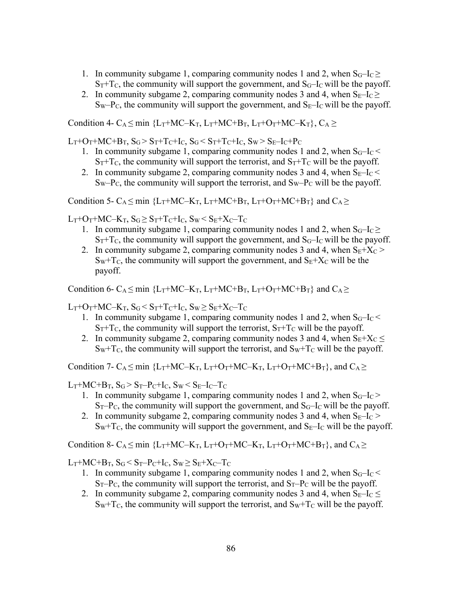- 1. In community subgame 1, comparing community nodes 1 and 2, when  $S_G-I_C \ge$  $S_T + T_C$ , the community will support the government, and  $S_G - I_C$  will be the payoff.
- 2. In community subgame 2, comparing community nodes 3 and 4, when  $S_{E}$ -I $c \geq$  $S_W-P_C$ , the community will support the government, and  $S_E-I_C$  will be the payoff.

Condition 4- C<sub>A</sub>  $\leq$  min {L<sub>T</sub>+MC–K<sub>T</sub>, L<sub>T</sub>+MC+B<sub>T</sub>, L<sub>T</sub>+O<sub>T</sub>+MC–K<sub>T</sub>}, C<sub>A</sub>  $\geq$ 

 $L_T+O_T+MC+B_T$ ,  $S_G > S_T+T_C+I_C$ ,  $S_G < S_T+T_C+I_C$ ,  $S_W > S_E-I_C+P_C$ 

- 1. In community subgame 1, comparing community nodes 1 and 2, when  $S_G-I_C <$  $S_T + T_C$ , the community will support the terrorist, and  $S_T + T_C$  will be the payoff.
- 2. In community subgame 2, comparing community nodes 3 and 4, when  $S_{E}$ -I<sub>C</sub> <  $S_W-P_C$ , the community will support the terrorist, and  $S_W-P_C$  will be the payoff.

Condition 5- C<sub>A</sub>  $\leq$  min {L<sub>T</sub>+MC–K<sub>T</sub>, L<sub>T</sub>+MC+B<sub>T</sub>, L<sub>T</sub>+O<sub>T</sub>+MC+B<sub>T</sub>} and C<sub>A</sub> $\geq$ 

 $L_T+O_T+MC-K_T$ ,  $S_G \geq S_T+T_C+I_C$ ,  $S_W \leq S_E+X_C-T_C$ 

- 1. In community subgame 1, comparing community nodes 1 and 2, when  $S_G-I_C \ge$  $S_T + T_C$ , the community will support the government, and  $S_G - I_C$  will be the payoff.
- 2. In community subgame 2, comparing community nodes 3 and 4, when  $S_E + X_C$  $S_W+T_C$ , the community will support the government, and  $S_E+X_C$  will be the payoff.

Condition 6- C<sub>A</sub>  $\leq$  min {L<sub>T</sub>+MC–K<sub>T</sub>, L<sub>T</sub>+MC+B<sub>T</sub>, L<sub>T</sub>+O<sub>T</sub>+MC+B<sub>T</sub>} and C<sub>A</sub> $\geq$ 

 $L_T+O_T+MC-K_T$ ,  $S_G < S_T+T_C+I_C$ ,  $S_W \geq S_E+X_C-T_C$ 

- 1. In community subgame 1, comparing community nodes 1 and 2, when  $S_G-I_C$  $S_T + T_C$ , the community will support the terrorist,  $S_T + T_C$  will be the payoff.
- 2. In community subgame 2, comparing community nodes 3 and 4, when  $S_E+X_C \leq$  $Sw+T_c$ , the community will support the terrorist, and  $Sw+T_c$  will be the payoff.

Condition 7- C<sub>A</sub>  $\leq$  min {L<sub>T</sub>+MC–K<sub>T</sub>, L<sub>T</sub>+O<sub>T</sub>+MC–K<sub>T</sub>, L<sub>T</sub>+O<sub>T</sub>+MC+B<sub>T</sub>}, and C<sub>A</sub> $\geq$ 

 $L_T+MC+B_T$ ,  $S_G > S_T-P_C+I_C$ ,  $S_W < S_E-I_C-T_C$ 

- 1. In community subgame 1, comparing community nodes 1 and 2, when  $S_G-I_C$  $S_T-P_C$ , the community will support the government, and  $S_G-I_C$  will be the payoff.
- 2. In community subgame 2, comparing community nodes 3 and 4, when  $S_{E}$ -I<sub>C</sub> >  $S_W + T_C$ , the community will support the government, and  $S_E - I_C$  will be the payoff.

Condition 8- C<sub>A</sub>  $\leq$  min {L<sub>T</sub>+MC–K<sub>T</sub>, L<sub>T</sub>+O<sub>T</sub>+MC–K<sub>T</sub>, L<sub>T</sub>+O<sub>T</sub>+MC+B<sub>T</sub>}, and C<sub>A</sub> $\geq$ 

 $L_T+MC+B_T$ ,  $S_G < S_T-P_C+I_C$ ,  $S_W \geq S_E+X_C-T_C$ 

- 1. In community subgame 1, comparing community nodes 1 and 2, when  $S_G-I_C$  $S_T-P_C$ , the community will support the terrorist, and  $S_T-P_C$  will be the payoff.
- 2. In community subgame 2, comparing community nodes 3 and 4, when  $S_{E}$ -I $_C$  $S_W + T_C$ , the community will support the terrorist, and  $S_W + T_C$  will be the payoff.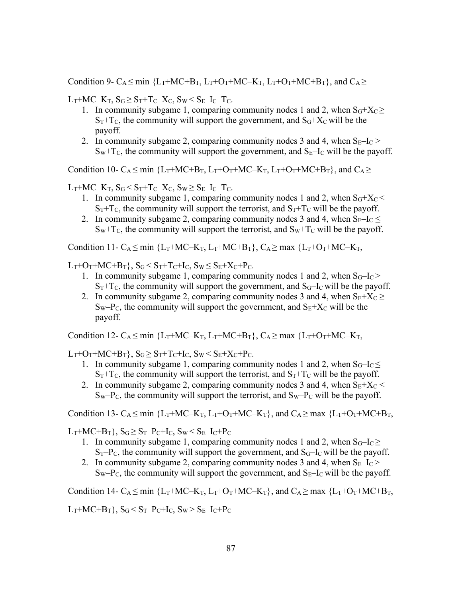Condition 9- C<sub>A</sub>  $\leq$  min {L<sub>T</sub>+MC+B<sub>T</sub>, L<sub>T</sub>+O<sub>T</sub>+MC–K<sub>T</sub>, L<sub>T</sub>+O<sub>T</sub>+MC+B<sub>T</sub>}, and C<sub>A</sub> $\geq$ 

 $L_T+MC-K_T$ ,  $S_G \geq S_T+T_C-X_C$ ,  $S_W \leq S_E-I_C-T_C$ .

- 1. In community subgame 1, comparing community nodes 1 and 2, when  $S<sub>G</sub>+X<sub>C</sub>$  $S_T + T_C$ , the community will support the government, and  $S_G + X_C$  will be the payoff.
- 2. In community subgame 2, comparing community nodes 3 and 4, when  $S_{E}$ -I $_C$  >  $S_W + T_C$ , the community will support the government, and  $S_E - I_C$  will be the payoff.

Condition 10- C<sub>A</sub>  $\leq$  min {L<sub>T</sub>+MC+B<sub>T</sub>, L<sub>T</sub>+O<sub>T</sub>+MC–K<sub>T</sub>, L<sub>T</sub>+O<sub>T</sub>+MC+B<sub>T</sub>}, and C<sub>A</sub> $\geq$ 

 $L_T + MC - K_T$ ,  $S_G \leq S_T + T_C - X_C$ ,  $S_W \geq S_F - I_C - T_C$ .

- 1. In community subgame 1, comparing community nodes 1 and 2, when  $S<sub>G</sub>+X<sub>C</sub>$  $S_T + T_C$ , the community will support the terrorist, and  $S_T + T_C$  will be the payoff.
- 2. In community subgame 2, comparing community nodes 3 and 4, when  $S_{E}$ -I $_C$   $\leq$  $S_W + T_C$ , the community will support the terrorist, and  $S_W + T_C$  will be the payoff.

Condition 11- C<sub>A</sub>  $\leq$  min {L<sub>T</sub>+MC–K<sub>T</sub>, L<sub>T</sub>+MC+B<sub>T</sub>}, C<sub>A</sub> $\geq$  max {L<sub>T</sub>+O<sub>T</sub>+MC–K<sub>T</sub>,

 $L_T+O_T+MC+B_T\}$ ,  $S_G \leq S_T+T_C+I_C$ ,  $S_W \leq S_E+X_C+P_C$ .

- 1. In community subgame 1, comparing community nodes 1 and 2, when  $S_G-I_C$  $S_T + T_C$ , the community will support the government, and  $S_G - I_C$  will be the payoff.
- 2. In community subgame 2, comparing community nodes 3 and 4, when  $S_E+X_C \geq$  $Sw-P_{C}$ , the community will support the government, and  $S_{E}+X_{C}$  will be the payoff.

Condition 12- C<sub>A</sub>  $\leq$  min {L<sub>T</sub>+MC–K<sub>T</sub>, L<sub>T</sub>+MC+B<sub>T</sub>}, C<sub>A</sub> $\geq$  max {L<sub>T</sub>+O<sub>T</sub>+MC–K<sub>T</sub>,

 $L_T+O_T+MC+B_T$ ,  $S_G \geq S_T+T_C+I_C$ ,  $S_W \leq S_E+X_C+P_C$ .

- 1. In community subgame 1, comparing community nodes 1 and 2, when  $S_G-I_C \leq$  $S_T + T_C$ , the community will support the terrorist, and  $S_T + T_C$  will be the payoff.
- 2. In community subgame 2, comparing community nodes 3 and 4, when  $S_E+X_C$  $Sw-P_{C}$ , the community will support the terrorist, and  $Sw-P_{C}$  will be the payoff.

Condition 13- C<sub>A</sub>  $\leq$  min {L<sub>T</sub>+MC–K<sub>T</sub>, L<sub>T</sub>+O<sub>T</sub>+MC–K<sub>T</sub>}, and C<sub>A</sub> $\geq$  max {L<sub>T</sub>+O<sub>T</sub>+MC+B<sub>T</sub>,

 $L_T+MC+B_T$ ,  $S_G \geq S_T-P_C+I_C$ ,  $S_W \leq S_E-I_C+P_C$ 

- 1. In community subgame 1, comparing community nodes 1 and 2, when  $S_G-I_C \ge$  $S_T-P_C$ , the community will support the government, and  $S_G-I_C$  will be the payoff.
- 2. In community subgame 2, comparing community nodes 3 and 4, when  $S_{E}$ -I<sub>C</sub> >  $S_W-P_C$ , the community will support the government, and  $S_E-I_C$  will be the payoff.

Condition 14-  $C_A \le \min$  {L<sub>T</sub>+MC–K<sub>T</sub>, L<sub>T</sub>+O<sub>T</sub>+MC–K<sub>T</sub>}, and  $C_A \ge \max$  {L<sub>T</sub>+O<sub>T</sub>+MC+B<sub>T</sub>,

 $L_T+MC+B_T\}$ ,  $S_G < S_T-P_C+I_C$ ,  $S_W > S_E-I_C+P_C$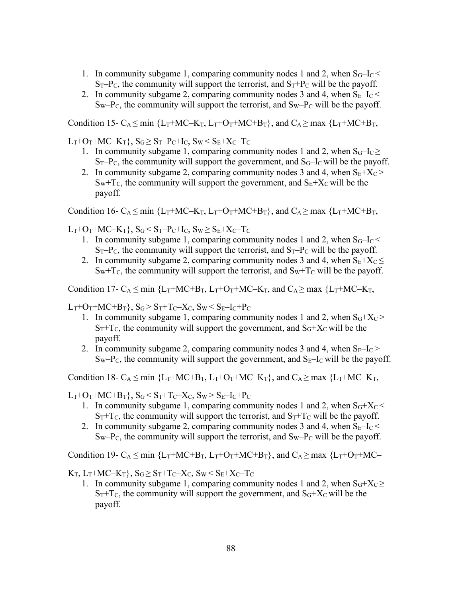- 1. In community subgame 1, comparing community nodes 1 and 2, when  $S_G-I_C <$  $S_T-P_C$ , the community will support the terrorist, and  $S_T+P_C$  will be the payoff.
- 2. In community subgame 2, comparing community nodes 3 and 4, when  $S_{E}$ -I $_{C}$  <  $S_W-P_C$ , the community will support the terrorist, and  $S_W-P_C$  will be the payoff.

Condition 15- C<sub>A</sub>  $\leq$  min {L<sub>T</sub>+MC–K<sub>T</sub>, L<sub>T</sub>+O<sub>T</sub>+MC+B<sub>T</sub>}, and C<sub>A</sub>  $\geq$  max {L<sub>T</sub>+MC+B<sub>T</sub>,

 $L_T+O_T+MC-K_T$ ,  $S_G \geq S_T-P_C+I_C$ ,  $S_W \leq S_E+X_C-T_C$ 

- 1. In community subgame 1, comparing community nodes 1 and 2, when  $S_G-I_C \ge$  $S_T-P_C$ , the community will support the government, and  $S_G-I_C$  will be the payoff.
- 2. In community subgame 2, comparing community nodes 3 and 4, when  $S_E+X_C$  $S_W + T_C$ , the community will support the government, and  $S_E + X_C$  will be the payoff.

Condition 16- C<sub>A</sub>  $\leq$  min {L<sub>T</sub>+MC–K<sub>T</sub>, L<sub>T</sub>+O<sub>T</sub>+MC+B<sub>T</sub>}, and C<sub>A</sub> $\geq$  max {L<sub>T</sub>+MC+B<sub>T</sub>,

 $L_T+O_T+MC-K_T\}$ ,  $S_G \leq S_T-P_C+I_C$ ,  $S_W \geq S_E+X_C-T_C$ 

- 1. In community subgame 1, comparing community nodes 1 and 2, when  $S_G-I_C$  $S_T-P_C$ , the community will support the terrorist, and  $S_T-P_C$  will be the payoff.
- 2. In community subgame 2, comparing community nodes 3 and 4, when  $S_E + X_C \leq$  $Sw+T_c$ , the community will support the terrorist, and  $Sw+T_c$  will be the payoff.

Condition 17-  $C_A \le \min \{L_T + MC + B_T, L_T + O_T + MC - K_T, \text{ and } C_A \ge \max \{L_T + MC - K_T, \text{ and } C_B\}$ 

 $L_T+O_T+MC+B_T$ ,  $S_G > S_T+T_C-X_C$ ,  $S_W < S_E-I_C+P_C$ 

- 1. In community subgame 1, comparing community nodes 1 and 2, when  $S_G+X_C$  $S_T + T_C$ , the community will support the government, and  $S_G + X_C$  will be the payoff.
- 2. In community subgame 2, comparing community nodes 3 and 4, when  $S_{E}$ -I $_C$  $S_W-P_C$ , the community will support the government, and  $S_E-I_C$  will be the payoff.

Condition 18-  $C_A \leq \min$  {L<sub>T</sub>+MC+B<sub>T</sub>, L<sub>T</sub>+O<sub>T</sub>+MC–K<sub>T</sub>}, and  $C_A \geq \max$  {L<sub>T</sub>+MC–K<sub>T</sub>,

 $L_T+O_T+MC+B_T$ ,  $S_G \leq S_T+T_C-X_C$ ,  $S_W \geq S_E-I_C+P_C$ 

- 1. In community subgame 1, comparing community nodes 1 and 2, when  $S<sub>G</sub>+X<sub>C</sub>$  $S_T + T_C$ , the community will support the terrorist, and  $S_T + T_C$  will be the payoff.
- 2. In community subgame 2, comparing community nodes 3 and 4, when  $S_{E}$ -I<sub>C</sub> <  $S_W-P_C$ , the community will support the terrorist, and  $S_W-P_C$  will be the payoff.

Condition 19-  $C_A \le \min \{L_T + MC + B_T, L_T + O_T + MC + B_T\}$ , and  $C_A \ge \max \{L_T + O_T + MC -$ 

 $K_T$ ,  $L_T$ +MC– $K_T$ },  $S_G \geq S_T$ +T<sub>C</sub>– $X_C$ ,  $S_W \leq S_F$ + $X_C$ –T<sub>C</sub>

1. In community subgame 1, comparing community nodes 1 and 2, when  $S_G+X_C \ge$  $S_T + T_C$ , the community will support the government, and  $S_G + X_C$  will be the payoff.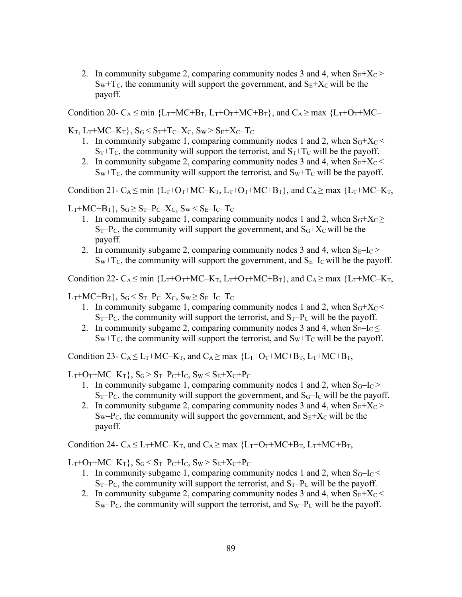2. In community subgame 2, comparing community nodes 3 and 4, when  $S_E+X_C$  $S_W + T_C$ , the community will support the government, and  $S_E + X_C$  will be the payoff.

Condition 20- C<sub>A</sub> < min  ${L_T}$ +MC+B<sub>T</sub>,  $L_T$ +O<sub>T</sub>+MC+B<sub>T</sub>}, and C<sub>A</sub> > max  ${L_T}$ +O<sub>T</sub>+MC–

 $K_T$ ,  $L_T + MC - K_T$ ,  $S_G < S_T + T_C - X_C$ ,  $S_W > S_E + X_C - T_C$ 

- 1. In community subgame 1, comparing community nodes 1 and 2, when  $S_G+X_C$  $S_T + T_C$ , the community will support the terrorist, and  $S_T + T_C$  will be the payoff.
- 2. In community subgame 2, comparing community nodes 3 and 4, when  $S_E + X_C$  $Sw+T_c$ , the community will support the terrorist, and  $Sw+T_c$  will be the payoff.

Condition 21- C<sub>A</sub>  $\leq$  min {L<sub>T</sub>+O<sub>T</sub>+MC–K<sub>T</sub>, L<sub>T</sub>+O<sub>T</sub>+MC+B<sub>T</sub>}, and C<sub>A</sub> $\geq$  max {L<sub>T</sub>+MC–K<sub>T</sub>,

 $L_T+MC+B_T$ ,  $S_G \geq S_T-P_C-X_C$ ,  $S_W \leq S_E-I_C-T_C$ 

- 1. In community subgame 1, comparing community nodes 1 and 2, when  $S_G+X_C \ge$  $S_T-P_C$ , the community will support the government, and  $S_G+X_C$  will be the payoff.
- 2. In community subgame 2, comparing community nodes 3 and 4, when  $S_{E}$ -I $_C$  >  $S_W + T_C$ , the community will support the government, and  $S_E - I_C$  will be the payoff.

Condition 22-  $C_A \le \min \{L_T + O_T + MC - K_T, L_T + O_T + MC + B_T\}$ , and  $C_A \ge \max \{L_T + MC - K_T,$ 

 $L_T+MC+B_T\}$ ,  $S_G < S_T-P_C-X_C$ ,  $S_W \geq S_E-I_C-T_C$ 

- 1. In community subgame 1, comparing community nodes 1 and 2, when  $S_G+X_C$  $S_T-P_C$ , the community will support the terrorist, and  $S_T-P_C$  will be the payoff.
- 2. In community subgame 2, comparing community nodes 3 and 4, when  $S_{E}$ -I $_C$  $Sw+T_c$ , the community will support the terrorist, and  $Sw+T_c$  will be the payoff.

Condition 23-  $C_A \leq L_T + MC - K_T$ , and  $C_A \geq$  max  ${L_T + O_T + MC + B_T}$ ,  $L_T + MC + B_T$ ,

 $L_T+O_T+MC-K_T$ ,  $S_G > S_T-P_C+I_C$ ,  $S_W < S_E+X_C+P_C$ 

- 1. In community subgame 1, comparing community nodes 1 and 2, when  $S_G-I_C$  $S_T-P_C$ , the community will support the government, and  $S_G-I_C$  will be the payoff.
- 2. In community subgame 2, comparing community nodes 3 and 4, when  $S_E+X_C$  $Sw-P_{C}$ , the community will support the government, and  $S_{E}+X_{C}$  will be the payoff.

Condition 24-  $C_A < L_T + MC - K_T$ , and  $C_A > max$  { $L_T + O_T + MC + B_T$ ,  $L_T + MC + B_T$ ,

 $L_T+O_T+MC-K_T$ ,  $S_G < S_T-P_C+I_C$ ,  $S_W > S_E+X_C+P_C$ 

- 1. In community subgame 1, comparing community nodes 1 and 2, when  $S_G-I_C <$  $S_T-P_C$ , the community will support the terrorist, and  $S_T-P_C$  will be the payoff.
- 2. In community subgame 2, comparing community nodes 3 and 4, when  $S_E + X_C$  $S_W-P_C$ , the community will support the terrorist, and  $S_W-P_C$  will be the payoff.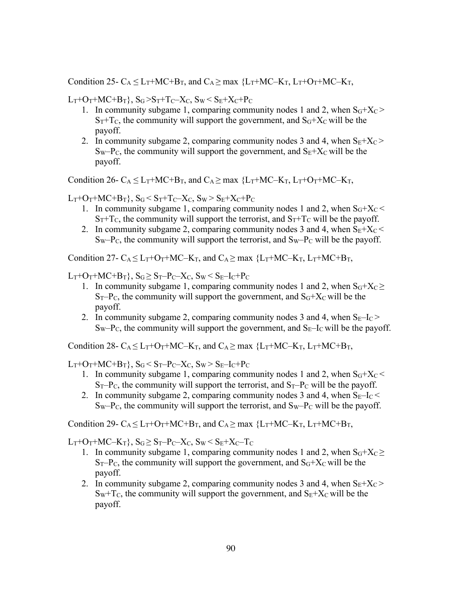Condition 25-  $C_A \leq L_T + MC + B_T$ , and  $C_A \geq$  max  ${L_T + MC - K_T}$ ,  $L_T + O_T + MC - K_T$ ,

 $L_T+O_T+MC+B_T$ ,  $S_G > S_T+T_C-X_C$ ,  $S_W < S_E+X_C+P_C$ 

- 1. In community subgame 1, comparing community nodes 1 and 2, when  $S<sub>G</sub>+X<sub>C</sub>$  $S_T + T_C$ , the community will support the government, and  $S_G + X_C$  will be the payoff.
- 2. In community subgame 2, comparing community nodes 3 and 4, when  $S_E+X_C$  $S_W-P_C$ , the community will support the government, and  $S_E+X_C$  will be the payoff.

Condition 26-  $C_A \leq L_T + MC + B_T$ , and  $C_A \geq$  max  ${L_T + MC - K_T}$ ,  $L_T + O_T + MC - K_T$ ,

 $L_T+O_T+MC+B_T$ ,  $S_G \leq S_T+T_C-X_C$ ,  $S_W \geq S_E+X_C+P_C$ 

- 1. In community subgame 1, comparing community nodes 1 and 2, when  $S<sub>G</sub>+X<sub>C</sub>$  $S_T + T_C$ , the community will support the terrorist, and  $S_T + T_C$  will be the payoff.
- 2. In community subgame 2, comparing community nodes 3 and 4, when  $S_E + X_C$  $Sw-P<sub>C</sub>$ , the community will support the terrorist, and  $Sw-P<sub>C</sub>$  will be the payoff.

Condition 27-  $C_A < L_T + O_T + MC - K_T$ , and  $C_A > \max \{L_T + MC - K_T, L_T + MC + B_T,$ 

 $L_T+O_T+MC+B_T$ ,  $S_G > S_T-P_C-X_C$ ,  $S_W < S_E-I_C+P_C$ 

- 1. In community subgame 1, comparing community nodes 1 and 2, when  $S_G+X_C \ge$  $S_T-P_C$ , the community will support the government, and  $S_G+X_C$  will be the payoff.
- 2. In community subgame 2, comparing community nodes 3 and 4, when  $S_{E}$ -I<sub>C</sub> >  $S_W-P_C$ , the community will support the government, and  $S_E-I_C$  will be the payoff.

Condition 28-  $C_A \leq L_T + O_T + MC - K_T$ , and  $C_A \geq \max \{L_T + MC - K_T, L_T + MC + B_T,$ 

 $L_T+O_T+MC+B_T\}, S_G < S_T-P_C-X_C, S_W > S_E-I_C+P_C$ 

- 1. In community subgame 1, comparing community nodes 1 and 2, when  $S<sub>G</sub>+X<sub>C</sub>$  $S_T-P_C$ , the community will support the terrorist, and  $S_T-P_C$  will be the payoff.
- 2. In community subgame 2, comparing community nodes 3 and 4, when  $S_{E\text{}}-I_{C}$  $Sw-P_{C}$ , the community will support the terrorist, and  $Sw-P_{C}$  will be the payoff.

Condition 29-  $C_A \leq L_T + O_T + MC + B_T$ , and  $C_A \geq$  max  ${L_T + MC + K_T}$ ,  $L_T + MC + B_T$ ,

 $L_T+O_T+MC-K_T$ ,  $S_G \geq S_T-P_C-X_C$ ,  $S_W \leq S_E+X_C-T_C$ 

- 1. In community subgame 1, comparing community nodes 1 and 2, when  $S_G+X_C \ge$  $S_T-P_C$ , the community will support the government, and  $S_G+X_C$  will be the payoff.
- 2. In community subgame 2, comparing community nodes 3 and 4, when  $S_E+X_C$  $S_W + T_C$ , the community will support the government, and  $S_E + X_C$  will be the payoff.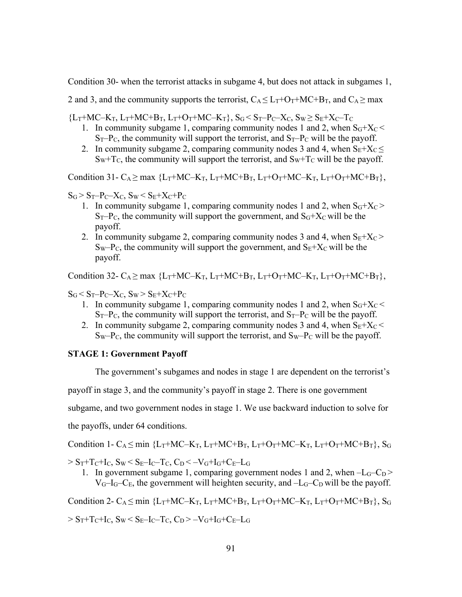Condition 30- when the terrorist attacks in subgame 4, but does not attack in subgames 1,

2 and 3, and the community supports the terrorist,  $C_A \leq L_T + O_T + MC + B_T$ , and  $C_A \geq max$ 

 ${L_T+MC-K_T, L_T+MC+B_T, L_T+O_T+MC-K_T}, S_G < S_T-P_C-X_C, S_W \geq S_E+X_C-T_C$ 

- 1. In community subgame 1, comparing community nodes 1 and 2, when  $S<sub>G</sub>+X<sub>C</sub>$  $S_T-P_C$ , the community will support the terrorist, and  $S_T-P_C$  will be the payoff.
- 2. In community subgame 2, comparing community nodes 3 and 4, when  $S_E+X_C \leq$  $S_W + T_C$ , the community will support the terrorist, and  $S_W + T_C$  will be the payoff.

Condition 31- C<sub>A</sub>  $\geq$  max {L<sub>T</sub>+MC–K<sub>T</sub>, L<sub>T</sub>+MC+B<sub>T</sub>, L<sub>T</sub>+O<sub>T</sub>+MC–K<sub>T</sub>, L<sub>T</sub>+O<sub>T</sub>+MC+B<sub>T</sub>},

 $S_G > S_T-P_C-X_C$ ,  $S_W < S_E+X_C+P_C$ 

- 1. In community subgame 1, comparing community nodes 1 and 2, when  $S<sub>G</sub>+X<sub>C</sub>$  $S_T-P_C$ , the community will support the government, and  $S_G+X_C$  will be the payoff.
- 2. In community subgame 2, comparing community nodes 3 and 4, when  $S_E+X_C$  $S_W-P_C$ , the community will support the government, and  $S_E+X_C$  will be the payoff.

Condition 32- C<sub>A</sub>  $\geq$  max {L<sub>T</sub>+MC–K<sub>T</sub>, L<sub>T</sub>+MC+B<sub>T</sub>, L<sub>T</sub>+O<sub>T</sub>+MC–K<sub>T</sub>, L<sub>T</sub>+O<sub>T</sub>+MC+B<sub>T</sub>},

 $S_G < S_T-P_C-X_C$ ,  $S_W > S_E+X_C+P_C$ 

- 1. In community subgame 1, comparing community nodes 1 and 2, when  $S<sub>G</sub>+X<sub>C</sub>$  $S_T-P_C$ , the community will support the terrorist, and  $S_T-P_C$  will be the payoff.
- 2. In community subgame 2, comparing community nodes 3 and 4, when  $S_E + X_C$  $S_W-P_C$ , the community will support the terrorist, and  $S_W-P_C$  will be the payoff.

## **STAGE 1: Government Payoff**

The government's subgames and nodes in stage 1 are dependent on the terrorist's payoff in stage 3, and the community's payoff in stage 2. There is one government subgame, and two government nodes in stage 1. We use backward induction to solve for the payoffs, under 64 conditions.

Condition 1- C<sub>A</sub>  $\leq$  min {L<sub>T</sub>+MC–K<sub>T</sub>, L<sub>T</sub>+MC+B<sub>T</sub>, L<sub>T</sub>+O<sub>T</sub>+MC–K<sub>T</sub>, L<sub>T</sub>+O<sub>T</sub>+MC+B<sub>T</sub>}, S<sub>G</sub>

 $> S_T + T_C + I_C$ ,  $S_W < S_E - I_C - T_C$ ,  $C_D < -V_G + I_G + C_E - L_G$ 

1. In government subgame 1, comparing government nodes 1 and 2, when  $-L_G-C_D$  >  $V_G-I_G-C_E$ , the government will heighten security, and  $-L_G-C_D$  will be the payoff.

Condition 2-  $C_A \leq min$  {L<sub>T</sub>+MC–K<sub>T</sub>, L<sub>T</sub>+MC+B<sub>T</sub>, L<sub>T</sub>+O<sub>T</sub>+MC–K<sub>T</sub>, L<sub>T</sub>+O<sub>T</sub>+MC+B<sub>T</sub>}, S<sub>G</sub>

 $> S_T + T_C + I_C$ ,  $S_W \le S_E - I_C - T_C$ ,  $C_D > -V_G + I_G + C_E - L_G$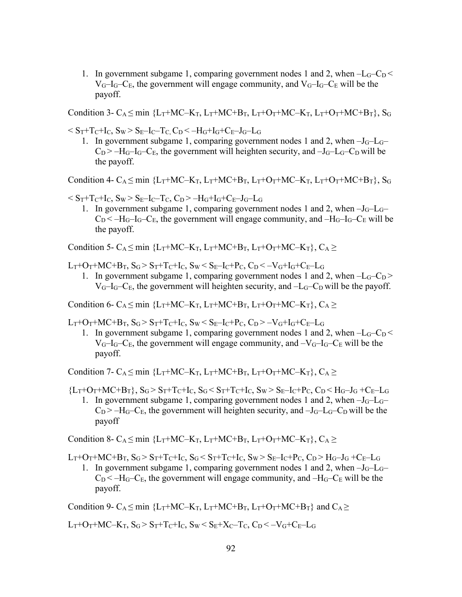1. In government subgame 1, comparing government nodes 1 and 2, when  $-L<sub>G</sub>-C<sub>D</sub>$  $V_{G}$ – $I_{G}$ – $C_{E}$ , the government will engage community, and  $V_{G}$ – $I_{G}$ – $C_{E}$  will be the payoff.

Condition 3- C<sub>A</sub> < min {L<sub>T</sub>+MC–K<sub>T</sub>, L<sub>T</sub>+MC+B<sub>T</sub>, L<sub>T</sub>+O<sub>T</sub>+MC–K<sub>T</sub>, L<sub>T</sub>+O<sub>T</sub>+MC+B<sub>T</sub>}, S<sub>G</sub>

 $<$  S<sub>T</sub>+T<sub>C</sub>+I<sub>C</sub>, S<sub>W</sub>  $>$  S<sub>E</sub>-I<sub>C</sub>-T<sub>C</sub>, C<sub>D</sub> $<$  -H<sub>G</sub>+I<sub>G</sub>+C<sub>E</sub>-J<sub>G</sub>-L<sub>G</sub>

1. In government subgame 1, comparing government nodes 1 and 2, when  $-J_G-L_G C_D$  >  $-H_G$ – $C_E$ , the government will heighten security, and  $-J_G$ – $C_G$ – $C_D$  will be the payoff.

Condition 4-  $C_A \leq min$  {L<sub>T</sub>+MC–K<sub>T</sub>, L<sub>T</sub>+MC+B<sub>T</sub>, L<sub>T</sub>+O<sub>T</sub>+MC–K<sub>T</sub>, L<sub>T</sub>+O<sub>T</sub>+MC+B<sub>T</sub>}, S<sub>G</sub>

- $< S_T + T_C + I_C$ ,  $S_W > S_E I_C T_C$ ,  $C_D > -H_G + I_G + C_E J_G L_G$ 
	- 1. In government subgame 1, comparing government nodes 1 and 2, when  $-J<sub>G</sub>-L<sub>G</sub>$  $C_D < -H_G - I_G - C_E$ , the government will engage community, and  $-H_G - I_G - C_E$  will be the payoff.

Condition 5- C<sub>A</sub>  $\leq$  min {L<sub>T</sub>+MC–K<sub>T</sub>, L<sub>T</sub>+MC+B<sub>T</sub>, L<sub>T</sub>+O<sub>T</sub>+MC–K<sub>T</sub>}, C<sub>A</sub>  $\geq$ 

 $L_T+O_T+MC+B_T, S_G > S_T+T_C+I_C, S_W < S_E-I_C+P_C, C_D < -V_G+I_G+C_E-L_G$ 

1. In government subgame 1, comparing government nodes 1 and 2, when  $-L<sub>G</sub>-C<sub>D</sub>$  $V_G-I_G-C_E$ , the government will heighten security, and  $-L_G-C_D$  will be the payoff.

Condition 6- C<sub>A</sub> < min {L<sub>T</sub>+MC–K<sub>T</sub>, L<sub>T</sub>+MC+B<sub>T</sub>, L<sub>T</sub>+O<sub>T</sub>+MC–K<sub>T</sub>}, C<sub>A</sub> >

 $L_T+O_T+MC+B_T, S_G > S_T+T_C+I_C, S_W < S_E-I_C+P_C, C_D > -V_G+I_G+C_E-L_G$ 

1. In government subgame 1, comparing government nodes 1 and 2, when  $-L<sub>G</sub>-C<sub>D</sub>$  $V_G-I_G-C_E$ , the government will engage community, and  $-V_G-I_G-C_E$  will be the payoff.

Condition 7- C<sub>A</sub> $\leq$  min {L<sub>T</sub>+MC–K<sub>T</sub>, L<sub>T</sub>+MC+B<sub>T</sub>, L<sub>T</sub>+O<sub>T</sub>+MC–K<sub>T</sub>}, C<sub>A</sub> $\geq$ 

 ${L_T+O_T+MC+B_T}, S_G > S_T+T_C+I_C, S_G < S_T+T_C+I_C, S_W > S_E-I_C+P_C, C_D < H_G-I_G +C_E-I_G$ 

1. In government subgame 1, comparing government nodes 1 and 2, when  $-J_G-L_G C_D$  >  $-H_G-C_E$ , the government will heighten security, and  $-J_G-C_D$  will be the payoff

Condition 8- C<sub>A</sub>  $\leq$  min {L<sub>T</sub>+MC–K<sub>T</sub>, L<sub>T</sub>+MC+B<sub>T</sub>, L<sub>T</sub>+O<sub>T</sub>+MC–K<sub>T</sub>}, C<sub>A</sub>  $\geq$ 

 $L_T+O_T+MC+B_T, S_G > S_T+T_C+I_C, S_G < S_T+T_C+I_C, S_W > S_E-I_C+P_C, C_D > H_G-J_G +C_E-I_G$ 

1. In government subgame 1, comparing government nodes 1 and 2, when  $-J_G-L_G C_D < -H_G-C_E$ , the government will engage community, and  $-H_G-C_E$  will be the payoff.

Condition 9-  $C_A$  < min {L<sub>T</sub>+MC–K<sub>T</sub>, L<sub>T</sub>+MC+B<sub>T</sub>, L<sub>T</sub>+O<sub>T</sub>+MC+B<sub>T</sub>} and C<sub>A</sub> >

L<sub>T</sub>+O<sub>T</sub>+MC–K<sub>T</sub>, S<sub>G</sub> > S<sub>T</sub>+T<sub>C</sub>+I<sub>C</sub>, S<sub>W</sub> < S<sub>E</sub>+X<sub>C</sub>–T<sub>C</sub>, C<sub>D</sub> < -V<sub>G</sub>+C<sub>E</sub>–L<sub>G</sub>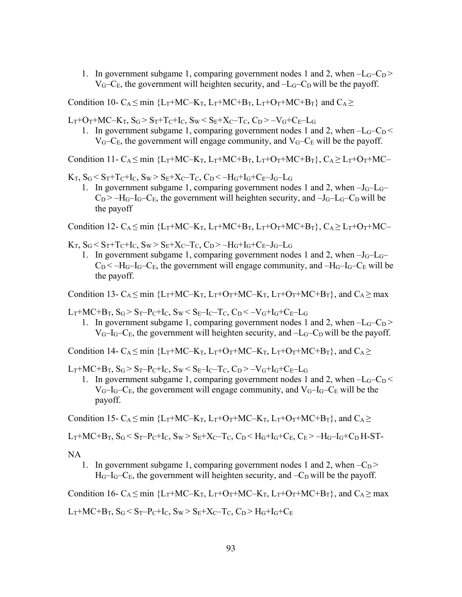1. In government subgame 1, comparing government nodes 1 and 2, when  $-L<sub>G</sub>-C<sub>D</sub>$  $V_G-C_E$ , the government will heighten security, and  $-L_G-C_D$  will be the payoff.

Condition 10-  $C_A \le \min$  {L<sub>T</sub>+MC–K<sub>T</sub>, L<sub>T</sub>+MC+B<sub>T</sub>, L<sub>T</sub>+O<sub>T</sub>+MC+B<sub>T</sub>} and C<sub>A</sub>  $\ge$ 

 $L_T + O_T + MC - K_T$ ,  $S_G > S_T + T_C + I_C$ ,  $S_W < S_E + X_C - T_C$ ,  $C_D > -V_G + C_E - L_G$ 

1. In government subgame 1, comparing government nodes 1 and 2, when  $-L<sub>G</sub>-C<sub>D</sub>$  $V_G-C_E$ , the government will engage community, and  $V_G-C_E$  will be the payoff.

Condition 11- C<sub>A</sub>  $\leq$  min {L<sub>T</sub>+MC–K<sub>T</sub>, L<sub>T</sub>+MC+B<sub>T</sub>, L<sub>T</sub>+O<sub>T</sub>+MC+B<sub>T</sub>}, C<sub>A</sub> $\geq$  L<sub>T</sub>+O<sub>T</sub>+MC–

 $K_T$ ,  $S_G < S_T + T_C + I_C$ ,  $S_W > S_E + X_C - T_C$ ,  $C_D < -H_G + I_G + C_E - J_G - L_G$ 

1. In government subgame 1, comparing government nodes 1 and 2, when  $-J<sub>G</sub>-L<sub>G</sub>$  $C_D$  >  $-H_G$ – $C_E$ , the government will heighten security, and  $-J_G$ – $C_G$ – $C_D$  will be the payoff

Condition 12- C<sub>A</sub>  $\leq$  min {L<sub>T</sub>+MC–K<sub>T</sub>, L<sub>T</sub>+MC+B<sub>T</sub>, L<sub>T</sub>+O<sub>T</sub>+MC+B<sub>T</sub>}, C<sub>A</sub> $\geq$  L<sub>T</sub>+O<sub>T</sub>+MC–

 $K_T$ ,  $S_G < S_T + T_C + I_C$ ,  $S_W > S_E + X_C - T_C$ ,  $C_D > -H_G + I_G + C_E - J_G - L_G$ 

1. In government subgame 1, comparing government nodes 1 and 2, when  $-J_G-L_G C_D < -H_G - I_G - C_E$ , the government will engage community, and  $-H_G - I_G - C_E$  will be the payoff.

Condition 13-  $C_A \le \min$  {L<sub>T</sub>+MC–K<sub>T</sub>, L<sub>T</sub>+O<sub>T</sub>+MC–K<sub>T</sub>, L<sub>T</sub>+O<sub>T</sub>+MC+B<sub>T</sub>}, and C<sub>A</sub> $\ge \max$ 

 $L_T+MC+B_T, S_G > S_T-P_C+I_C, S_W < S_E-I_C-T_C, C_D < -V_G+I_G+C_E-L_G$ 

1. In government subgame 1, comparing government nodes 1 and 2, when  $-L_G-C_D$  >  $V_{G}$ – $I_{G}$ – $C_{E}$ , the government will heighten security, and – $L_{G}$ – $C_{D}$  will be the payoff.

Condition 14-  $C_A \le \min$  {L<sub>T</sub>+MC–K<sub>T</sub>, L<sub>T</sub>+O<sub>T</sub>+MC–K<sub>T</sub>, L<sub>T</sub>+O<sub>T</sub>+MC+B<sub>T</sub>}, and C<sub>A</sub>  $\ge$ 

 $L_T+MC+B_T, S_G > S_T-P_C+I_C, S_W < S_E-I_C-T_C, C_D > -V_G+I_G+C_E-L_G$ 

1. In government subgame 1, comparing government nodes 1 and 2, when  $-L<sub>G</sub>-C<sub>D</sub>$  $V_{G}$ – $I_{G}$ – $C_{E}$ , the government will engage community, and  $V_{G}$ – $I_{G}$ – $C_{E}$  will be the payoff.

Condition 15- C<sub>A</sub>  $\leq$  min {L<sub>T</sub>+MC–K<sub>T</sub>, L<sub>T</sub>+O<sub>T</sub>+MC–K<sub>T</sub>, L<sub>T</sub>+O<sub>T</sub>+MC+B<sub>T</sub>}, and C<sub>A</sub> $\geq$ 

$$
L_T + MC + B_T, S_G < S_T - P_C + I_C, S_W > S_E + X_C - T_C, C_D < H_G + I_G + C_E, C_E > - H_G - I_G + C_D H - ST - C_F - I_G - I_C
$$

NA

1. In government subgame 1, comparing government nodes 1 and 2, when  $-C_D$  >  $H_G-I_G-C_E$ , the government will heighten security, and  $-C_D$  will be the payoff.

Condition 16- C<sub>A</sub>  $\leq$  min {L<sub>T</sub>+MC–K<sub>T</sub>, L<sub>T</sub>+O<sub>T</sub>+MC–K<sub>T</sub>, L<sub>T</sub>+O<sub>T</sub>+MC+B<sub>T</sub>}, and C<sub>A</sub> $\geq$  max

 $L_T + MC + B_T$ ,  $S_G < S_T - P_C + I_C$ ,  $S_W > S_E + X_C - T_C$ ,  $C_D > H_G + I_G + C_E$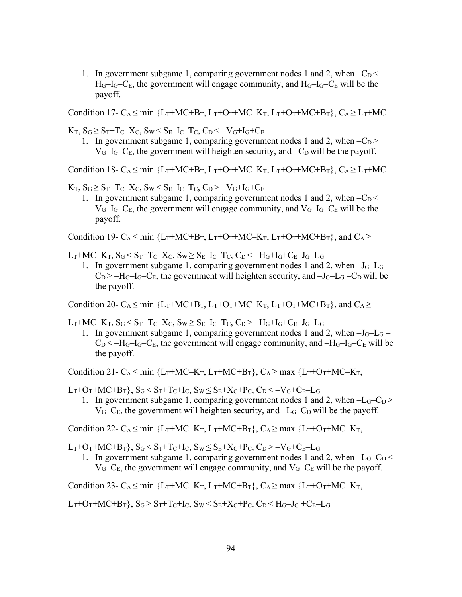1. In government subgame 1, comparing government nodes 1 and 2, when  $-C<sub>D</sub>$  $H_G-I_G-C_E$ , the government will engage community, and  $H_G-I_G-C_E$  will be the payoff.

Condition 17- C<sub>A</sub> < min {L<sub>T</sub>+MC+B<sub>T</sub>, L<sub>T</sub>+O<sub>T</sub>+MC–K<sub>T</sub>, L<sub>T</sub>+O<sub>T</sub>+MC+B<sub>T</sub>}, C<sub>A</sub> > L<sub>T</sub>+MC–

 $K_T$ ,  $S_G \geq S_T + T_C - X_C$ ,  $S_W \leq S_E - I_C - T_C$ ,  $C_D \leq -V_G + I_G + C_E$ 

1. In government subgame 1, comparing government nodes 1 and 2, when  $-C_D$  >  $V_G-I_G-C_E$ , the government will heighten security, and  $-C_D$  will be the payoff.

Condition 18- C<sub>A</sub>  $\leq$  min {L<sub>T</sub>+MC+B<sub>T</sub>, L<sub>T</sub>+O<sub>T</sub>+MC–K<sub>T</sub>, L<sub>T</sub>+O<sub>T</sub>+MC+B<sub>T</sub>}, C<sub>A</sub> $\geq$  L<sub>T</sub>+MC–

 $K_T$ ,  $S_G \geq S_T + T_C - X_C$ ,  $S_W \leq S_F - I_C - T_C$ ,  $C_D > -V_G + I_G + C_F$ 

1. In government subgame 1, comparing government nodes 1 and 2, when  $-C_D <$  $V_G-I_G-C_E$ , the government will engage community, and  $V_G-I_G-C_E$  will be the payoff.

Condition 19-  $C_A < min$  {L<sub>T</sub>+MC+B<sub>T</sub>, L<sub>T</sub>+O<sub>T</sub>+MC–K<sub>T</sub>, L<sub>T</sub>+O<sub>T</sub>+MC+B<sub>T</sub>}, and C<sub>A</sub> >

 $L_T+MC-K_T, S_G < S_T+T_C-X_C, S_W \geq S_E-I_C-T_C, C_D < -H_G+I_G+C_E-J_G-L_G$ 

1. In government subgame 1, comparing government nodes 1 and 2, when  $-J_G-L_G$  –  $C_D$  >  $-H_G$ – $C_E$ , the government will heighten security, and  $-J_G$ – $C_G$ – $C_D$  will be the payoff.

Condition 20- C<sub>A</sub> < min  ${L_T}$ +MC+B<sub>T</sub>,  $L_T$ +O<sub>T</sub>+MC–K<sub>T</sub>,  $L_T$ +O<sub>T</sub>+MC+B<sub>T</sub>}, and C<sub>A</sub> >

 $L_T+MC-K_T, S_G \leq S_T+T_C-X_C, S_W \geq S_E-I_C-T_C, C_D > -H_G+I_G+C_E-J_G-L_G$ 

1. In government subgame 1, comparing government nodes 1 and 2, when  $-J_G-L_G$  –  $C_D < -H_G-C_E$ , the government will engage community, and  $-H_G-C_E$  will be the payoff.

Condition 21- C<sub>A</sub>  $\leq$  min {L<sub>T</sub>+MC–K<sub>T</sub>, L<sub>T</sub>+MC+B<sub>T</sub>}, C<sub>A</sub>  $\geq$  max {L<sub>T</sub>+O<sub>T</sub>+MC–K<sub>T</sub>,

 $L_T+O_T+MC+B_T$ ,  $S_G < S_T+T_C+I_C$ ,  $S_W \leq S_E+X_C+P_C$ ,  $C_D < -V_G+C_E-L_G$ 

1. In government subgame 1, comparing government nodes 1 and 2, when  $-L<sub>G</sub>-C<sub>D</sub>$  $V<sub>G</sub>-C<sub>E</sub>$ , the government will heighten security, and  $-L<sub>G</sub>-C<sub>D</sub>$  will be the payoff.

Condition 22- C<sub>A</sub>  $\leq$  min {L<sub>T</sub>+MC–K<sub>T</sub>, L<sub>T</sub>+MC+B<sub>T</sub>}, C<sub>A</sub> $\geq$  max {L<sub>T</sub>+O<sub>T</sub>+MC–K<sub>T</sub>,

 $L_T+O_T+MC+B_T$ ,  $S_G \leq S_T+T_C+I_C$ ,  $S_W \leq S_E+X_C+P_C$ ,  $C_D \geq -V_G+C_E-L_G$ 

1. In government subgame 1, comparing government nodes 1 and 2, when  $-L<sub>G</sub>-C<sub>D</sub>$  $V_G-C_E$ , the government will engage community, and  $V_G-C_E$  will be the payoff.

Condition 23- C<sub>A</sub> < min {L<sub>T</sub>+MC–K<sub>T</sub>, L<sub>T</sub>+MC+B<sub>T</sub>}, C<sub>A</sub> > max {L<sub>T</sub>+O<sub>T</sub>+MC–K<sub>T</sub>,

 $L_T+O_T+MC+B_T$ ,  $S_G \geq S_T+T_C+I_C$ ,  $S_W \leq S_E+X_C+P_C$ ,  $C_D \leq H_G-J_G+C_E-L_G$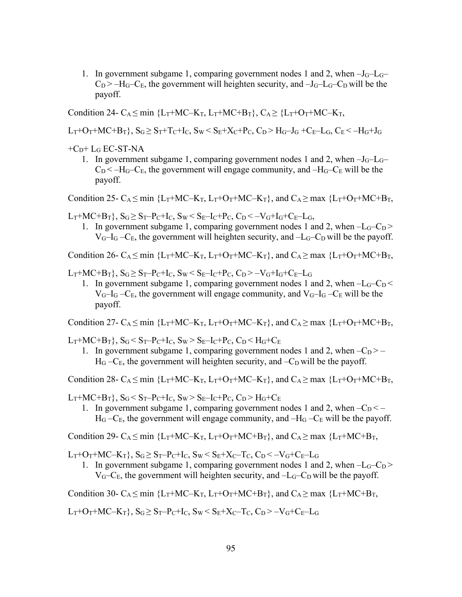1. In government subgame 1, comparing government nodes 1 and 2, when  $-J_G-I_G$  $C_D$  >  $-H_G-C_E$ , the government will heighten security, and  $-J_G-C_D$  will be the payoff.

Condition 24- C<sub>A</sub> < min {L<sub>T</sub>+MC–K<sub>T</sub>, L<sub>T</sub>+MC+B<sub>T</sub>}, C<sub>A</sub> > {L<sub>T</sub>+O<sub>T</sub>+MC–K<sub>T</sub>,

 $L_T+O_T+MC+B_T$ ,  $S_G > S_T+T_C+I_C$ ,  $S_W < S_E+X_C+P_C$ ,  $C_D > H_G-J_G +C_E-L_G$ ,  $C_E < -H_G+J_G$ 

 $+C_D+L_G$  EC-ST-NA

1. In government subgame 1, comparing government nodes 1 and 2, when  $-J_G-L_G C_D < -H_G-C_E$ , the government will engage community, and  $-H_G-C_E$  will be the payoff.

Condition 25- C<sub>A</sub>  $\leq$  min {L<sub>T</sub>+MC–K<sub>T</sub>, L<sub>T</sub>+O<sub>T</sub>+MC–K<sub>T</sub>}, and C<sub>A</sub> $\geq$  max {L<sub>T</sub>+O<sub>T</sub>+MC+B<sub>T</sub>,

 $L_T+MC+B_T$ ,  $S_G \ge S_T-P_C+I_C$ ,  $S_W < S_E-I_C+P_C$ ,  $C_D < -V_G+I_G+C_E-L_G$ ,

1. In government subgame 1, comparing government nodes 1 and 2, when  $-L<sub>G</sub>-C<sub>D</sub>$  $V_{G}$ – $I_{G}$  – $C_{F}$ , the government will heighten security, and – $L_{G}$ – $C_{D}$  will be the payoff.

Condition 26- C<sub>A</sub>  $\leq$  min {L<sub>T</sub>+MC–K<sub>T</sub>, L<sub>T</sub>+O<sub>T</sub>+MC–K<sub>T</sub>}, and C<sub>A</sub> $\geq$  max {L<sub>T</sub>+O<sub>T</sub>+MC+B<sub>T</sub>,

 $L_T+MC+B_T$ ,  $S_G \ge S_T-P_C+I_C$ ,  $S_W < S_E-I_C+P_C$ ,  $C_D > -V_G+I_G+C_E-I_G$ 

1. In government subgame 1, comparing government nodes 1 and 2, when  $-L<sub>G</sub>-C<sub>D</sub>$  $V_G-I_G-C_E$ , the government will engage community, and  $V_G-I_G-C_E$  will be the payoff.

Condition 27-  $C_A \le \min \{L_T + MC - K_T, L_T + O_T + MC - K_T\}$ , and  $C_A \ge \max \{L_T + O_T + MC + B_T,$ 

 $L_T+MC+B_T\}, S_G < S_T-P_C+I_C, S_W > S_E-I_C+P_C, C_D < H_G+C_E$ 

1. In government subgame 1, comparing government nodes 1 and 2, when  $-C_D$  > –  $H_G - C_E$ , the government will heighten security, and  $-C_D$  will be the payoff.

Condition 28- C<sub>A</sub>  $\leq$  min {L<sub>T</sub>+MC–K<sub>T</sub>, L<sub>T</sub>+O<sub>T</sub>+MC–K<sub>T</sub>}, and C<sub>A</sub> $\geq$  max {L<sub>T</sub>+O<sub>T</sub>+MC+B<sub>T</sub>,

 $L_T+MC+B_T\}$ ,  $S_G < S_T-P_C+I_C$ ,  $S_W > S_E-I_C+P_C$ ,  $C_D > H_G+C_E$ 

1. In government subgame 1, comparing government nodes 1 and 2, when  $-C_D < H_G - C_E$ , the government will engage community, and  $-H_G - C_E$  will be the payoff.

Condition 29-  $C_A \le \min \{L_T + MC - K_T, L_T + O_T + MC + B_T\}$ , and  $C_A \ge \max \{L_T + MC + B_T,$ 

 $L_T+O_T+MC-K_T$ ,  $S_G \geq S_T-P_C+I_C$ ,  $S_W \leq S_E+X_C-T_C$ ,  $C_D \leq -V_G+C_E-I_G$ 

1. In government subgame 1, comparing government nodes 1 and 2, when  $-L<sub>G</sub>-C<sub>D</sub>$  $V<sub>G</sub>-C<sub>E</sub>$ , the government will heighten security, and  $-L<sub>G</sub>-C<sub>D</sub>$  will be the payoff.

Condition 30- C<sub>A</sub>  $\leq$  min {L<sub>T</sub>+MC–K<sub>T</sub>, L<sub>T</sub>+O<sub>T</sub>+MC+B<sub>T</sub>}, and C<sub>A</sub> $\geq$  max {L<sub>T</sub>+MC+B<sub>T</sub>,

 $L_T+O_T+MC-K_T$ ,  $S_G \geq S_T-P_C+I_C$ ,  $S_W \leq S_E+X_C-T_C$ ,  $C_D > -V_G+C_E-L_G$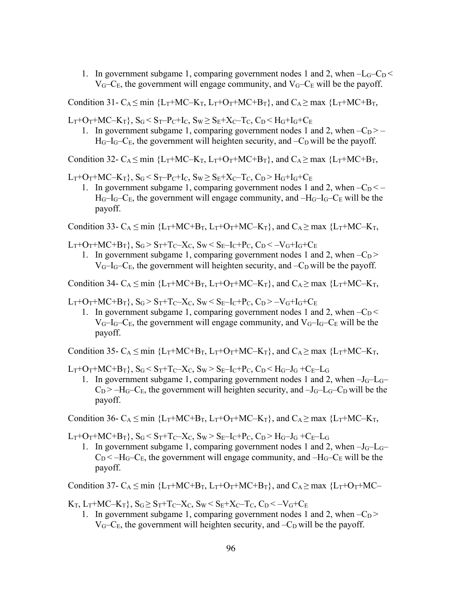1. In government subgame 1, comparing government nodes 1 and 2, when  $-L<sub>G</sub>-C<sub>D</sub>$  $V_G-C_E$ , the government will engage community, and  $V_G-C_E$  will be the payoff.

Condition 31-  $C_A \le \min$  {L<sub>T</sub>+MC–K<sub>T</sub>, L<sub>T</sub>+O<sub>T</sub>+MC+B<sub>T</sub>}, and  $C_A \ge \max$  {L<sub>T</sub>+MC+B<sub>T</sub>,

 $L_T + O_T + MC - K_T$ ,  $S_G < S_T - P_C + I_C$ ,  $S_W \geq S_E + X_C - T_C$ ,  $C_D < H_G + I_G + C_E$ 

1. In government subgame 1, comparing government nodes 1 and 2, when  $-C_D$  > –  $H_G-I_G-C_E$ , the government will heighten security, and  $-C_D$  will be the payoff.

Condition 32- C<sub>A</sub>  $\leq$  min {L<sub>T</sub>+MC–K<sub>T</sub>, L<sub>T</sub>+O<sub>T</sub>+MC+B<sub>T</sub>}, and C<sub>A</sub> $\geq$  max {L<sub>T</sub>+MC+B<sub>T</sub>,

 $L_T+O_T+MC-K_T$ ,  $S_G < S_T-P_C+I_C$ ,  $S_W \geq S_E+X_C-T_C$ ,  $C_D > H_G+I_G+C_E$ 

1. In government subgame 1, comparing government nodes 1 and 2, when  $-C_D < H_G-I_G-C_E$ , the government will engage community, and  $-H_G-I_G-C_E$  will be the payoff.

Condition 33- C<sub>A</sub>  $\leq$  min {L<sub>T</sub>+MC+B<sub>T</sub>, L<sub>T</sub>+O<sub>T</sub>+MC–K<sub>T</sub>}, and C<sub>A</sub>  $\geq$  max {L<sub>T</sub>+MC–K<sub>T</sub>,

 $L_T+O_T+MC+B_T$ ,  $S_G > S_T+T_C-X_C$ ,  $S_W < S_E-I_C+P_C$ ,  $C_D < -V_G+I_G+C_E$ 

1. In government subgame 1, comparing government nodes 1 and 2, when  $-C_D$  >  $V_G-I_G-C_E$ , the government will heighten security, and  $-C_D$  will be the payoff.

Condition 34-  $C_A \leq min$  {L<sub>T</sub>+MC+B<sub>T</sub>, L<sub>T</sub>+O<sub>T</sub>+MC–K<sub>T</sub>}, and  $C_A \geq max$  {L<sub>T</sub>+MC–K<sub>T</sub>,

 $L_T+O_T+MC+B_T$ ,  $S_G > S_T+T_C-X_C$ ,  $S_W < S_E-I_C+P_C$ ,  $C_D > -V_G+I_G+C_E$ 

1. In government subgame 1, comparing government nodes 1 and 2, when  $-C<sub>D</sub>$  $V_{G}$ – $I_{G}$ – $C_{E}$ , the government will engage community, and  $V_{G}$ – $I_{G}$ – $C_{E}$  will be the payoff.

Condition 35-  $C_A \leq min$  {L<sub>T</sub>+MC+B<sub>T</sub>, L<sub>T</sub>+O<sub>T</sub>+MC–K<sub>T</sub>}, and  $C_A \geq max$  {L<sub>T</sub>+MC–K<sub>T</sub>,

 $L_T+O_T+MC+B_T$ ,  $S_G < S_T+T_C-X_C$ ,  $S_W > S_E-I_C+P_C$ ,  $C_D < H_G-J_G +C_E-L_G$ 

1. In government subgame 1, comparing government nodes 1 and 2, when  $-J<sub>G</sub>-L<sub>G</sub>$  $C_D$  >  $-H_G-C_E$ , the government will heighten security, and  $-J_G-C_D$  will be the payoff.

Condition 36-  $C_A \leq min$  {L<sub>T</sub>+MC+B<sub>T</sub>, L<sub>T</sub>+O<sub>T</sub>+MC–K<sub>T</sub>}, and  $C_A \geq max$  {L<sub>T</sub>+MC–K<sub>T</sub>,

 $L_T+O_T+MC+B_T$ ,  $S_G < S_T+T_C-X_C$ ,  $S_W > S_E-I_C+P_C$ ,  $C_D > H_G-J_G +C_E-I_G$ 

1. In government subgame 1, comparing government nodes 1 and 2, when  $-J_G-L_G C_D < -H_G-C_E$ , the government will engage community, and  $-H_G-C_E$  will be the payoff.

Condition 37-  $C_A \le \min$  {L<sub>T</sub>+MC+B<sub>T</sub>, L<sub>T</sub>+O<sub>T</sub>+MC+B<sub>T</sub>}, and  $C_A \ge \max$  {L<sub>T</sub>+O<sub>T</sub>+MC-

 $K_T$ ,  $L_T + MC - K_T$ ,  $S_G \ge S_T + T_C - X_C$ ,  $S_W \le S_E + X_C - T_C$ ,  $C_D \le -V_G + C_E$ 

1. In government subgame 1, comparing government nodes 1 and 2, when  $-C_D$  >  $V<sub>G</sub>$ –C<sub>E</sub>, the government will heighten security, and –C<sub>D</sub> will be the payoff.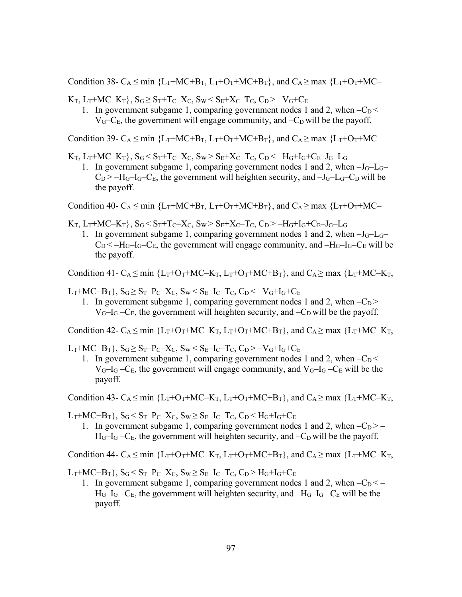Condition 38-  $C_A \le \min \{L_T + MC + B_T, L_T + O_T + MC + B_T\}$ , and  $C_A \ge \max \{L_T + O_T + MC -$ 

 $K_T$ ,  $L_T+MC-K_T$ },  $S_G \geq S_T+T_C-X_C$ ,  $S_W \leq S_E+X_C-T_C$ ,  $C_D \geq -V_G+C_E$ 

1. In government subgame 1, comparing government nodes 1 and 2, when  $-C_D <$  $V_G-C_E$ , the government will engage community, and  $-C_D$  will be the payoff.

Condition 39-  $C_A \le \min \{L_T + MC + B_T, L_T + O_T + MC + B_T\}$ , and  $C_A \ge \max \{L_T + O_T + MC -$ 

 $K_T$ ,  $L_T$ +MC– $K_T$ },  $S_G$ < $S_T$ + $T_C$ – $X_C$ ,  $S_W$ > $S_E$ + $X_C$ – $T_C$ ,  $C_D$ < $-H_G$ + $I_G$ + $C_E$ – $J_G$ – $L_G$ 

1. In government subgame 1, comparing government nodes 1 and 2, when  $-J<sub>G</sub>-L<sub>G</sub>$  $C_D$  >  $-H_G$ – $I_G$ – $C_E$ , the government will heighten security, and  $-J_G$ – $C_D$  will be the payoff.

Condition 40- C<sub>A</sub>  $\leq$  min {L<sub>T</sub>+MC+B<sub>T</sub>, L<sub>T</sub>+O<sub>T</sub>+MC+B<sub>T</sub>}, and C<sub>A</sub> $\geq$  max {L<sub>T</sub>+O<sub>T</sub>+MC-

- $K_T$ ,  $L_T+MC-K_T$ },  $S_G < S_T+T_C-X_C$ ,  $S_W > S_E+X_C-T_C$ ,  $C_D > -H_G+I_G+C_E-J_G-L_G$ 
	- 1. In government subgame 1, comparing government nodes 1 and 2, when  $-J<sub>G</sub>-L<sub>G</sub>$  $C_D < -H_G-C_E$ , the government will engage community, and  $-H_G-C_E$  will be the payoff.

Condition 41-  $C_A \le \min$  {L<sub>T</sub>+O<sub>T</sub>+MC–K<sub>T</sub>, L<sub>T</sub>+O<sub>T</sub>+MC+B<sub>T</sub>}, and  $C_A \ge \max$  {L<sub>T</sub>+MC–K<sub>T</sub>,

 $L_T+MC+B_T$ ,  $S_G \geq S_T-P_C-X_C$ ,  $S_W \leq S_E-I_C-T_C$ ,  $C_D \leq -V_G+I_G+C_E$ 

1. In government subgame 1, comparing government nodes 1 and 2, when  $-C_D$  >  $V_G-I_G-C_E$ , the government will heighten security, and  $-C_D$  will be the payoff.

Condition 42-  $C_A < min$  {L<sub>T</sub>+O<sub>T</sub>+MC–K<sub>T</sub>, L<sub>T</sub>+O<sub>T</sub>+MC+B<sub>T</sub>}, and C<sub>A</sub> > max {L<sub>T</sub>+MC–K<sub>T</sub>,

 $L_T+MC+B_T$ ,  $S_G \ge S_T-P_C-X_C$ ,  $S_W \le S_E-I_C-T_C$ ,  $C_D \ge -V_G+I_G+C_E$ 

1. In government subgame 1, comparing government nodes 1 and 2, when  $-C_D <$  $V_G-I_G-C_E$ , the government will engage community, and  $V_G-I_G-C_E$  will be the payoff.

Condition 43- C<sub>A</sub>  $\leq$  min {L<sub>T</sub>+O<sub>T</sub>+MC–K<sub>T</sub>, L<sub>T</sub>+O<sub>T</sub>+MC+B<sub>T</sub>}, and C<sub>A</sub> $\geq$  max {L<sub>T</sub>+MC–K<sub>T</sub>,

 $L_T+MC+B_T\}$ ,  $S_G < S_T-P_C-X_C$ ,  $S_W \geq S_E-I_C-T_C$ ,  $C_D < H_G+I_G+C_E$ 

1. In government subgame 1, comparing government nodes 1 and 2, when  $-C_D$  > –  $H_G-I_G-C_E$ , the government will heighten security, and  $-C_D$  will be the payoff.

Condition 44-  $C_A \le \min$  {L<sub>T</sub>+O<sub>T</sub>+MC–K<sub>T</sub>, L<sub>T</sub>+O<sub>T</sub>+MC+B<sub>T</sub>}, and C<sub>A</sub> $\ge \max$  {L<sub>T</sub>+MC–K<sub>T</sub>,

 $L_T+MC+B_T\}$ ,  $S_G < S_T-P_C-X_C$ ,  $S_W \geq S_E-I_C-T_C$ ,  $C_D > H_G+I_G+C_E$ 

1. In government subgame 1, comparing government nodes 1 and 2, when  $-C_D < H_G-I_G-C_E$ , the government will heighten security, and  $-H_G-I_G-C_E$  will be the payoff.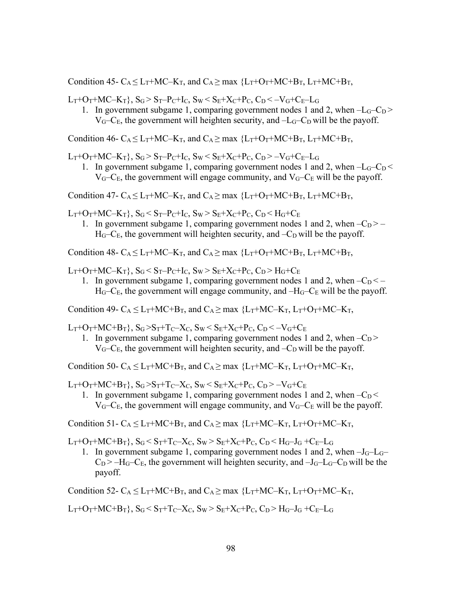Condition 45-  $C_A \leq L_T + MC - K_T$ , and  $C_A \geq \max \{L_T + O_T + MC + B_T, L_T + MC + B_T,$ 

 $L_T+O_T+MC-K_T$ ,  $S_G > S_T-P_C+I_C$ ,  $S_W < S_E+X_C+P_C$ ,  $C_D < -V_G+C_E-L_G$ 

1. In government subgame 1, comparing government nodes 1 and 2, when  $-L_G-C_D$  >  $V_G-C_E$ , the government will heighten security, and  $-L_G-C_D$  will be the payoff.

Condition 46-  $C_A \leq L_T + MC - K_T$ , and  $C_A \geq$  max  ${L_T + O_T + MC + B_T}$ ,  $L_T + MC + B_T$ ,

 $L_T+O_T+MC-K_T$ ,  $S_G > S_T-P_C+I_C$ ,  $S_W < S_E+X_C+P_C$ ,  $C_D > -V_G+C_E-L_G$ 

1. In government subgame 1, comparing government nodes 1 and 2, when  $-L<sub>G</sub>-C<sub>D</sub>$  $V_{G}-C_{E}$ , the government will engage community, and  $V_{G}-C_{E}$  will be the payoff.

Condition 47-  $C_A \leq L_T + MC - K_T$ , and  $C_A \geq$  max  ${L_T + O_T + MC + B_T}$ ,  $L_T + MC + B_T$ ,

 $L_T+O_T+MC-K_T$ ,  $S_G < S_T-P_C+I_C$ ,  $S_W > S_E+X_C+P_C$ ,  $C_D < H_G+C_E$ 

1. In government subgame 1, comparing government nodes 1 and 2, when  $-C_D$  > –  $H<sub>G</sub>$ –C<sub>E</sub>, the government will heighten security, and –C<sub>D</sub> will be the payoff.

Condition 48-  $C_A \leq L_T + MC - K_T$ , and  $C_A \geq \max \{L_T + O_T + MC + B_T, L_T + MC + B_T,$ 

 $L_T+O_T+MC-K_T$ ,  $S_G \leq S_T-P_C+I_C$ ,  $S_W > S_E+X_C+P_C$ ,  $C_D > H_G+C_E$ 

1. In government subgame 1, comparing government nodes 1 and 2, when  $-C_D < H_G-C_E$ , the government will engage community, and  $-H_G-C_E$  will be the payoff.

Condition 49-  $C_A \leq L_T + MC + B_T$ , and  $C_A \geq$  max  ${L_T + MC - K_T}$ ,  $L_T + O_T + MC - K_T$ ,

 $L_T+O_T+MC+B_T$ ,  $S_G > S_T+T_C-X_C$ ,  $S_W < S_E+X_C+P_C$ ,  $C_D < -V_G+C_E$ 

1. In government subgame 1, comparing government nodes 1 and 2, when  $-C_D$  >  $V<sub>G</sub>$ –C<sub>E</sub>, the government will heighten security, and –C<sub>D</sub> will be the payoff.

Condition 50-  $C_A < L_T+MC+B_T$ , and  $C_A > max$  { $L_T+MC-K_T$ ,  $L_T+O_T+MC-K_T$ ,

 $L_T+O_T+MC+B_T$ ,  $S_G > S_T+T_C-X_C$ ,  $S_W < S_E+X_C+P_C$ ,  $C_D > -V_G+C_E$ 

1. In government subgame 1, comparing government nodes 1 and 2, when  $-C_D <$  $V_{G}-C_{E}$ , the government will engage community, and  $V_{G}-C_{E}$  will be the payoff.

Condition 51-  $C_A \leq L_T + MC + B_T$ , and  $C_A \geq$  max  ${L_T + MC - K_T}$ ,  $L_T + O_T + MC - K_T$ ,

 $L_T+O_T+MC+B_T$ ,  $S_G \leq S_T+T_C-X_C$ ,  $S_W \geq S_E+X_C+P_C$ ,  $C_D \leq H_G-J_G+C_E-L_G$ 

1. In government subgame 1, comparing government nodes 1 and 2, when  $-J_G-L_G C_D$  >  $-H_G-C_E$ , the government will heighten security, and  $-J_G-C_D$  will be the payoff.

Condition 52-  $C_A \leq L_T + MC + B_T$ , and  $C_A \geq$  max  ${L_T + MC - K_T}$ ,  $L_T + O_T + MC - K_T$ ,

 $L_T+O_T+MC+B_T$ ,  $S_G \leq S_T+T_C-X_C$ ,  $S_W \geq S_E+X_C+P_C$ ,  $C_D \geq H_G-J_G+C_E-L_G$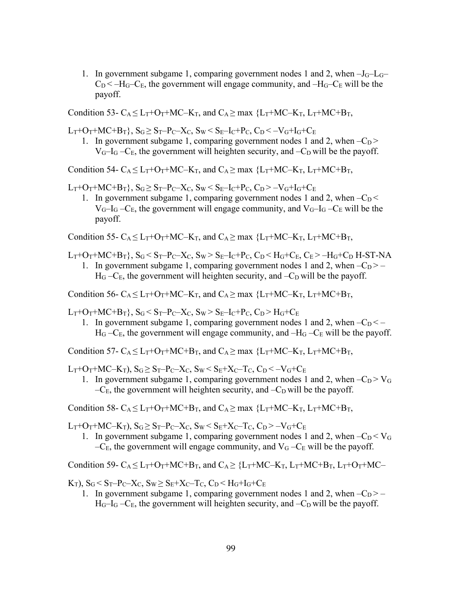1. In government subgame 1, comparing government nodes 1 and 2, when  $-J_G-I_G$  $C_D < -H_G-C_E$ , the government will engage community, and  $-H_G-C_E$  will be the payoff.

Condition 53-  $C_A < L_T + O_T + MC - K_T$ , and  $C_A > max$  { $L_T + MC - K_T$ ,  $L_T + MC + B_T$ ,

 $L_T + O_T + MC + B_T$ ,  $S_G \ge S_T - P_C - X_C$ ,  $S_W < S_E - I_C + P_C$ ,  $C_D < -V_G + I_G + C_E$ 

1. In government subgame 1, comparing government nodes 1 and 2, when  $-C_D$  >  $V_G-I_G-C_E$ , the government will heighten security, and  $-C_D$  will be the payoff.

Condition 54-  $C_A \leq L_T + O_T + MC - K_T$ , and  $C_A \geq \max \{L_T + MC - K_T, L_T + MC + B_T,$ 

 $L_T+O_T+MC+B_T$ ,  $S_G \ge S_T-P_C-X_C$ ,  $S_W \le S_E-I_C+P_C$ ,  $C_D \ge -V_G+I_G+C_E$ 

1. In government subgame 1, comparing government nodes 1 and 2, when  $-C_D <$  $V_{G}-I_{G}-C_{E}$ , the government will engage community, and  $V_{G}-I_{G}-C_{E}$  will be the payoff.

Condition 55-  $C_A < L_T + O_T + MC - K_T$ , and  $C_A > \max \{L_T + MC - K_T, L_T + MC + B_T,$ 

 $L_T+O_T+MC+B_T$ ,  $S_G < S_T-P_C-X_C$ ,  $S_W > S_E-I_C+P_C$ ,  $C_D < H_G+C_E$ ,  $C_E > -H_G+C_D$  H-ST-NA

1. In government subgame 1, comparing government nodes 1 and 2, when  $-C_D$  > –  $H<sub>G</sub> - C<sub>E</sub>$ , the government will heighten security, and  $-C<sub>D</sub>$  will be the payoff.

Condition 56-  $C_A \leq L_T + O_T + MC - K_T$ , and  $C_A \geq \max \{L_T + MC - K_T, L_T + MC + B_T,$ 

 $L_T+O_T+MC+B_T$ ,  $S_G \leq S_T-P_C-X_C$ ,  $S_W > S_E-I_C+P_C$ ,  $C_D > H_G+C_E$ 

1. In government subgame 1, comparing government nodes 1 and 2, when  $-C_D < H<sub>G</sub> - C<sub>E</sub>$ , the government will engage community, and  $-H<sub>G</sub> - C<sub>E</sub>$  will be the payoff.

Condition 57-  $C_A \leq L_T + O_T + MC + B_T$ , and  $C_A \geq$  max  ${L_T + MC - K_T}$ ,  $L_T + MC + B_T$ ,

 $L_T + O_T + MC - K_T$ ),  $S_G \ge S_T - P_C - X_C$ ,  $S_W \le S_E + X_C - T_C$ ,  $C_D \le -V_G + C_E$ 

1. In government subgame 1, comparing government nodes 1 and 2, when  $-C_D > V_G$  $-C_{E}$ , the government will heighten security, and  $-C_{D}$  will be the payoff.

Condition 58-  $C_A \leq L_T + O_T + MC + B_T$ , and  $C_A \geq \max \{L_T + MC - K_T, L_T + MC + B_T,$ 

 $L_T+O_T+MC-K_T$ ),  $S_G \geq S_T-P_C-X_C$ ,  $S_W \leq S_E+X_C-T_C$ ,  $C_D \geq -V_G+C_E$ 

1. In government subgame 1, comparing government nodes 1 and 2, when  $-C_D < V_G$  $-C_{E}$ , the government will engage community, and  $V_{G} - C_{E}$  will be the payoff.

Condition 59-  $C_A \leq L_T + O_T + MC + B_T$ , and  $C_A \geq \{L_T + MC - K_T, L_T + MC + B_T, L_T + O_T + MC -$ 

 $K_T$ ),  $S_G < S_T-P_C-X_C$ ,  $S_W \geq S_E+X_C-T_C$ ,  $C_D < H_G+I_G+C_E$ 

1. In government subgame 1, comparing government nodes 1 and 2, when  $-C_D$  > –  $H_G-I_G-C_E$ , the government will heighten security, and  $-C_D$  will be the payoff.